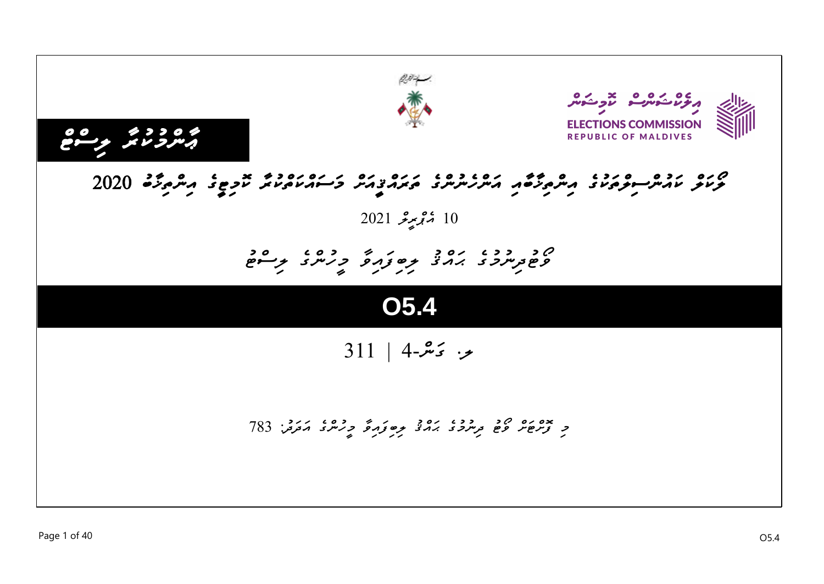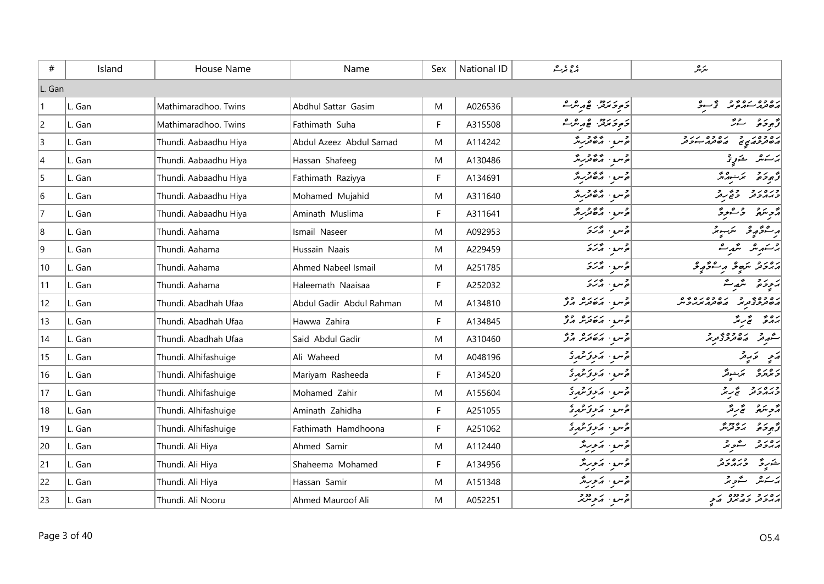| #               | Island | House Name            | Name                     | Sex       | National ID | ، ه ، ره<br>مربح برگ                                   | ىئرىتر                                                                                                                                                                                                                                |
|-----------------|--------|-----------------------|--------------------------|-----------|-------------|--------------------------------------------------------|---------------------------------------------------------------------------------------------------------------------------------------------------------------------------------------------------------------------------------------|
| L. Gan          |        |                       |                          |           |             |                                                        |                                                                                                                                                                                                                                       |
|                 | L. Gan | Mathimaradhoo. Twins  | Abdhul Sattar Gasim      | M         | A026536     | و و بردو ه مره ه                                       | رە دە بەھ دە بەر                                                                                                                                                                                                                      |
| 2               | L. Gan | Mathimaradhoo. Twins  | Fathimath Suha           | F         | A315508     | كالمردد والمراكب                                       | و و ده در د                                                                                                                                                                                                                           |
| $\vert$ 3       | L. Gan | Thundi. Aabaadhu Hiya | Abdul Azeez Abdul Samad  | M         | A114242     | وسع مقصر برگ                                           | ן 2000 - 2000 מידי 2000 מידי 2000 מידי 2000 מידי 2000 מידי 2000 מידי 2000 מידי 2000 מידי 2000 מידי 2000 מידי 2<br>משמע <i>בחלי</i> 2000 מידי 2000 מידי 2000 מידי 2000 מידי 2000 מידי 2000 מידי 2000 מידי 2000 מידי 2000 מידי 2000 מיד |
| $\overline{4}$  | L. Gan | Thundi. Aabaadhu Hiya | Hassan Shafeeq           | M         | A130486     | ە سو، ئەھ <i>ترى</i> رى <i>گە</i>                      | پرسەش سەرپىقى                                                                                                                                                                                                                         |
| $\overline{5}$  | L. Gan | Thundi. Aabaadhu Hiya | Fathimath Raziyya        | F         | A134691     | ە سوم ئەھ <i>ەر ب</i>                                  | و دو پرېده و                                                                                                                                                                                                                          |
| $\vert 6 \vert$ | L. Gan | Thundi. Aabaadhu Hiya | Mohamed Mujahid          | M         | A311640     | ە ئىس مۇھەر بىر<br>م                                   | ورەرو وۇرى                                                                                                                                                                                                                            |
| 7               | L. Gan | Thundi. Aabaadhu Hiya | Aminath Muslima          | F         | A311641     | ه سرو به اړه تر سر                                     | ړ ده د وگروگر                                                                                                                                                                                                                         |
| $\overline{8}$  | L. Gan | Thundi. Aahama        | Ismail Naseer            | M         | A092953     | په سو <sub>يند</sub> کريمهٔ                            | أرسادة ويحر الترسوير                                                                                                                                                                                                                  |
| $ 9\rangle$     | L. Gan | Thundi. Aahama        | Hussain Naais            | M         | A229459     | په سو <sub>يند</sub> کريمهٔ                            | جر شهر شمر شمیر شهر                                                                                                                                                                                                                   |
| $ 10\rangle$    | L. Gan | Thundi. Aahama        | Ahmed Nabeel Ismail      | M         | A251785     | قوسع بمرمجر بحر                                        | رورد شھو مصوّرو                                                                                                                                                                                                                       |
| 11              | L. Gan | Thundi. Aahama        | Haleemath Naaisaa        | F.        | A252032     | ە ئەسىغ ئەر <i>گە</i> ئە                               | بَيْرِدَةُ مُتَّهِبٌ                                                                                                                                                                                                                  |
| 12              | L. Gan | Thundi. Abadhah Ufaa  | Abdul Gadir Abdul Rahman | M         | A134810     | ج <sub>ە</sub> س <sub>ىغ</sub> ، ئەھ <i>ەترىكى قرق</i> | ر ه وه پر د م ر و وه ر ه پره ه<br>پره ترڅنځ ترجر مده تر پر جرجر                                                                                                                                                                       |
| 13              | L. Gan | Thundi. Abadhah Ufaa  | Hawwa Zahira             | F         | A134845     | ە ئىرو . ئەھەر ئەرمىقى كەرگە                           | يەھ تىم يىلى                                                                                                                                                                                                                          |
| 14              | L. Gan | Thundi. Abadhah Ufaa  | Said Abdul Gadir         | ${\sf M}$ | A310460     | وسع مصر مردم المروش                                    | گەر ئەھەر ئۇر                                                                                                                                                                                                                         |
| 15              | L. Gan | Thundi. Alhifashuige  | Ali Waheed               | M         | A048196     | ق <sub>ە</sub> سوم ئ <i>ەر ئەر ئە</i> ر                | أرشح أحديثه                                                                                                                                                                                                                           |
| 16              | L. Gan | Thundi. Alhifashuige  | Mariyam Rasheeda         | F         | A134520     | ە ئىسىن ئەس <i>رىق شەرى</i>                            | رەرە برشونگر                                                                                                                                                                                                                          |
| 17              | L. Gan | Thundi. Alhifashuige  | Mohamed Zahir            | M         | A155604     | مۇسى <i>ي مەرىخ ترە</i> بج                             | ورەرو ئەرو                                                                                                                                                                                                                            |
| 18              | L. Gan | Thundi. Alhifashuige  | Aminath Zahidha          | F         | A251055     | ق <sub>ە</sub> سوم ئ <i>ەر ئەر ئە</i> ر                | أرمح سنكر بمحمي ترتثر                                                                                                                                                                                                                 |
| 19              | L. Gan | Thundi. Alhifashuige  | Fathimath Hamdhoona      | F         | A251062     | ق <sub>ە</sub> سوم ئ <i>ەر ئەر ئە</i> ر                | أقرار و بره دور به                                                                                                                                                                                                                    |
| 20              | L. Gan | Thundi. Ali Hiya      | Ahmed Samir              | M         | A112440     | قوسع مجر مريرةً                                        | رەرو ئور                                                                                                                                                                                                                              |
| 21              | L. Gan | Thundi. Ali Hiya      | Shaheema Mohamed         | F         | A134956     | ە ئەسىيە بە ئەبەر ئ <sup>ى</sup> ر                     | شَرِرَة ويهودو                                                                                                                                                                                                                        |
| 22              | L. Gan | Thundi. Ali Hiya      | Hassan Samir             | M         | A151348     | پھرسو مستقبہ کر کر ہے<br>  پھرسو مستقب <sup>ر</sup>    | پرستانلا ستہویز                                                                                                                                                                                                                       |
| 23              | L. Gan | Thundi. Ali Nooru     | Ahmed Mauroof Ali        | M         | A052251     | محسن أنه معرضه<br>                                     | גפגב גבדם בב                                                                                                                                                                                                                          |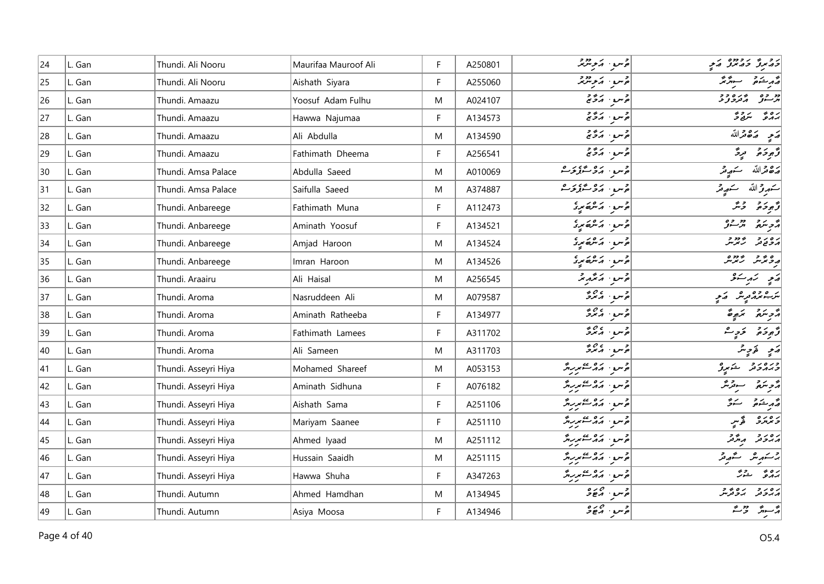| 24           | L. Gan | Thundi. Ali Nooru    | Maurifaa Mauroof Ali | F           | A250801 | پرسويہ <b>رکمبر</b> پر د                      | أورميوق ومامرو مايح                    |
|--------------|--------|----------------------|----------------------|-------------|---------|-----------------------------------------------|----------------------------------------|
| 25           | L. Gan | Thundi. Ali Nooru    | Aishath Siyara       | F           | A255060 | وسع مرتبة المعرضة                             | وأرشكو ستركز                           |
| 26           | L. Gan | Thundi. Amaazu       | Yoosuf Adam Fulhu    | M           | A024107 | همسوم أرمح ح                                  | دو وه په دره و و<br>درسونې د مرحزنو ل  |
| 27           | L. Gan | Thundi. Amaazu       | Hawwa Najumaa        | F           | A134573 | مۇسىي ئەمۇمج                                  | رە پە<br>پەدى<br>سرچ پچ                |
| 28           | L. Gan | Thundi. Amaazu       | Ali Abdulla          | M           | A134590 | مۇسىي ئەڭ ج                                   | قدمة قائدة                             |
| 29           | L. Gan | Thundi. Amaazu       | Fathimath Dheema     | $\mathsf F$ | A256541 | په سوي مرکز مح<br>  په سوي مرکز مح            | وَّجِرَةٍ مِرِدًّ                      |
| 30           | L. Gan | Thundi. Amsa Palace  | Abdulla Saeed        | M           | A010069 | <sub>جەسى</sub> بەر ئەبۇرىئە                  | برە قراللە سەھەتمە                     |
| 31           | L. Gan | Thundi. Amsa Palace  | Saifulla Saeed       | M           | A374887 | <sub>قرىس م</sub> ەر ئەر ئۇنۇر ئە             | سَمرُ تَاللّه سَمَيِتْرٌ               |
| 32           | L. Gan | Thundi. Anbareege    | Fathimath Muna       | F           | A112473 | ۋسو · ئەنگەھىرد                               | وٌجودَ حَمَدٌ                          |
| 33           | L. Gan | Thundi. Anbareege    | Aminath Yoosuf       | F           | A134521 |                                               | ړه شه ده ده وه                         |
| 34           | L. Gan | Thundi. Anbareege    | Amjad Haroon         | M           | A134524 | ج <sub>اسع</sub> سرائع مر <sub>ئ</sub>        | ג ס ג כ כ כ כ<br>ג כ ב ב ג י ג י ג י י |
| 35           | L. Gan | Thundi. Anbareege    | Imran Haroon         | M           | A134526 | توسع مرکز میری                                | ە ئەترىپ ئەردە                         |
| 36           | L. Gan | Thundi. Araairu      | Ali Haisal           | M           | A256545 | ئۇسىز · ئەئىرىتىر                             | ړې د برخه                              |
| 37           | L. Gan | Thundi. Aroma        | Nasruddeen Ali       | M           | A079587 | محسوم معرفة                                   |                                        |
| 38           | L. Gan | Thundi. Aroma        | Aminath Ratheeba     | F.          | A134977 | و سو به دره د                                 |                                        |
| 39           | L. Gan | Thundi. Aroma        | Fathimath Lamees     | F           | A311702 | اړسو پر مورخ                                  | وتجودهم تخرجا                          |
| $ 40\rangle$ | L. Gan | Thundi. Aroma        | Ali Sameen           | M           | A311703 | په سوي د مرگه مخ                              | أصمي الهمي يتمر                        |
| 41           | L. Gan | Thundi. Asseyri Hiya | Mohamed Shareef      | M           | A053153 | <br>  <sub>جوسوی</sub> پروت <sub>مربر</sub> ر | ورەرو شىرو                             |
| 42           | L. Gan | Thundi. Asseyri Hiya | Aminath Sidhuna      | F           | A076182 | ح <sub>ە</sub> سمى سىمبەر مەسىرىيەتلەر<br> -  | ومحر سور المعرور                       |
| $ 43\rangle$ | L. Gan | Thundi. Asseyri Hiya | Aishath Sama         | F           | A251106 | ج سع <i>محمد المقدر ال</i> م                  | ۇرمىشى كۆ                              |
| 44           | L. Gan | Thundi. Asseyri Hiya | Mariyam Saanee       | $\mathsf F$ | A251110 | ه سو به ده عد سر<br>مسو به در سور             | أرەرە ئۇس                              |
| 45           | L. Gan | Thundi. Asseyri Hiya | Ahmed Iyaad          | M           | A251112 | ە سوم ئەرەبىي بەر<br>مەسوم ئەرەبىي            | גם גב הייב<br>הגבה היתה                |
| 46           | L. Gan | Thundi. Asseyri Hiya | Hussain Saaidh       | M           | A251115 | <br>  هوسوية مردر عصور در                     | 2سكەر مىش سىتىر يىشر                   |
| 47           | L. Gan | Thundi. Asseyri Hiya | Hawwa Shuha          | F           | A347263 | ەسى <sub>ن</sub> مەھسىرىد                     | برە ئەرمى                              |
| 48           | L. Gan | Thundi. Autumn       | Ahmed Hamdhan        | M           | A134945 | محسوم موصح                                    | رەرد رەپرىر                            |
| 49           | L. Gan | Thundi. Autumn       | Asiya Moosa          | F           | A134946 | محسوم من من                                   | وحسور وحرث                             |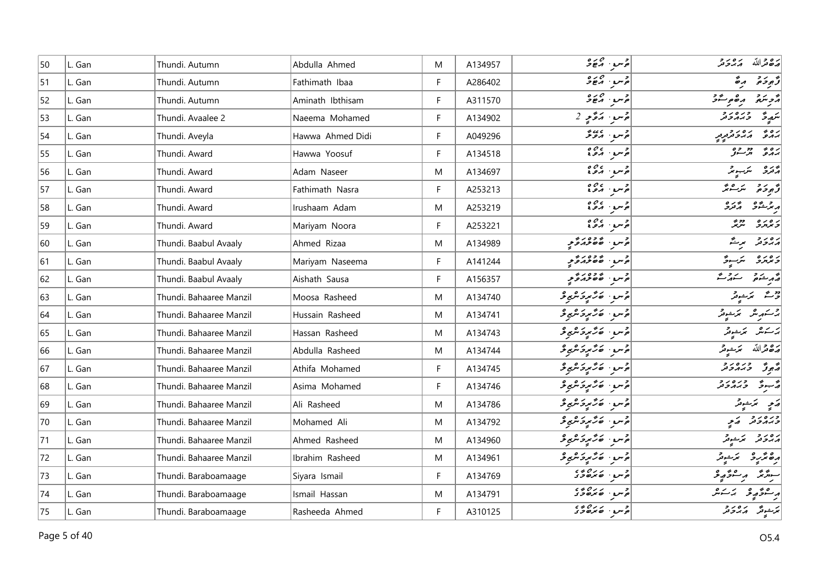| 50 | L. Gan | Thundi. Autumn          | Abdulla Ahmed    | M  | A134957 | د سو مي ده و                                                                                                                                                                                                                                                                                                                   | ەھىراللە<br>برورد                                                   |
|----|--------|-------------------------|------------------|----|---------|--------------------------------------------------------------------------------------------------------------------------------------------------------------------------------------------------------------------------------------------------------------------------------------------------------------------------------|---------------------------------------------------------------------|
| 51 | L. Gan | Thundi. Autumn          | Fathimath Ibaa   | F  | A286402 | ج <sub>و</sub> سو به مرغو د                                                                                                                                                                                                                                                                                                    | و مرد د<br>دە                                                       |
| 52 | L. Gan | Thundi. Autumn          | Aminath Ibthisam | F  | A311570 | جسع من من حاجز                                                                                                                                                                                                                                                                                                                 | ېر چې گړي.<br>أرمز ترة                                              |
| 53 | L. Gan | Thundi. Avaalee 2       | Naeema Mohamed   | F. | A134902 | $2$ جي سو په مُرتَوح $2$                                                                                                                                                                                                                                                                                                       | و ر ه ر د<br>تر پر ژ تر<br>سَمِيرةَ                                 |
| 54 | L. Gan | Thundi. Aveyla          | Hawwa Ahmed Didi | F  | A049296 | مسموسي من                                                                                                                                                                                                                                                                                                                      | ره د برور د<br> بروژ    مربروترترتر                                 |
| 55 | L. Gan | Thundi. Award           | Hawwa Yoosuf     | F  | A134518 | په سويد وه ده                                                                                                                                                                                                                                                                                                                  | برەپچ<br>در وه<br>در سور                                            |
| 56 | L. Gan | Thundi. Award           | Adam Naseer      | M  | A134697 | ج <sub>سع: 199ء<br/>  موسع: 199</sub>                                                                                                                                                                                                                                                                                          | أأروه الكرسومر                                                      |
| 57 | L. Gan | Thundi. Award           | Fathimath Nasra  | F  | A253213 | جسع مقبره ع                                                                                                                                                                                                                                                                                                                    | قرجوخا مترسفانه                                                     |
| 58 | L. Gan | Thundi. Award           | Irushaam Adam    | M  | A253219 | محسن مهمو                                                                                                                                                                                                                                                                                                                      | د پرشتو د بره                                                       |
| 59 | L. Gan | Thundi. Award           | Mariyam Noora    | F. | A253221 | په سوي وگړه<br>  په سوي وگړه                                                                                                                                                                                                                                                                                                   | ويوبره<br>يتوجر                                                     |
| 60 | L. Gan | Thundi. Baabul Avaaly   | Ahmed Rizaa      | M  | A134989 | وس م وه رو<br>  وس م ص <i>حه و و</i>                                                                                                                                                                                                                                                                                           | رەرە برگ                                                            |
| 61 | L. Gan | Thundi. Baabul Avaaly   | Mariyam Naseema  | F  | A141244 | $\left  \begin{array}{cc} \mathcal{E}_{\mathcal{A}} & \mathcal{E}_{\mathcal{A}} & \mathcal{E}_{\mathcal{A}} \\ \mathcal{E}_{\mathcal{A}} & \mathcal{E}_{\mathcal{A}} & \mathcal{E}_{\mathcal{A}} \end{array} \right $                                                                                                          | ى بەرە سەربەد                                                       |
| 62 | L. Gan | Thundi. Baabul Avaaly   | Aishath Sausa    | F  | A156357 | وسع مقصورة محمد المستخدم من                                                                                                                                                                                                                                                                                                    | ۇرشۇ سەرقى                                                          |
| 63 | L. Gan | Thundi. Bahaaree Manzil | Moosa Rasheed    | M  | A134740 | م <sub>و</sub> سو <sub>`</sub> ھَرَّسٍ حَسَّرِ مُحَمَّدٍ حَر                                                                                                                                                                                                                                                                   | رومے کرمنے وگر                                                      |
| 64 | L. Gan | Thundi. Bahaaree Manzil | Hussain Rasheed  | M  | A134741 | ەئىب ئ <i>ەشىرەكتىب</i> ۇ                                                                                                                                                                                                                                                                                                      | رحم مكر مكان المحر والمحر                                           |
| 65 | L. Gan | Thundi. Bahaaree Manzil | Hassan Rasheed   | M  | A134743 | ج <sub>وسع-</sub> ئەرمىرىكىمى ئى                                                                                                                                                                                                                                                                                               | ىز سىكىشى ئىر ئىسىدىلى<br>ئاسىكىنىش ئىر ئىسىدىلى                    |
| 66 | L. Gan | Thundi. Bahaaree Manzil | Abdulla Rasheed  | M  | A134744 | ج <sub>ە</sub> سمى ئ <i>ەشىرىخ</i> شىرىخە                                                                                                                                                                                                                                                                                      | أرة قرالله تمرشونر                                                  |
| 67 | L. Gan | Thundi. Bahaaree Manzil | Athifa Mohamed   | F. | A134745 | ەسىن <i>ھەتىرە</i> ئىي ۋ                                                                                                                                                                                                                                                                                                       | ג' כגוברב                                                           |
| 68 | L. Gan | Thundi. Bahaaree Manzil | Asima Mohamed    | F. | A134746 | قوسو بە ئەسپ <sub>ى</sub> ر ئىسى ئى                                                                                                                                                                                                                                                                                            | رمج سبزقر<br>و ره ر د<br>تر پر ژوئر                                 |
| 69 | L. Gan | Thundi. Bahaaree Manzil | Ali Rasheed      | M  | A134786 | قوسو بە ئەسپەر ئىسى ئى                                                                                                                                                                                                                                                                                                         | أركمني المركب وتر                                                   |
| 70 | L. Gan | Thundi. Bahaaree Manzil | Mohamed Ali      | M  | A134792 | ج <sub>ەسمى</sub> ھ <i>رتىر ج</i> ەشھوقە                                                                                                                                                                                                                                                                                       | ورەرو كې                                                            |
| 71 | L. Gan | Thundi. Bahaaree Manzil | Ahmed Rasheed    | M  | A134960 | ەئىب ئ <i>ەشىرەكتىب</i> ۇ                                                                                                                                                                                                                                                                                                      | پره پر پر پر په په                                                  |
| 72 | L. Gan | Thundi. Bahaaree Manzil | Ibrahim Rasheed  | M  | A134961 | مۇسو <sub>:</sub> <i>ھَڏىپرىڭرى</i> رى                                                                                                                                                                                                                                                                                         | رە ئۇرۇ بۇيدۇر                                                      |
| 73 | L. Gan | Thundi. Baraboamaage    | Siyara Ismail    | F  | A134769 |                                                                                                                                                                                                                                                                                                                                | سور پر مرکز پر د                                                    |
| 74 | L. Gan | Thundi. Baraboamaage    | Ismail Hassan    | M  | A134791 | $\begin{vmatrix} 1 & 0 & 0 & 0 \\ 0 & 0 & 0 & 0 \\ 0 & 0 & 0 & 0 \\ 0 & 0 & 0 & 0 \\ 0 & 0 & 0 & 0 \\ 0 & 0 & 0 & 0 \\ 0 & 0 & 0 & 0 \\ 0 & 0 & 0 & 0 \\ 0 & 0 & 0 & 0 \\ 0 & 0 & 0 & 0 \\ 0 & 0 & 0 & 0 \\ 0 & 0 & 0 & 0 & 0 \\ 0 & 0 & 0 & 0 & 0 \\ 0 & 0 & 0 & 0 & 0 \\ 0 & 0 & 0 & 0 & 0 & 0 \\ 0 & 0 & 0 & 0 & 0 & 0 \\ $ | ر جۇرپۇ بايكىر                                                      |
| 75 | L. Gan | Thundi. Baraboamaage    | Rasheeda Ahmed   | F. | A310125 |                                                                                                                                                                                                                                                                                                                                | ا پر شوند اور در در در در در است.<br>انتر شوند اور در در در در است. |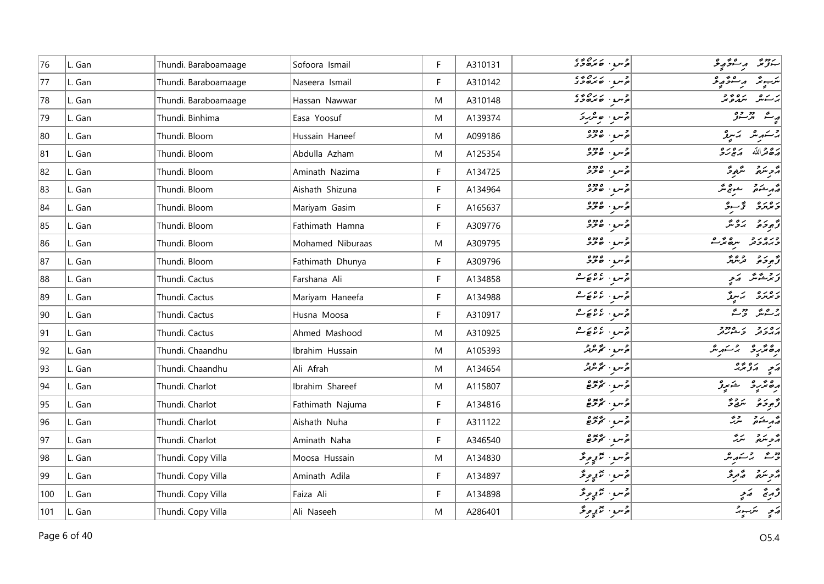| 76  | L. Gan | Thundi. Baraboamaage | Sofoora Ismail   | $\mathsf F$ | A310131 | $rac{1}{550000}$                                                                   | يبۇتۇ بەستۇپە                    |
|-----|--------|----------------------|------------------|-------------|---------|------------------------------------------------------------------------------------|----------------------------------|
| 77  | L. Gan | Thundi. Baraboamaage | Naseera Ismail   | F           | A310142 |                                                                                    | يرسوند و مؤديد                   |
| 78  | L. Gan | Thundi. Baraboamaage | Hassan Nawwar    | M           | A310148 | $\begin{vmatrix} 1 & 1 & 1 \\ 1 & 1 & 1 \\ 1 & 1 & 1 \end{vmatrix}$                | يُرَ سَمَّسْ سَهْرُونُو          |
| 79  | L. Gan | Thundi. Binhima      | Easa Yoosuf      | M           | A139374 | می سرویہ    ص <i>رگرد</i> ک                                                        | اپریشہ میں <i>ج</i> وی کا منصو   |
| 80  | L. Gan | Thundi. Bloom        | Hussain Haneef   | M           | A099186 | مسمع معدده<br>  مسمو معرض                                                          | يزخير شريدي                      |
| 81  | L. Gan | Thundi. Bloom        | Abdulla Azham    | M           | A125354 | د سو ۱۰ وروه<br>  موسو ۱۰ هنرم                                                     | ەسى ئەر<br>برە تراللە            |
| 82  | L. Gan | Thundi. Bloom        | Aminath Nazima   | F           | A134725 | ج <sub>امع</sub> موجود<br>  جو سع مسجود                                            | أروبته تتنود                     |
| 83  | L. Gan | Thundi. Bloom        | Aishath Shizuna  | F           | A134964 | و سو . ه دوه<br>موسو . ه دو                                                        | أقهر مشكرة كالمستشر ومشر         |
| 84  | L. Gan | Thundi. Bloom        | Mariyam Gasim    | F           | A165637 | محمد ويوه                                                                          | دەرە ئۆسۈ                        |
| 85  | L. Gan | Thundi. Bloom        | Fathimath Hamna  | F           | A309776 | په سو مستوفر<br>  په سو مستوفر                                                     | أوجوحتم بروش                     |
| 86  | L. Gan | Thundi. Bloom        | Mohamed Niburaas | M           | A309795 | جسع معزو                                                                           | وره دو مده محمد                  |
| 87  | L. Gan | Thundi. Bloom        | Fathimath Dhunya | $\mathsf F$ | A309796 | جسع معدده<br>  جسع معر                                                             | و ه پر<br>ترس<br>قرم تر د        |
| 88  | L. Gan | Thundi. Cactus       | Farshana Ali     | F           | A134858 | ئۆسىق ئىتمۇھ                                                                       | ۇيرشقىترا كەير                   |
| 89  | L. Gan | Thundi. Cactus       | Mariyam Haneefa  | $\mathsf F$ | A134988 | ئ <sub>ەسمى</sub> ئەھم ئە                                                          | دەرە بەيدۇ                       |
| 90  | L. Gan | Thundi. Cactus       | Husna Moosa      | F           | A310917 | $2.202 \cdot 10^{-2}$                                                              | بران مرد مع المحمد المحمد        |
| 91  | L. Gan | Thundi. Cactus       | Ahmed Mashood    | M           | A310925 | $ z\rangle$ ۇسو، ئىز قا                                                            | ره رو در ۱۶۶۵<br>مربروتر و شورتر |
| 92  | L. Gan | Thundi. Chaandhu     | Ibrahim Hussain  | M           | A105393 | مۇسىغ ئۇيۇر                                                                        | رەپرىرە برىسرىر                  |
| 93  | L. Gan | Thundi. Chaandhu     | Ali Afrah        | M           | A134654 | مۇسو، ئۇيۇر                                                                        | ړې پروپره                        |
| 94  | L. Gan | Thundi. Charlot      | Ibrahim Shareef  | M           | A115807 | $\left  \begin{array}{cc} 0 & x & y \\ 0 & x & y \\ 0 & 0 & y \end{array} \right $ | رەترىر ئىر                       |
| 95  | L. Gan | Thundi. Charlot      | Fathimath Najuma | F           | A134816 | أقرسو بمجرم                                                                        | و و ده در در در در در در کار     |
| 96  | L. Gan | Thundi. Charlot      | Aishath Nuha     | $\mathsf F$ | A311122 | محمد المحموم                                                                       | وگهرڪنو پر                       |
| 97  | L. Gan | Thundi. Charlot      | Aminath Naha     | $\mathsf F$ | A346540 | په سو مسلم پر هم<br>  په سو مسلم پر کلو                                            | أأترسم المراثة                   |
| 98  | L. Gan | Thundi. Copy Villa   | Moosa Hussain    | M           | A134830 | ئ <sub>ۇسىغ</sub> ، ئىت <sub>م</sub> وپىدۇ                                         | دور بالمستهر مثر                 |
| 99  | L. Gan | Thundi. Copy Villa   | Aminath Adila    | $\mathsf F$ | A134897 | ئۇسىز، ئىتىموپىدۇ                                                                  | أأدبتهم أأورقر                   |
| 100 | L. Gan | Thundi. Copy Villa   | Faiza Ali        | F.          | A134898 | ج <sub>و</sub> سو بهم پر موقه                                                      | $\frac{2}{5}$<br>رځمنه           |
| 101 | L. Gan | Thundi. Copy Villa   | Ali Naseeh       | M           | A286401 | موسيق ميني موقته<br>  موسيق ميني موقته                                             | أوسمع الكرسبور                   |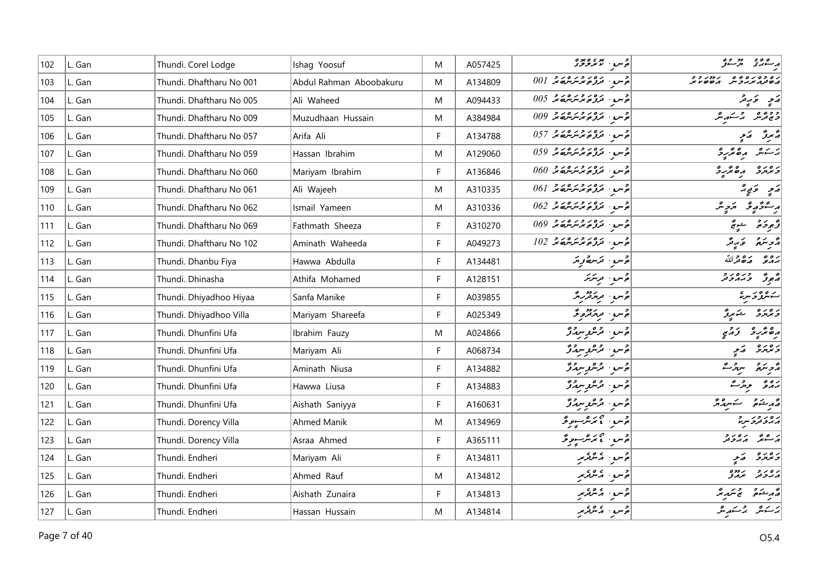| 102 | L. Gan | Thundi. Corel Lodge      | Ishaq Yoosuf            | M  | A057425 | چې سو ، سور دی.<br>  چې سو ، سر سر مرمر د                                                                                                                                                                                    | ە سەبرىق ئۇستۇ                          |
|-----|--------|--------------------------|-------------------------|----|---------|------------------------------------------------------------------------------------------------------------------------------------------------------------------------------------------------------------------------------|-----------------------------------------|
| 103 | L. Gan | Thundi. Dhaftharu No 001 | Abdul Rahman Aboobakuru | M  | A134809 | $001$ محمد محمد محمد سرائع محمد محمد المستعمر المستعمر المستعمر المستعمر المستعمر المستعمر المستعمر المستعمر المستعمر المستعمر المستعمر المستعمر المستعمر المستعمر المستعمر المستعمر المستعمر المستعمر المستعمر المستعمر الم | נסכסנסגים נמנככ<br>גםנגיגנית גםסטיב     |
| 104 | L. Gan | Thundi. Dhaftharu No 005 | Ali Waheed              | M  | A094433 | $005$ مود محمد محمد سند سند الله عليه الله مع الله عليه محمد الله عليه الله عليه مع الله عليه الله عليه الله عليه الله عليه الله عليه الله عليه الله عليه الله عليه الله عليه الله عليه الله عليه الله عليه الله عليه الله ع | أتكتح المكارير                          |
| 105 | L. Gan | Thundi. Dhaftharu No 009 | Muzudhaan Hussain       | M  | A384984 | $009$ مُحْسِب مَرْتَزَهْ مُحْسَسِّسْهَ مِنْ حَسَنَةِ مِنْ $\sim$                                                                                                                                                             | وووه پر شهر مر                          |
| 106 | L. Gan | Thundi. Dhaftharu No 057 | Arifa Ali               | F  | A134788 | $057$ من محمد من الله على سنة $\sim$                                                                                                                                                                                         | ە ئىمرۇ ھەم                             |
| 107 | L. Gan | Thundi. Dhaftharu No 059 | Hassan Ibrahim          | M  | A129060 | ەمدىن ئىروم ئىر شەھەت 059                                                                                                                                                                                                    | بَرْسَسْ رِهْبُرِ وَ                    |
| 108 | L. Gan | Thundi. Dhaftharu No 060 | Mariyam Ibrahim         | F  | A136846 | ەس ئ <i>ۆزۈپرىترىش 160</i> 0                                                                                                                                                                                                 | وبرمرد مصريرة                           |
| 109 | L. Gan | Thundi. Dhaftharu No 061 | Ali Wajeeh              | M  | A310335 | ەبىر ئىروم ئىرلىرىمى 160 061                                                                                                                                                                                                 | ړې ويږ                                  |
| 110 | L. Gan | Thundi. Dhaftharu No 062 | Ismail Yameen           | M  | A310336 | $062$ محمد محمد محمد سند محمد محمد محمد المحمد مع المحمد مع المحمد مع المحمد مع المحمد مع المحمد مع المحمد مع المحمد مع المحمد مع المحمد مع المحمد مع المحمد مع المحمد مع المحمد مع المحمد مع المحمد مع المحمد مع المحمد مع  | أراستوصي فالمتحاشر                      |
| 111 | L. Gan | Thundi. Dhaftharu No 069 | Fathmath Sheeza         | F. | A310270 |                                                                                                                                                                                                                              | ءَ <sub>م</sub> جو حر ح<br>سشويج        |
| 112 | L. Gan | Thundi. Dhaftharu No 102 | Aminath Waheeda         | F. | A049273 | $102$ من المروم من المستعدد 202                                                                                                                                                                                              | أرتجه توريقه                            |
| 113 | L. Gan | Thundi. Dhanbu Fiya      | Hawwa Abdulla           | F  | A134481 | توسع مرسقة وتر                                                                                                                                                                                                               | بروء رووالله                            |
| 114 | L. Gan | Thundi. Dhinasha         | Athifa Mohamed          | F  | A128151 | ج <sub>و</sub> سرو · مرس <i>رینگ</i>                                                                                                                                                                                         | لقيموقر<br>و ره ر د<br><i>د ب</i> رگرفر |
| 115 | L. Gan | Thundi. Dhiyadhoo Hiyaa  | Sanfa Manike            | F  | A039855 | پی سوء میں مرکز ریٹر<br>  سے سر سر سر سر                                                                                                                                                                                     | سە ئىرگە ئەسرىئا                        |
| 116 | L. Gan | Thundi. Dhiyadhoo Villa  | Mariyam Shareefa        | F  | A025349 | ە ئىسمى مەركىز ئىرىدىگى<br>مەسىم مەركىز ئىرىدىن                                                                                                                                                                              | دەرە ھەمرىگ                             |
| 117 | L. Gan | Thundi. Dhunfini Ufa     | Ibrahim Fauzy           | M  | A024866 | ج <sub>ە</sub> سو <sub>:</sub> قرى <i>ش سەقۇ</i>                                                                                                                                                                             | أرە ئۆر ئەدىپى                          |
| 118 | L. Gan | Thundi. Dhunfini Ufa     | Mariyam Ali             | F. | A068734 | ج <sub>ە</sub> سو · قرى <i>نگو سەقر</i> ۇ                                                                                                                                                                                    | د وره د پ                               |
| 119 | L. Gan | Thundi. Dhunfini Ufa     | Aminath Niusa           | F. | A134882 | ج <sub>ە</sub> سو · قرى <i>نگو سەقر</i> ۇ                                                                                                                                                                                    | أأزجر سترائح سيراث                      |
| 120 | L. Gan | Thundi. Dhunfini Ufa     | Hawwa Liusa             | F  | A134883 | قرسو · قرشو سرقر و ً                                                                                                                                                                                                         | برە ئەرجىسى                             |
| 121 | L. Gan | Thundi. Dhunfini Ufa     | Aishath Saniyya         | F  | A160631 | ج <sub>ا</sub> سو · قری <i>نگو سرم</i> ورم                                                                                                                                                                                   | أشرشتموه كالمعرض                        |
| 122 | L. Gan | Thundi. Dorency Villa    | <b>Ahmed Manik</b>      | M  | A134969 | ە ئىس ، ئائىرىكىرىسومە ئى                                                                                                                                                                                                    | ر ە ر د ر<br>مەر ترىن س                 |
| 123 | L. Gan | Thundi. Dorency Villa    | Asraa Ahmed             | F  | A365111 | ۇس ، ئ <sub>ە</sub> ئەكەنلەر بوڭر                                                                                                                                                                                            | أرصغر برورد                             |
| 124 | L. Gan | Thundi. Endheri          | Mariyam Ali             | F  | A134811 | په سوين مرتبط په م                                                                                                                                                                                                           | د ۱۶ پر د کرم                           |
| 125 | L. Gan | Thundi. Endheri          | Ahmed Rauf              | M  | A134812 | ج <sub>اسع</sub> مستقر سمبر<br>  جو سع مستقر سمبر                                                                                                                                                                            | ره رو دوده<br>مدرو مدرو                 |
| 126 | L. Gan | Thundi. Endheri          | Aishath Zunaira         | F. | A134813 | ئوسو بە ئەشرىكىرىس                                                                                                                                                                                                           | أقرم شوقو المح سمد يحر                  |
| 127 | L. Gan | Thundi. Endheri          | Hassan Hussain          | M  | A134814 | ج <sub>ا</sub> سو میگرامیر<br>  جو سو میگرامیر                                                                                                                                                                               | ىرىكىش برجىمىر                          |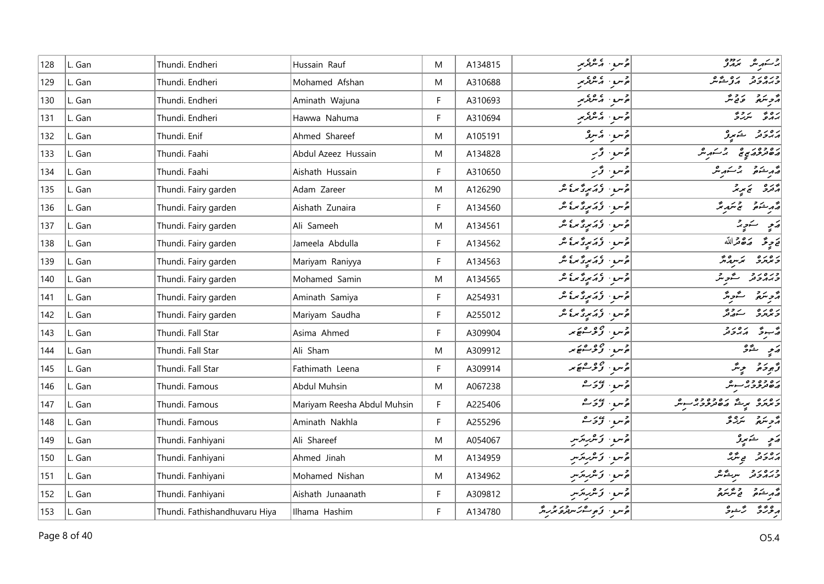| 128 | L. Gan | Thundi. Endheri               | Hussain Rauf                | M           | A134815 | ج <sub>ە</sub> سمىز برىكىزىر                              | ير سکه شهر بردوه<br>بر سکه شهر بر               |
|-----|--------|-------------------------------|-----------------------------|-------------|---------|-----------------------------------------------------------|-------------------------------------------------|
|     |        |                               |                             |             |         |                                                           |                                                 |
| 129 | L. Gan | Thundi. Endheri               | Mohamed Afshan              | M           | A310688 | جسع مستقرمر                                               | ورەرو رەپ ھە                                    |
| 130 | L. Gan | Thundi. Endheri               | Aminath Wajuna              | F           | A310693 | ج <sub>اسع :</sub> مرتدعه                                 | أثرم يترة المتحاشر                              |
| 131 | L. Gan | Thundi. Endheri               | Hawwa Nahuma                | F           | A310694 | <br>  مۇسو · كەنترىرىر                                    | ره و برود                                       |
| 132 | L. Gan | Thundi. Enif                  | Ahmed Shareef               | M           | A105191 | ئۇسى <sub>ر: م</sub> ۇس <sub>رى</sub> گە                  | رەر ئەھمىر<br>مەركىرا ئىقمىر                    |
| 133 | L. Gan | Thundi. Faahi                 | Abdul Azeez Hussain         | M           | A134828 | ۾ سو <sub>ز</sub> وڻر                                     | גם כפגם ביל היו ל                               |
| 134 | L. Gan | Thundi. Faahi                 | Aishath Hussain             | $\mathsf F$ | A310650 | قوسع قرير                                                 | ۇرمىنو ئەسكىرىش                                 |
| 135 | L. Gan | Thundi. Fairy garden          | Adam Zareer                 | M           | A126290 | ۇس <sub>ىر</sub> . زە <sub>يىرى</sub> بى <sub>د</sub> ىم  | ړوه ځېږيز                                       |
| 136 | L. Gan | Thundi. Fairy garden          | Aishath Zunaira             | F           | A134560 | ئوسو، ئۇرئىيدۇسكى ش                                       |                                                 |
| 137 | L. Gan | Thundi. Fairy garden          | Ali Sameeh                  | M           | A134561 | ج <sub>ى</sub> سو · <i>زۇر ئېرىگى</i> رى مىگ              | أوسم سكورة                                      |
| 138 | L. Gan | Thundi. Fairy garden          | Jameela Abdulla             | F           | A134562 | ج <sub>ى</sub> سو سى ئەسىمىسى ئىسى                        | قح توقت فقاته كالله                             |
| 139 | L. Gan | Thundi. Fairy garden          | Mariyam Raniyya             | F           | A134563 | ج <sub>ى</sub> سو · <i>زۇر ئېرىگى</i> رى مىگ              | גםגם הביעה                                      |
| 140 | L. Gan | Thundi. Fairy garden          | Mohamed Samin               | M           | A134565 | ج <sub>ە</sub> سمىس ئەرىمىيە ئەسىر                        | وره رو گرد<br><i>وی</i> مرو تر گرد              |
| 141 | L. Gan | Thundi. Fairy garden          | Aminath Samiya              | F           | A254931 | مۇسو <sub>:</sub> زۇ <sub>م</sub> بر <sub>ۇ</sub> سوڭىياش | ستمرمر<br>أرمز                                  |
| 142 | L. Gan | Thundi. Fairy garden          | Mariyam Saudha              | F           | A255012 | قوسو ·   وَ مَهْ يَدِ مَّ مَدْ مْر                        | ر ه ر ه<br><del>د</del> بربرگ<br>ستهرتر         |
| 143 | L. Gan | Thundi. Fall Star             | Asima Ahmed                 | F           | A309904 | ج <sub>ا</sub> سو سو عرض عرضه بر                          | ويسبر<br>برە ئەچ                                |
| 144 | L. Gan | Thundi. Fall Star             | Ali Sham                    | M           | A309912 | ا د سر و سره و د سره بر                                   | $rac{3}{2}$ $rac{1}{2}$                         |
| 145 | L. Gan | Thundi. Fall Star             | Fathimath Leena             | F.          | A309914 | ج <sub>ا</sub> سو سي محوض عرضه بر                         | وٌوِدَهُ بِهُ                                   |
| 146 | L. Gan | Thundi. Famous                | <b>Abdul Muhsin</b>         | M           | A067238 | ئۇسو، ئۇخ <sup>ى</sup>                                    | ره وه وه<br>په <i>ه د د د د</i> سوش             |
| 147 | L. Gan | Thundi. Famous                | Mariyam Reesha Abdul Muhsin | F           | A225406 | ئۇسىز ئۇخ <sup>ى</sup>                                    | ره ره مرت ره وه وه<br>و بربرو مرت مان وروبر سوس |
| 148 | L. Gan | Thundi. Famous                | Aminath Nakhla              | $\mathsf F$ | A255296 | ئۇسىز ئۇخ <sup>ى</sup>                                    | أأدجن المرادة                                   |
| 149 | L. Gan | Thundi. Fanhiyani             | Ali Shareef                 | M           | A054067 | <mark>ف<sub>و</sub>سو <sub>ن</sub> ئۇنترىترىس</mark>      | أەسمج التكامونى                                 |
| 150 | L. Gan | Thundi. Fanhiyani             | Ahmed Jinah                 | M           | A134959 | نوسويا ئۇنتۇرى <i>رىتى</i> ر                              | پره رو په شرګ                                   |
| 151 | L. Gan | Thundi. Fanhiyani             | Mohamed Nishan              | M           | A134962 | جسعة وكشرير يترسر                                         | ورەرو سەشھر                                     |
| 152 | L. Gan | Thundi. Fanhiyani             | Aishath Junaanath           | F           | A309812 | ج <sub>ا</sub> سع · ئۇنىگرىترىس                           | د در د در در در د                               |
| 153 | L. Gan | Thundi. Fathishandhuvaru Hiya | Ilhama Hashim               | F           | A134780 | توسع التحرير صحيح سرجر بحرابة كل                          | أروري رميني                                     |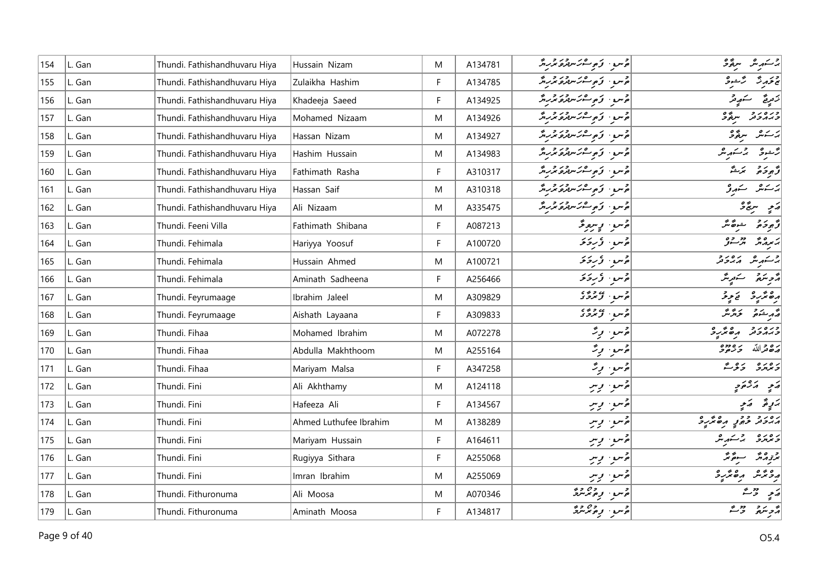| 154 | L. Gan | Thundi. Fathishandhuvaru Hiya | Hussain Nizam          | M           | A134781 | ترسع · تر محمد سر تر محمد مرسر مل                          | رحم مشرقة المستورجة<br>مستقرر مستورج            |
|-----|--------|-------------------------------|------------------------|-------------|---------|------------------------------------------------------------|-------------------------------------------------|
| 155 | L. Gan | Thundi. Fathishandhuvaru Hiya | Zulaikha Hashim        | F           | A134785 | ەس كەر شىر سىرى ئىرىد                                      | ە ئەھەر ج<br>سى                                 |
| 156 | L. Gan | Thundi. Fathishandhuvaru Hiya | Khadeeja Saeed         | F           | A134925 | ترسع · ئۇموسىرىسىرى ئۆرلىر                                 | تزمرچَّ<br>سکھریٹر                              |
| 157 | L. Gan | Thundi. Fathishandhuvaru Hiya | Mohamed Nizaam         | M           | A134926 | ە ئىس ، ئى ئەس ئىس ئىرىدىكى ئىرىدىگ                        | و ر ه ر د<br>تر پر ژ تر<br>سرچو                 |
| 158 | L. Gan | Thundi. Fathishandhuvaru Hiya | Hassan Nizam           | M           | A134927 | ج <sub>ا</sub> سو ، ك <sub>ە جو</sub> سەر سر برى بر برگ    | ئەسكەش سۇقر                                     |
| 159 | L. Gan | Thundi. Fathishandhuvaru Hiya | Hashim Hussain         | M           | A134983 | ەس ، ئ <sub>ەك</sub> رىش سىرتىرى كىرىد                     | جرىسەر بىر<br>ر<br>راسنبور                      |
| 160 | L. Gan | Thundi. Fathishandhuvaru Hiya | Fathimath Rasha        | F           | A310317 | ج <sub>ى</sub> سو · ئ <sub>ۇ جو</sub> ستىر سرچرى بىر بىر   | وٌمودَهُ - مَرْتُمُ                             |
| 161 | L. Gan | Thundi. Fathishandhuvaru Hiya | Hassan Saif            | M           | A310318 | ەس ، ئ <sub>ە</sub> ئەس ئەس <i>ۋە ترى</i> ر                | يرَسَدش سَنهروْ                                 |
| 162 | L. Gan | Thundi. Fathishandhuvaru Hiya | Ali Nizaam             | ${\sf M}$   | A335475 | جسد و كور مركز مركز برگزار<br>  جسد و كور مركز مركز برگزار | أوسم المتحدث                                    |
| 163 | L. Gan | Thundi. Feeni Villa           | Fathimath Shibana      | F.          | A087213 | ج <sub>و</sub> سو <sub>پ</sub> ولوگر                       | و مر د<br>تر مور مو<br>شو <del>ە</del> بىر<br>ب |
| 164 | L. Gan | Thundi. Fehimala              | Hariyya Yoosuf         | F           | A100720 | ە ئىب ئەرىخ<br>مۇسىي ئۈركى                                 | دد وه<br>در سور<br>بربره بز                     |
| 165 | L. Gan | Thundi. Fehimala              | Hussain Ahmed          | M           | A100721 | ەئىب ئەرىخ<br>م                                            | ج ڪهر شهر استادار جي حا                         |
| 166 | L. Gan | Thundi. Fehimala              | Aminath Sadheena       | F           | A256466 | ئوسو كوسرىخى                                               | ۇ جە ئىبرە<br>مەس<br>سكورىتر                    |
| 167 | L. Gan | Thundi. Feyrumaage            | Ibrahim Jaleel         | M           | A309829 | <br>  <sub>موسوع</sub> تومرد د                             | دەنزىر قور                                      |
| 168 | L. Gan | Thundi. Feyrumaage            | Aishath Layaana        | F           | A309833 | د سو کو برد د و                                            | ە ئەخسى ئۇرگىر                                  |
| 169 | L. Gan | Thundi. Fihaa                 | Mohamed Ibrahim        | M           | A072278 | ا موسو . وي <sup>ر</sup>                                   | ورەرو مەھرىرو                                   |
| 170 | L. Gan | Thundi. Fihaa                 | Abdulla Makhthoom      | M           | A255164 | پرسو ویژ                                                   | ەھىراللە<br>ر ه دوه<br>تر نوتر                  |
| 171 | L. Gan | Thundi. Fihaa                 | Mariyam Malsa          | F           | A347258 | قوسور ويرمح                                                | ر ه ر ه<br><del>د</del> بربرگر<br>ىر ئۇرىگە     |
| 172 | L. Gan | Thundi. Fini                  | Ali Akhthamy           | M           | A124118 | مۇسوم بويىر                                                | أأتو أكرام وتحاجم                               |
| 173 | L. Gan | Thundi. Fini                  | Hafeeza Ali            | F           | A134567 | قوسوم وبير                                                 | يَادٍ لَهُمْ الْمَاسِمِ                         |
| 174 | L. Gan | Thundi. Fini                  | Ahmed Luthufee Ibrahim | M           | A138289 | مۇسىي بولس                                                 | גפנג בבן גם ביב                                 |
| 175 | L. Gan | Thundi. Fini                  | Mariyam Hussain        | F           | A164611 | می سوید و سر                                               | رەرە جەكىرىگ                                    |
| 176 | L. Gan | Thundi. Fini                  | Rugiyya Sithara        | $\mathsf F$ | A255068 | قوسومبر موسر                                               | سەھ ئىر<br>ترترمرمر                             |
| 177 | L. Gan | Thundi. Fini                  | Imran Ibrahim          | M           | A255069 | مۇسىغ رىپىر                                                | 9790<br>برە ئۆرۈ                                |
| 178 | L. Gan | Thundi. Fithuronuma           | Ali Moosa              | M           | A070346 | م<br>موسع وموسيق                                           | أربم وحر                                        |
| 179 | L. Gan | Thundi. Fithuronuma           | Aminath Moosa          | F           | A134817 | ه مس وه دره<br>مسر بوه مسر                                 | ړ په ده ده د                                    |
|     |        |                               |                        |             |         |                                                            |                                                 |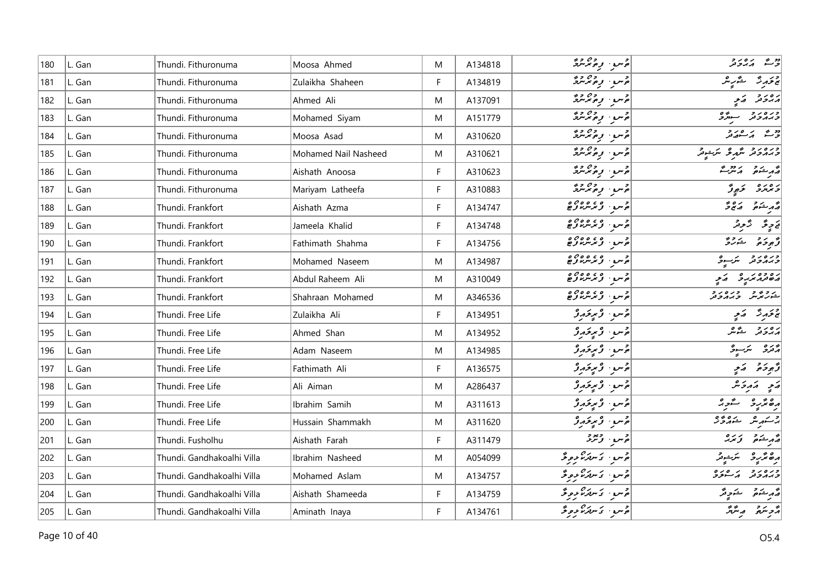| 180 | L. Gan | Thundi. Fithuronuma        | Moosa Ahmed          | M           | A134818 | اقم سور وه چې د د                                                 | وژنٹ پروژنو                                                                                           |
|-----|--------|----------------------------|----------------------|-------------|---------|-------------------------------------------------------------------|-------------------------------------------------------------------------------------------------------|
| 181 | L. Gan | Thundi. Fithuronuma        | Zulaikha Shaheen     | F           | A134819 | وسع وه بر در در د                                                 | ج تحديثر التقريباتر                                                                                   |
| 182 | L. Gan | Thundi. Fithuronuma        | Ahmed Ali            | M           | A137091 | په سومي ده درو <del>س</del>                                       | ره رو کړې                                                                                             |
| 183 | L. Gan | Thundi. Fithuronuma        | Mohamed Siyam        | M           | A151779 | ا محسن وه دره<br>امحسن وه مسر                                     | ورەرو سەۋە                                                                                            |
| 184 | L. Gan | Thundi. Fithuronuma        | Moosa Asad           | M           | A310620 | ام<br> مسموس موموسر                                               | وژنځ تر ۱۵ ور                                                                                         |
| 185 | L. Gan | Thundi. Fithuronuma        | Mohamed Nail Nasheed | M           | A310621 | ام سومبر وه برد.<br>مسرم برمونگر                                  | ورەرو شرو شەخ                                                                                         |
| 186 | L. Gan | Thundi. Fithuronuma        | Aishath Anoosa       | F           | A310623 | مۇسىق زەپرىدى<br>مەسى                                             | وكرم شكوته وكالمرتب                                                                                   |
| 187 | L. Gan | Thundi. Fithuronuma        | Mariyam Latheefa     | $\mathsf F$ | A310883 | ام<br>اموسع وموسر                                                 | د ۱۵ د پورگ                                                                                           |
| 188 | L. Gan | Thundi. Frankfort          | Aishath Azma         | F           | A134747 | وسع کو مرس د ه<br>  وسع کو مرس د و                                | وكرمشكم وكالحر                                                                                        |
| 189 | L. Gan | Thundi. Frankfort          | Jameela Khalid       | $\mathsf F$ | A134748 | و سو گرس ده ۵۵۰۰<br>مسو گرس در د                                  | لقحيظ المتحوظر                                                                                        |
| 190 | L. Gan | Thundi. Frankfort          | Fathimath Shahma     | F           | A134756 | وسء و و و و و و و<br>  وسع المح مرس تو تع                         | و و د د د د و                                                                                         |
| 191 | L. Gan | Thundi. Frankfort          | Mohamed Naseem       | M           | A134987 | ا د سو و ده ده ده و                                               | ورەرو شرىدۇ                                                                                           |
| 192 | L. Gan | Thundi. Frankfort          | Abdul Raheem Ali     | M           | A310049 |                                                                   | גם כסגב הב                                                                                            |
| 193 | L. Gan | Thundi. Frankfort          | Shahraan Mohamed     | M           | A346536 | -<br>  پوسو · ویمسر او م                                          | ر و د و د ور و د<br>خوربرس ور د د و تر                                                                |
| 194 | L. Gan | Thundi. Free Life          | Zulaikha Ali         | F           | A134951 | ج <sub>ەسمى</sub> ، ئ <sub>ۇ بېرىخەر بۇ</sub>                     | ة مُحَمَّدٍ مَّةً مِسْتَمَّةً مِسْتَمَّةً مِسْتَمَّةً مِسْتَمَّةً مِسْتَمَّةً مِسْتَمَّةً مِسْتَمَّةً |
| 195 | L. Gan | Thundi. Free Life          | Ahmed Shan           | M           | A134952 | ۇسىز ئۇ بېرىخەر بۇ                                                | رەرو ئەر                                                                                              |
| 196 | L. Gan | Thundi. Free Life          | Adam Naseem          | M           | A134985 | ە ئەسىس ئۇ <i>مېرىخەر</i> بۇ                                      | أردره الكرسور                                                                                         |
| 197 | L. Gan | Thundi. Free Life          | Fathimath Ali        | F           | A136575 | ۇسىن ۋىرچەرۋ                                                      | وٌمورَهُ<br>ەكىيە                                                                                     |
| 198 | L. Gan | Thundi. Free Life          | Ali Aiman            | M           | A286437 | ە ئىسىن ئۇ <i>مېرىخەر</i> بۇ                                      | ړې په دکړ                                                                                             |
| 199 | L. Gan | Thundi. Free Life          | Ibrahim Samih        | M           | A311613 | ئەسىر بۇ ئېرىخەر بۇ                                               | ە ھەترىر <sup>ە</sup>                                                                                 |
| 200 | L. Gan | Thundi. Free Life          | Hussain Shammakh     | M           | A311620 | ە ئەسىس ئۇ <i>مېرىخەر</i> بۇ                                      | جر س <sub>ک</sub> ر مگر<br>م<br>شەرە ئەر                                                              |
| 201 | L. Gan | Thundi. Fusholhu           | Aishath Farah        | F           | A311479 | پرسو <sub>پر و</sub> برد                                          | وكرما شكافي ومحربره                                                                                   |
| 202 | L. Gan | Thundi. Gandhakoalhi Villa | Ibrahim Nasheed      | M           | A054099 | ج <sub>ە</sub> سىم · ئەس <i>ىتى<sup>9</sup> موم</i> ۇ             | ى <i>ر ھىگرى ھى</i> كىنىدۇر<br>م                                                                      |
| 203 | L. Gan | Thundi. Gandhakoalhi Villa | Mohamed Aslam        | M           | A134757 | قرسع · ئەسەر كەرىپىدىگە                                           | ورەرو رەرە<br><i>دىد</i> ەرىر م <i>ە</i> سىز                                                          |
| 204 | L. Gan | Thundi. Gandhakoalhi Villa | Aishath Shameeda     | F           | A134759 | ج <sub>ە</sub> سمى- ئەس <i>ەركى موج</i> ىگە                       | لأرشكم الشكولة                                                                                        |
| 205 | L. Gan | Thundi. Gandhakoalhi Villa | Aminath Inaya        | F           | A134761 | <br>  <sub>جو</sub> سو · ئ <sup>ى</sup> س <sub></sub> ترىكى بەرگە | أأزجر ستراثه                                                                                          |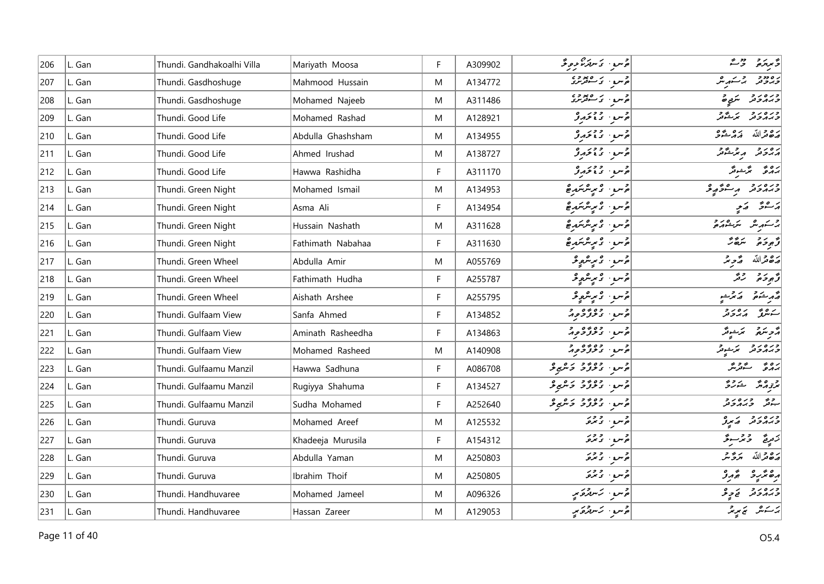| 206 | L. Gan  | Thundi. Gandhakoalhi Villa | Mariyath Moosa    | F  | A309902 | <br>  <sub>جو</sub> سو · ئ <sup>ى</sup> س <i>تىرىكى</i> رى | أومرمره وحث                   |
|-----|---------|----------------------------|-------------------|----|---------|------------------------------------------------------------|-------------------------------|
| 207 | L. Gan  | Thundi. Gasdhoshuge        | Mahmood Hussain   | M  | A134772 | و سرو ،   از ان و بر و د )<br>  ه سرو ،   از ک             | رەددە جەكتەش                  |
| 208 | L. Gan  | Thundi. Gasdhoshuge        | Mohamed Najeeb    | M  | A311486 | ج <sub>امع ک</sub> ے معر <i>و</i> ء                        | وره رو در د                   |
| 209 | L. Gan  | Thundi. Good Life          | Mohamed Rashad    | M  | A128921 | پرسو کی بی محمد رقم                                        | ورەرو پرېش<br>وبرووتر برېشتر  |
| 210 | L. Gan  | Thundi. Good Life          | Abdulla Ghashsham | M  | A134955 | ئ <sub>ۇسىغ ئ</sub> ەنجەر ۋ                                | رە قراللە ئەم شۇ              |
| 211 | L. Gan  | Thundi. Good Life          | Ahmed Irushad     | M  | A138727 | ۇسىس ئۇقتۇرۇ                                               | رەرد مەشقىر                   |
| 212 | L. Gan  | Thundi. Good Life          | Hawwa Rashidha    | F  | A311170 | ج <sub>ى</sub> سو بەلتىم تەرىپى<br>                        | رەپ ئۇجىتر                    |
| 213 | L. Gan  | Thundi. Green Night        | Mohamed Ismail    | M  | A134953 | ەسىم ئىس ئىر ئى <i>مەتم</i>                                | ورەرو بەسىۋېرو                |
| 214 | L. Gan  | Thundi. Green Night        | Asma Ali          | F  | A134954 | وسع كم ويترينكري                                           | أرماش أربح                    |
| 215 | L. Gan  | Thundi. Green Night        | Hussain Nashath   | M  | A311628 | قرسو · د مریٹر <i>یکر</i> ی                                | جر کور مگر شوره د             |
| 216 | L. Gan  | Thundi. Green Night        | Fathimath Nabahaa | F. | A311630 | وسع كوسي سترسط                                             | ژُودَهُ سَقَّرٌ               |
| 217 | L. Gan  | Thundi. Green Wheel        | Abdulla Amir      | M  | A055769 | وسع كوسي معروف                                             | أرَهُ مَرَاللّهُ مُدَّحِبَّهُ |
| 218 | L. Gan  | Thundi. Green Wheel        | Fathimath Hudha   | F  | A255787 | ج <sub>ە</sub> سىس ئىسپە سىر يېتىش ئى                      | د پوځ په د تر                 |
| 219 | LL. Gan | Thundi. Green Wheel        | Aishath Arshee    | F  | A255795 | وسع كوسي معروفة                                            | وكرمشكم وكالرمس               |
| 220 | L. Gan  | Thundi. Gulfaam View       | Sanfa Ahmed       | F  | A134852 | وسع محروفور                                                | ستسمة المرورو                 |
| 221 | L. Gan  | Thundi. Gulfaam View       | Aminath Rasheedha | F  | A134863 | وسع محرفر فرور                                             | أأترجع تمسيقه                 |
| 222 | L. Gan  | Thundi. Gulfaam View       | Mohamed Rasheed   | M  | A140908 | وسع محرفر فرور                                             | ورەرو بەيدۇ                   |
| 223 | L. Gan  | Thundi. Gulfaamu Manzil    | Hawwa Sadhuna     | F  | A086708 |                                                            | رە ئەدەر                      |
| 224 | L. Gan  | Thundi. Gulfaamu Manzil    | Rugiyya Shahuma   | F  | A134527 | مسوس ووژو ديمبو                                            | بروه شدده                     |
| 225 | L. Gan  | Thundi. Gulfaamu Manzil    | Sudha Mohamed     | F  | A252640 | أوسو وووود وموج                                            | رور وره رو<br>ساتر وبروروتر   |
| 226 | L. Gan  | Thundi. Guruva             | Mohamed Areef     | M  | A125532 | محسن د در                                                  | ورەرور كەيدۇ                  |
| 227 | L. Gan  | Thundi. Guruva             | Khadeeja Murusila | F  | A154312 | محسن حميد<br>  محسن حميد                                   | زَمِرِةً وَتَرْسِرَةً         |
| 228 | L. Gan  | Thundi. Guruva             | Abdulla Yaman     | M  | A250803 | په سوي د تروگر                                             | مَدْهُ مَرْ مَرَّكَّ مَرْ     |
| 229 | L. Gan  | Thundi. Guruva             | Ibrahim Thoif     | M  | A250805 | په سومبر د کره<br>  په سومبر د سره                         | مەھترىرى ئومرۇ                |
| 230 | L. Gan  | Thundi. Handhuvaree        | Mohamed Jameel    | M  | A096326 | ج <sub>ا</sub> سو · ئەس <i>ەقرەكى</i> يە                   | ورەر د دە                     |
| 231 | L. Gan  | Thundi. Handhuvaree        | Hassan Zareer     | M  | A129053 | توسع · سكس تركوسير                                         | يرسكون التج مويتر             |
|     |         |                            |                   |    |         |                                                            |                               |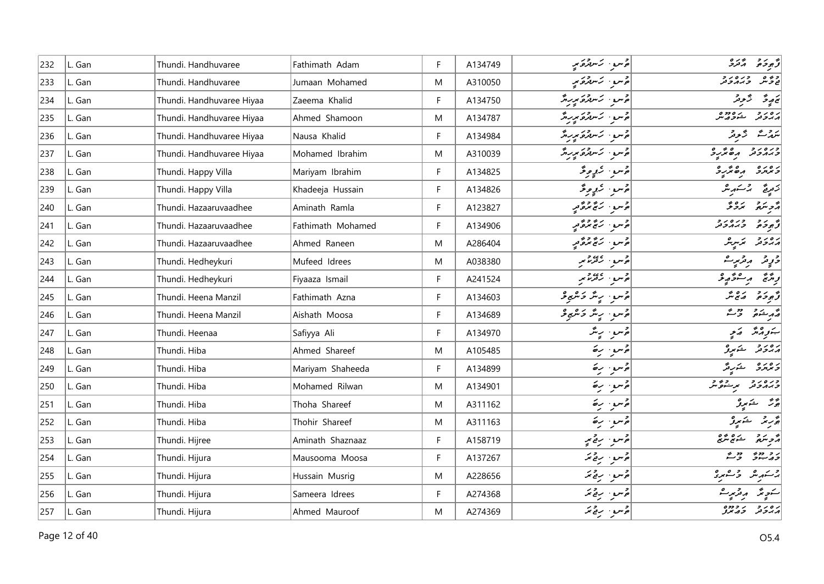| 232 | L. Gan | Thundi. Handhuvaree       | Fathimath Adam    | F           | A134749 | ج <sub>ا</sub> سو · سن پروگیر                | ق دو په ده د                                                    |
|-----|--------|---------------------------|-------------------|-------------|---------|----------------------------------------------|-----------------------------------------------------------------|
| 233 | L. Gan | Thundi. Handhuvaree       | Jumaan Mohamed    | M           | A310050 | ئوسو سكس تركوكير                             | و ره ر د<br><i>د ب</i> رگرفر<br>و پ <sub>چ</sub> ه<br>مع څر مگر |
| 234 | L. Gan | Thundi. Handhuvaree Hiyaa | Zaeema Khalid     | $\mathsf F$ | A134750 | قوسو · سكسرتركو مرسرتر                       | <br> تح مریحہ<br>رحموقر                                         |
| 235 | L. Gan | Thundi. Handhuvaree Hiyaa | Ahmed Shamoon     | M           | A134787 | قوسو : ئەس <i>ىۋە ئور</i> ىد                 | شەھ جو ھ<br>پروژو                                               |
| 236 | L. Gan | Thundi. Handhuvaree Hiyaa | Nausa Khalid      | F           | A134984 | ج <sub>ە</sub> سمى- ئەس <i>ىۋە ئېرىدى</i> گە | سَمَدُتْ - زَوتْر                                               |
| 237 | L. Gan | Thundi. Handhuvaree Hiyaa | Mohamed Ibrahim   | M           | A310039 | ئ <sub>ە</sub> سمى ئەس <i>تىرە ئېرىدى</i> گە | برە ئۆرپ<br>و ر ه ر د<br>تر پر ژ تر                             |
| 238 | L. Gan | Thundi. Happy Villa       | Mariyam Ibrahim   | F.          | A134825 | جوسو به محروجة                               | ەر ھەترىر <i>3</i><br>ر ه ر ه<br><del>ر</del> بربرگ             |
| 239 | L. Gan | Thundi. Happy Villa       | Khadeeja Hussain  | F           | A134826 | په سور کرېږمونځه                             | جرسئورىثر<br>تزىرى<br>ئىس                                       |
| 240 | L. Gan | Thundi. Hazaaruvaadhee    | Aminath Ramla     | F.          | A123827 | ج <sub>ى</sub> سمى ئىق ئىرغ <sup>ى</sup> ر   | ړٌ پر پره پر                                                    |
| 241 | L. Gan | Thundi. Hazaaruvaadhee    | Fathimath Mohamed | F           | A134906 | ئۇسىغ سى <i>ڭ ئىرەڭ ي</i> ر                  | و پر و پر و<br>تر ټر ټر تعر<br>ا قر بر حر                       |
| 242 | L. Gan | Thundi. Hazaaruvaadhee    | Ahmed Raneen      | M           | A286404 | ۋسويە سەنئە ئىرقەتبە                         | رەرد كەرگ                                                       |
| 243 | L. Gan | Thundi. Hedheykuri        | Mufeed Idrees     | M           | A038380 | <br>  <sub>موسوع</sub> ر <i>فرمام</i> ر      | دې په مرمرس کې                                                  |
| 244 | L. Gan | Thundi. Hedheykuri        | Fiyaaza Ismail    | F           | A241524 | <br>  مۇسىي سىتىرىنامىر                      | والمحمد المستحصر                                                |
| 245 | L. Gan | Thundi. Heena Manzil      | Fathimath Azna    | F           | A134603 | <sub>جمعوا</sub> پەنگە ئەنگى <sub>م</sub> ۇ  | ژوده پیش                                                        |
| 246 | L. Gan | Thundi. Heena Manzil      | Aishath Moosa     | F           | A134689 | ق <sub>ە</sub> سوم سە ئەمھىر قە              | ړه شوه ده ش                                                     |
| 247 | L. Gan | Thundi. Heenaa            | Safiyya Ali       | F           | A134970 | اقرسو <sub>: سی</sub> نڈ                     | بتورمز المتع                                                    |
| 248 | L. Gan | Thundi. Hiba              | Ahmed Shareef     | M           | A105485 | قوسع سريھَ                                   | دەر د شەمرى                                                     |
| 249 | L. Gan | Thundi. Hiba              | Mariyam Shaheeda  | F           | A134899 | قوسع سريقا                                   | و ه ره د شورتر                                                  |
| 250 | L. Gan | Thundi. Hiba              | Mohamed Rilwan    | M           | A134901 | قوسع سريرة                                   | ىر سەھەتىر<br>و ره ر د<br>تر پر ژکر                             |
| 251 | L. Gan | Thundi. Hiba              | Thoha Shareef     | M           | A311162 | قوسع سريرة                                   | پۇر شەيدۇ                                                       |
| 252 | L. Gan | Thundi. Hiba              | Thohir Shareef    | M           | A311163 | م سو رہ<br>م                                 | ۇرىز شەيرۇ                                                      |
| 253 | L. Gan | Thundi. Hijree            | Aminath Shaznaaz  | F           | A158719 | قوسو سر رقم بر<br>  قوسو سر رقم تو           | ړ په سرچ                                                        |
| 254 | L. Gan | Thundi. Hijura            | Mausooma Moosa    | F           | A137267 | هم سور سرقي تمه<br>   حراس سر                | ر و دونو<br>وړب د<br>دومثر                                      |
| 255 | L. Gan | Thundi. Hijura            | Hussain Musrig    | M           | A228656 | قوسور سقط تکه                                | برسكريش ومشرو                                                   |
| 256 | L. Gan | Thundi. Hijura            | Sameera Idrees    | F.          | A274368 | قوسور سقط تمه                                | سوپر پروترپرے                                                   |
| 257 | L. Gan | Thundi. Hijura            | Ahmed Mauroof     | M           | A274369 | ج <sub>و</sub> سو سرمع ئمه                   | גפגב גברכם<br>הגבע בהי <i>נ</i> צ                               |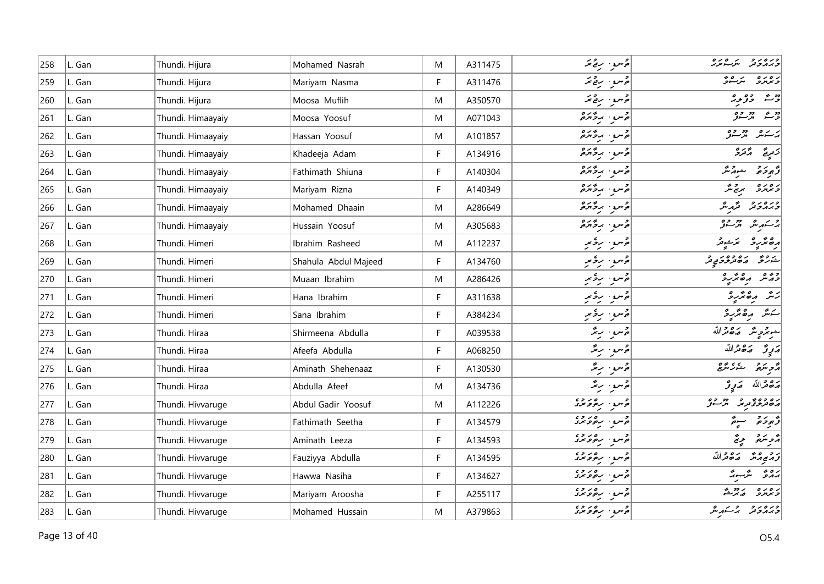| 258 | L. Gan | Thundi. Hijura    | Mohamed Nasrah       | M           | A311475 | ج <sub>و</sub> سو سریع تمر             | بترجيره<br>و ره ر و<br><i>و بر</i> پر تر                      |
|-----|--------|-------------------|----------------------|-------------|---------|----------------------------------------|---------------------------------------------------------------|
| 259 | L. Gan | Thundi. Hijura    | Mariyam Nasma        | F           | A311476 | پر سره برق <sub>ع</sub> تر             | ر ه ر ه<br><del>ر</del> بربر و<br>ىئەرسىتى                    |
| 260 | L. Gan | Thundi. Hijura    | Moosa Muflih         | M           | A350570 | قوسور سقط تر                           | وحث ووور                                                      |
| 261 | L. Gan | Thundi. Himaayaiy | Moosa Yoosuf         | M           | A071043 | په سوي برو بره<br>  په سوي برو بره     | در میں دور                                                    |
| 262 | L. Gan | Thundi. Himaayaiy | Hassan Yoosuf        | M           | A101857 | ام<br>موسع البرمرمو                    | برسەش بۇ يەدە                                                 |
| 263 | L. Gan | Thundi. Himaayaiy | Khadeeja Adam        | F           | A134916 | ه<br>موسع مرکز مرکز                    | زَمْرِيحَ " دُمْرَدُ                                          |
| 264 | L. Gan | Thundi. Himaayaiy | Fathimath Shiuna     | F           | A140304 | ه سو به دمه ده<br>موسو به رخ           | ژوځو جرمشر                                                    |
| 265 | L. Gan | Thundi. Himaayaiy | Mariyam Rizna        | $\mathsf F$ | A140349 | ه سو به دوره<br>د سو به دوره           | و درو برخ مگر                                                 |
| 266 | L. Gan | Thundi. Himaayaiy | Mohamed Dhaain       | M           | A286649 | همسو مسروره<br>  همسو مسروفه           | و ره ر و<br><i>د ب</i> رگرفر<br>قرٌم سُر                      |
| 267 | L. Gan | Thundi. Himaayaiy | Hussain Yoosuf       | M           | A305683 | وسع سر بر دره<br>  وسع سر بر دره       | جر س <sub>ور</sub> میں دور دہ<br>مرسمور                       |
| 268 | L. Gan | Thundi. Himeri    | Ibrahim Rasheed      | M           | A112237 | قوسو سرځ سر                            | رەڭرە كەشوقر                                                  |
| 269 | L. Gan | Thundi. Himeri    | Shahula Abdul Majeed | F.          | A134760 | ف <sub>و</sub> سو برځ بر               |                                                               |
| 270 | L. Gan | Thundi. Himeri    | Muaan Ibrahim        | M           | A286426 | ە بىرو، بەدىر                          | 1000 ROX10                                                    |
| 271 | L. Gan | Thundi. Himeri    | Hana Ibrahim         | F           | A311638 | ە ئىبرىس بەرىكىيە<br>مۇسىيە سىرىكە بىر | ريز مەمزىر                                                    |
| 272 | L. Gan | Thundi. Himeri    | Sana Ibrahim         | F           | A384234 | ه مور رځ بر                            | سَتَمَتَر رِهِ مَرْرِدْ                                       |
| 273 | L. Gan | Thundi. Hiraa     | Shirmeena Abdulla    | F           | A039538 | ە ئىسو، س <sup>ې</sup> ر               | شو <i>مزد مدّه مذه قر</i> اللّه                               |
| 274 | L. Gan | Thundi. Hiraa     | Afeefa Abdulla       | F           | A068250 | قوسور سبقه                             | أَصَرِيقَ صَصْحَدَاللَّهُ                                     |
| 275 | L. Gan | Thundi. Hiraa     | Aminath Shehenaaz    | F           | A130530 | مۇسى <sub>ر:</sub> رېتىر               | ۇ ئەسكە ئەسكە ئەسكە                                           |
| 276 | L. Gan | Thundi. Hiraa     | Abdulla Afeef        | M           | A134736 | ا پرسو، رېڅه                           | برە دانلە كەردۇ                                               |
| 277 | L. Gan | Thundi. Hivvaruge | Abdul Gadir Yoosuf   | M           | A112226 | د سو سره ورو ه<br>  موسو سره و سره     | ן פרס מי הקיים ברי פרס<br>המסתיק פרט מי ת                     |
| 278 | L. Gan | Thundi. Hivvaruge | Fathimath Seetha     | F           | A134579 | و<br>موسو به ره و بره                  | قرم و سومو                                                    |
| 279 | L. Gan | Thundi. Hivvaruge | Aminath Leeza        | $\mathsf F$ | A134593 | و<br>موسع المرموح مرد                  | ومحر الملحق المحبح                                            |
| 280 | L. Gan | Thundi. Hivvaruge | Fauziyya Abdulla     | F           | A134595 | اد سود ره دره در<br>اموسود سره و برد د | ترميم مهر محد الله                                            |
| 281 | L. Gan | Thundi. Hivvaruge | Hawwa Nasiha         | F           | A134627 | چس کو دی دی<br>  جو سو کو سر دی        | برەپچ<br>ىئرىبىدىر                                            |
| 282 | L. Gan | Thundi. Hivvaruge | Mariyam Aroosha      | F           | A255117 | چسع می مروم<br>  جو سع می مروم         | ر ه ر ه<br><del>د</del> بربرگر<br>ىر دىر مىگە<br>تەرىخى مىشكە |
| 283 | L. Gan | Thundi. Hivvaruge | Mohamed Hussain      | M           | A379863 | ه مرده<br>اموس رموم برده               | ورەرو ئەسەر                                                   |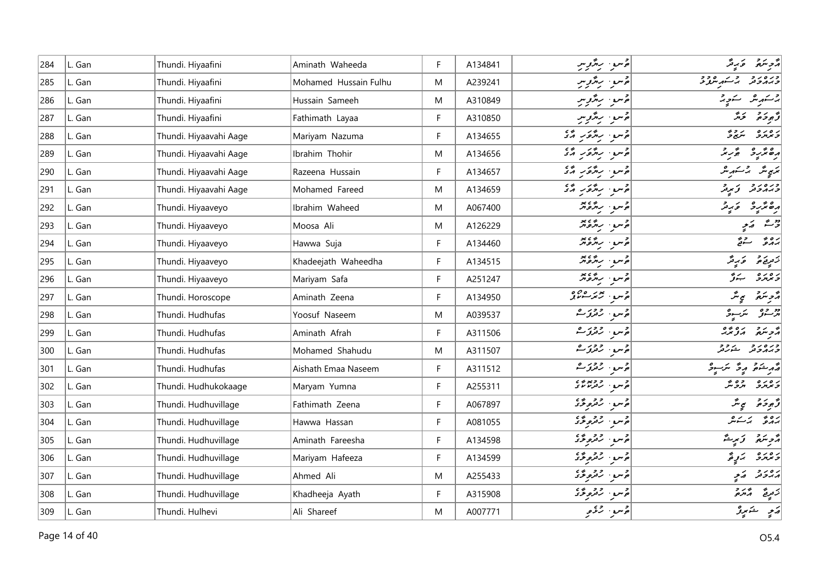| 284 | L. Gan | Thundi. Hiyaafini      | Aminath Waheeda       | F           | A134841 | ە ئىسىز بەرگە بىر<br>مەسىر بەرگە بەر                                                                              | أأروبتهم وكبيتر                        |
|-----|--------|------------------------|-----------------------|-------------|---------|-------------------------------------------------------------------------------------------------------------------|----------------------------------------|
| 285 | L. Gan | Thundi. Hiyaafini      | Mohamed Hussain Fulhu | M           | A239241 | <br>  <sub>مۇسمەس</sub> ىر ئەرىپەر                                                                                | כנסני ג' הניית בי                      |
| 286 | L. Gan | Thundi. Hiyaafini      | Hussain Sameeh        | M           | A310849 | ج <sub>و</sub> سرو سر سرگروینز                                                                                    | چە سىمە ھەر سىكى يەر                   |
| 287 | L. Gan | Thundi. Hiyaafini      | Fathimath Layaa       | F           | A310850 | قوسع · سرمرگوینز                                                                                                  | قەدە ئە                                |
| 288 | L. Gan | Thundi. Hiyaavahi Aage | Mariyam Nazuma        | F           | A134655 | ەسى <sub>ز س</sub> ىرەب مە                                                                                        | رەرە شەدە                              |
| 289 | L. Gan | Thundi. Hiyaavahi Aage | Ibrahim Thohir        | M           | A134656 | ه مسع المرشر المحمد المحمد                                                                                        | مەھترىرى بۇرىز                         |
| 290 | L. Gan | Thundi. Hiyaavahi Aage | Razeena Hussain       | $\mathsf F$ | A134657 | پسمبر سرچمبر چ <sup>ی</sup>                                                                                       | ىمپىق مەسىر                            |
| 291 | L. Gan | Thundi. Hiyaavahi Aage | Mohamed Fareed        | M           | A134659 | فحسو بترقر فجمي                                                                                                   | ورەر ئى ئەيد                           |
| 292 | L. Gan | Thundi. Hiyaaveyo      | Ibrahim Waheed        | M           | A067400 | می سد به سره می میرا<br>  می سد به سره میرا                                                                       | مەھەر ئەيدىر                           |
| 293 | L. Gan | Thundi. Hiyaaveyo      | Moosa Ali             | M           | A126229 | <br>  می سرع سر سر شرح اثر                                                                                        | چرمش که پر                             |
| 294 | L. Gan | Thundi. Hiyaaveyo      | Hawwa Suja            | F.          | A134460 | ا هم سرور بر در در بر<br>استخراج استر بر در در در برای در برای در برای در برای در برای کرده برای کردن برای کردن ب | سترة<br>ر ه و<br>پروڅ                  |
| 295 | L. Gan | Thundi. Hiyaaveyo      | Khadeejath Waheedha   | F           | A134515 | پرس بروی<br>  پرس                                                                                                 | زَمِرِيَمْ = وَرِمَّرٌ                 |
| 296 | L. Gan | Thundi. Hiyaaveyo      | Mariyam Safa          | F           | A251247 | مسعود سر مسعود                                                                                                    | ر ه ر ه<br><del>ر</del> بربرگ<br>سەتى  |
| 297 | L. Gan | Thundi. Horoscope      | Aminath Zeena         | $\mathsf F$ | A134950 | ج <sub>و</sub> سو به سمیر ۱۹۵ <u>۰</u>                                                                            | أترجر تنغم بمجتنز                      |
| 298 | L. Gan | Thundi. Hudhufas       | Yoosuf Naseem         | M           | A039537 | ئەسىغ ئەقرۇشە                                                                                                     | پورے تو سرے دی                         |
| 299 | L. Gan | Thundi. Hudhufas       | Aminath Afrah         | F           | A311506 | ەسىر ئىقرۇش                                                                                                       | ومحاصره المتمام والمحرم                |
| 300 | L. Gan | Thundi. Hudhufas       | Mohamed Shahudu       | M           | A311507 | ئ <sub>ەسمى</sub> جۇرى م                                                                                          | ور ەر و سەر و و<br><i>وبر م</i> رىتر   |
| 301 | L. Gan | Thundi. Hudhufas       | Aishath Emaa Naseem   | F.          | A311512 | ئ <sub>ەسمى</sub> ئەزۇر م                                                                                         | ۇرىشقى رېڭ سەسرى                       |
| 302 | L. Gan | Thundi. Hudhukokaage   | Maryam Yumna          | F           | A255311 | مسموس مقرم ديني<br>  موسموس مقرم موس                                                                              | پرویژ<br>ر ه ر ه<br><del>د</del> بربرگ |
| 303 | L. Gan | Thundi. Hudhuvillage   | Fathimath Zeena       | F           | A067897 | پرسويہ حقر پر دی<br>  پرسویہ حقر پر قری                                                                           | تزود تو شر                             |
| 304 | L. Gan | Thundi. Hudhuvillage   | Hawwa Hassan          | F           | A081055 | توسع · سنقر پر تونجه د                                                                                            | رەپ رىكە                               |
| 305 | L. Gan | Thundi. Hudhuvillage   | Aminath Fareesha      | F           | A134598 | توسع · سنقر پر تونجه د                                                                                            | أزويتم ترميشا                          |
| 306 | L. Gan | Thundi. Hudhuvillage   | Mariyam Hafeeza       | $\mathsf F$ | A134599 | جسد به محتفر محمد                                                                                                 | د ډېرو گرېږو                           |
| 307 | L. Gan | Thundi. Hudhuvillage   | Ahmed Ali             | M           | A255433 | جسعى خصر عرفة كا                                                                                                  | پروژ په کامي                           |
| 308 | L. Gan | Thundi. Hudhuvillage   | Khadheeja Ayath       | $\mathsf F$ | A315908 | جىسو بەشرىرىگە                                                                                                    | پر د<br>د <del>ب</del> رمح<br>  ترموقح |
| 309 | L. Gan | Thundi. Hulhevi        | Ali Shareef           | M           | A007771 | محسن شرعتي                                                                                                        | ړې خېږ                                 |
|     |        |                        |                       |             |         |                                                                                                                   |                                        |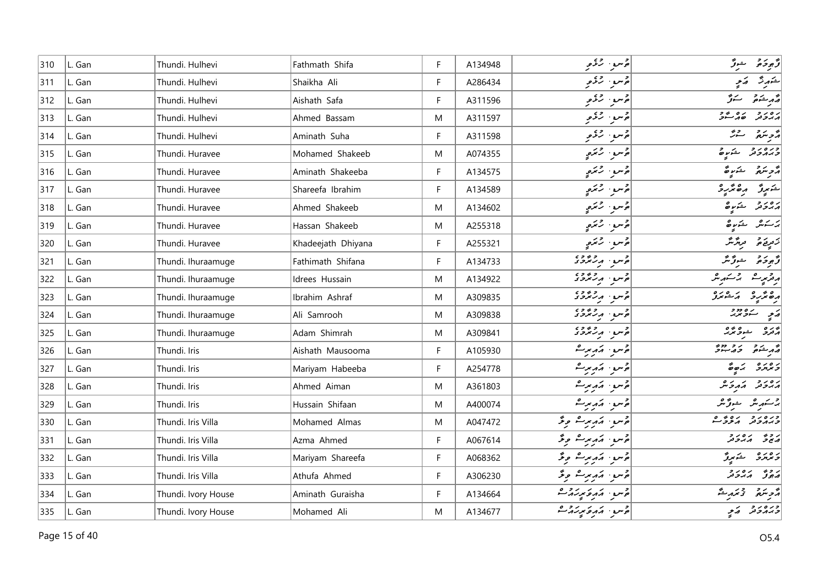| 310 | L. Gan | Thundi. Hulhevi     | Fathmath Shifa     | F         | A134948 | قوسع محتفظ                                  | ا تو جو چر ج<br>ا                         |
|-----|--------|---------------------|--------------------|-----------|---------|---------------------------------------------|-------------------------------------------|
| 311 | L. Gan | Thundi. Hulhevi     | Shaikha Ali        | F         | A286434 | مۇسىز بەلگەمچە                              | ختمرتز<br>ەكىپى                           |
| 312 | L. Gan | Thundi. Hulhevi     | Aishath Safa       | F         | A311596 | پرسور جنگمو                                 | ۇرمىشى كۆ                                 |
| 313 | L. Gan | Thundi. Hulhevi     | Ahmed Bassam       | M         | A311597 | قوسور رحمو                                  | بر ٥ پر ۶<br>د بر <del>د</del> تر<br>ەدمە |
| 314 | L. Gan | Thundi. Hulhevi     | Aminath Suha       | F         | A311598 | پر سويہ رشو پر                              | ړ په ديده د کشتر                          |
| 315 | L. Gan | Thundi. Huravee     | Mohamed Shakeeb    | M         | A074355 | مۇسى <sub>ر:</sub> خ <sub>ىمكى</sub>        | ورەرو شەرە                                |
| 316 | L. Gan | Thundi. Huravee     | Aminath Shakeeba   | F         | A134575 | پرسوس محتمد <sub>ي</sub>                    | أزويتهم يخبرة                             |
| 317 | L. Gan | Thundi. Huravee     | Shareefa Ibrahim   | F         | A134589 | مۇسىغ - شەئىر<br>                           | شويرۇ بەھ ئەير د                          |
| 318 | L. Gan | Thundi. Huravee     | Ahmed Shakeeb      | ${\sf M}$ | A134602 | پرسورا جندي                                 | رەرو خىرە                                 |
| 319 | L. Gan | Thundi. Huravee     | Hassan Shakeeb     | M         | A255318 | ج <sub>و</sub> سو به رقمهٔ ج                | بركس يئروه                                |
| 320 | L. Gan | Thundi. Huravee     | Khadeejath Dhiyana | F         | A255321 | قوسو به مح تمريح                            | تزمرة وترتر ترامله                        |
| 321 | L. Gan | Thundi. Ihuraamuge  | Fathimath Shifana  | F         | A134733 | چسع مسر مرسم ده و                           | ژ <sub>م</sub> وځو موژنتر                 |
| 322 | L. Gan | Thundi. Ihuraamuge  | Idrees Hussain     | M         | A134922 | چسع مسر مرسم ده و                           | روز برے بر شہر شہر<br>م                   |
| 323 | L. Gan | Thundi. Ihuraamuge  | Ibrahim Ashraf     | ${\sf M}$ | A309835 | په سويه د برخود و                           | دەنزىرە بەشىر                             |
| 324 | L. Gan | Thundi. Ihuraamuge  | Ali Samrooh        | ${\sf M}$ | A309838 | په سويه د برخ <sub>ص</sub> و <del>،</del>   | ار ده سوه دوم<br>المرس                    |
| 325 | L. Gan | Thundi. Ihuraamuge  | Adam Shimrah       | ${\sf M}$ | A309841 | په سويه د بر جرحه و                         | وره جود و                                 |
| 326 | L. Gan | Thundi. Iris        | Aishath Mausooma   | F         | A105930 | قوسع ممرسة                                  | وكرمائي والمردوح                          |
| 327 | L. Gan | Thundi. Iris        | Mariyam Habeeba    | F         | A254778 | قرسع أمرسية                                 | ره ره برصو                                |
| 328 | L. Gan | Thundi. Iris        | Ahmed Aiman        | M         | A361803 | ج <sub>ي</sub> سو په م <sub>د مر</sub> م    | המכנה התכיל                               |
| 329 | L. Gan | Thundi. Iris        | Hussain Shifaan    | M         | A400074 | جسع مرتبر م                                 | چرىكىرىكى ھۆگەنگە                         |
| 330 | L. Gan | Thundi. Iris Villa  | Mohamed Almas      | M         | A047472 | قوسع مرتمزيت وقح                            | ورەرو رەپرە<br>چەمەدىر مۇرگىس             |
| 331 | L. Gan | Thundi. Iris Villa  | Azma Ahmed         | F         | A067614 | فحسوا مهرمرت وقح                            | روه رورو                                  |
| 332 | L. Gan | Thundi. Iris Villa  | Mariyam Shareefa   | F         | A068362 | فحسوا مرمريشه وقحه                          | د ۱۵ د سکاپروگر                           |
| 333 | L. Gan | Thundi. Iris Villa  | Athufa Ahmed       | F         | A306230 | پېښو مەمرىشوقى<br>                          | גבל גפנב                                  |
| 334 | L. Gan | Thundi. Ivory House | Aminath Guraisha   | F         | A134664 | ج <sub>ى</sub> سمى ئەر <i>ەكمىيەنى</i> گە   | أأدجم والمحمد                             |
| 335 | L. Gan | Thundi. Ivory House | Mohamed Ali        | ${\sf M}$ | A134677 | ج <sub>ى</sub> سو، ئەر <i>ەكىبەن</i> ەم<br> | ورەر دىر                                  |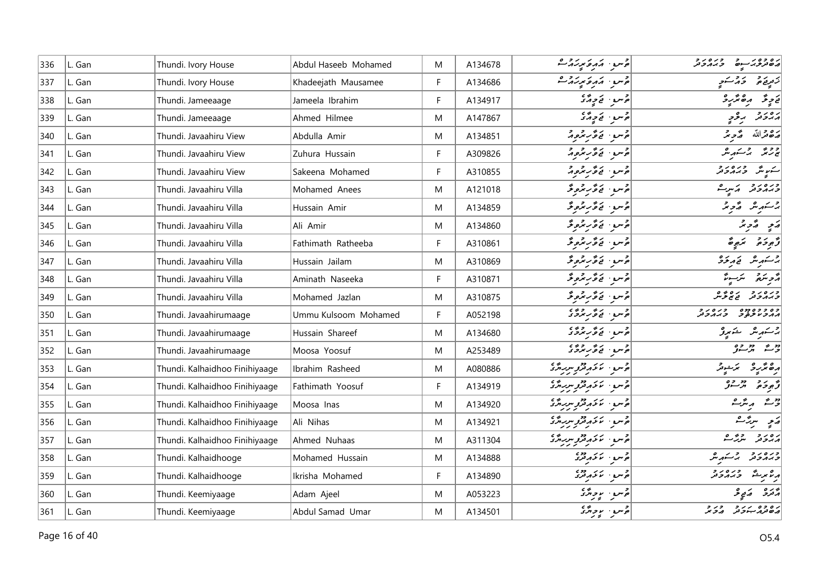| 336 | L. Gan | Thundi. Ivory House            | Abdul Haseeb Mohamed | M  | A134678 | قوسع <i>من مركز من مركز م</i>                               | נסכם מ- כנסגב<br>הסתבה יים בההכת              |
|-----|--------|--------------------------------|----------------------|----|---------|-------------------------------------------------------------|-----------------------------------------------|
| 337 | L. Gan | Thundi. Ivory House            | Khadeejath Mausamee  | F  | A134686 | ج <sub>ى</sub> سمى ئەر <i>ەكىرىن</i> ە ئە                   | تَرْمِيعَ حَمْ السَوْرِ                       |
| 338 | L. Gan | Thundi. Jameeaage              | Jameela Ibrahim      | F. | A134917 | جُسع نَج جِهْدَ                                             | غ جي علي صحيح سرحة الس                        |
| 339 | L. Gan | Thundi. Jameeaage              | Ahmed Hilmee         | M  | A147867 | توسع · توپر تو                                              | رەرو بەۋە                                     |
| 340 | L. Gan | Thundi. Javaahiru View         | Abdulla Amir         | M  | A134851 | جسع الحاظر بخرجرقم                                          | مَصْعَراللّه مُحْجَمَه                        |
| 341 | L. Gan | Thundi. Javaahiru View         | Zuhura Hussain       | F  | A309826 | جسد نے قرسر مرحدہ                                           | ى ئەنگەر ئەسكەر بىر                           |
| 342 | L. Gan | Thundi. Javaahiru View         | Sakeena Mohamed      | F  | A310855 | جسعة للمحاسبة حرجرهم                                        | سَرِيش ويرەرو                                 |
| 343 | L. Gan | Thundi. Javaahiru Villa        | Mohamed Anees        | M  | A121018 | ج <sub>ە</sub> سو، ئ <sub>ە</sub> ئ <sub>ە</sub> ر بر بر بر | ورەرو كېږگ                                    |
| 344 | L. Gan | Thundi. Javaahiru Villa        | Hussain Amir         | M  | A134859 | جسعة للمفرسفيوقر                                            | يز ستهر شر مرَّ پر تر                         |
| 345 | L. Gan | Thundi. Javaahiru Villa        | Ali Amir             | M  | A134860 |                                                             | أميس مجمعية                                   |
| 346 | L. Gan | Thundi. Javaahiru Villa        | Fathimath Ratheeba   | F. | A310861 | جسع نقو تحرير مرجوعة                                        | رُّمِ رَحَمَ يَرَمِينَّ                       |
| 347 | L. Gan | Thundi. Javaahiru Villa        | Hussain Jailam       | M  | A310869 | جسع نقو تحرير مرجوعة                                        | جرشر مقربحر                                   |
| 348 | L. Gan | Thundi. Javaahiru Villa        | Aminath Naseeka      | F  | A310871 | ج <sub>ا</sub> سو به <sub>مح</sub> تور مرتبر برگر برگر<br>  | ومحر يتكونه الترسينة                          |
| 349 | L. Gan | Thundi. Javaahiru Villa        | Mohamed Jazlan       | M  | A310875 | جسع نقو تحرير مرجوعه                                        | ورەرو رەپ<br><i>دى</i> رمەتر يى <i>غ</i> ۇش   |
| 350 | L. Gan | Thundi. Javaahirumaage         | Ummu Kulsoom Mohamed | F  | A052198 | وسع مستحرم بروي                                             | כם כבס בכם כנסניב<br>ההבעי <i>בפיבי</i> בגהבת |
| 351 | L. Gan | Thundi. Javaahirumaage         | Hussain Shareef      | M  | A134680 | جسع المحافظ بالمحدث                                         | چەسىر شەھىرى                                  |
| 352 | L. Gan | Thundi. Javaahirumaage         | Moosa Yoosuf         | M  | A253489 | ج <sub>امع</sub> موسطح بر جروري<br>  جو سع موسطح بر جروري   | در میں دور                                    |
| 353 | L. Gan | Thundi. Kalhaidhoo Finihiyaage | Ibrahim Rasheed      | M  | A080886 | قرسع · سکور قرو سربر مرگز<br>  قرسع · سکور قرو بربر         | رە ئەر ئەسىمى ئە                              |
| 354 | L. Gan | Thundi. Kalhaidhoo Finihiyaage | Fathimath Yoosuf     | F  | A134919 | ئۇسىغ · سۈنكەر قىزىرسىرىدىگە ئە                             | دد حره<br>در سور<br>ۇ بوخ <sup>ە</sup>        |
| 355 | L. Gan | Thundi. Kalhaidhoo Finihiyaage | Moosa Inas           | M  | A134920 | ئۇسىز سىكىر قرىر سرىرە ئىكى<br>                             | دی مشتر<br>حراکت<br>ەربىر مىشە                |
| 356 | L. Gan | Thundi. Kalhaidhoo Finihiyaage | Ali Nihas            | M  | A134921 | ئۇسىغ · سۈنكەر قۇر سرىيەتتى كە                              | أريمو المبرر محمد                             |
| 357 | L. Gan | Thundi. Kalhaidhoo Finihiyaage | Ahmed Nuhaas         | M  | A311304 | ئۇسىغ · سىكەر قىزىر سىرىدىگە ئە                             | رەرد دور                                      |
| 358 | L. Gan | Thundi. Kalhaidhooge           | Mohamed Hussain      | M  | A134888 | چې سويە سومرىيە<br>  جو سويە سومرىيە                        | ورەرو ورىدىگ                                  |
| 359 | L. Gan | Thundi. Kalhaidhooge           | Ikrisha Mohamed      | F. | A134890 | ج <sub>امع</sub> ، سر کرده ده م                             | دره بريد ورور د<br>در مريد ورور د             |
| 360 | L. Gan | Thundi. Keemiyaage             | Adam Ajeel           | M  | A053223 | ه من سوچری<br>موسیقی                                        | وره <sub>مک</sub> وی                          |
| 361 | L. Gan | Thundi. Keemiyaage             | Abdul Samad Umar     | M  | A134501 | ه مس سوره<br>مس                                             | גם כם גגב"ם בגב<br>הם בקה-הכבר הכב            |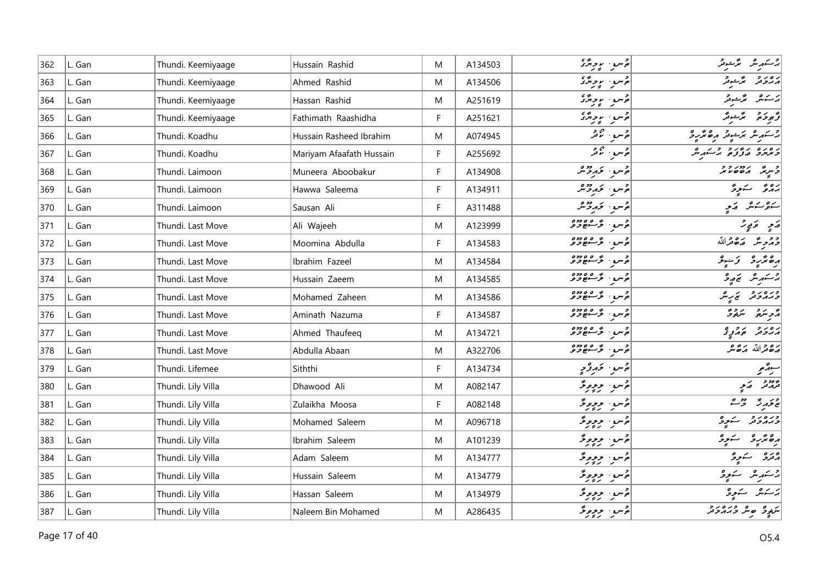| 362 | L. Gan | Thundi. Keemiyaage | Hussain Rashid           | M           | A134503 | ه سو سوچري<br>موسو سوچري                                                                                                                                            | ر<br>ایر سکهر مگر مگر شونگر               |
|-----|--------|--------------------|--------------------------|-------------|---------|---------------------------------------------------------------------------------------------------------------------------------------------------------------------|-------------------------------------------|
| 363 | L. Gan | Thundi. Keemiyaage | Ahmed Rashid             | M           | A134506 |                                                                                                                                                                     | رەر ئەشەر                                 |
| 364 | L. Gan | Thundi. Keemiyaage | Hassan Rashid            | M           | A251619 | <br>  پۇسو، سوچرى                                                                                                                                                   | بر کے مگر مگر شونڈ<br> بر کے مگر مگر مگر  |
| 365 | L. Gan | Thundi. Keemiyaage | Fathimath Raashidha      | F           | A251621 | <br>  پۇسو سوچرى                                                                                                                                                    | ۇ بەر ئەسىر                               |
| 366 | L. Gan | Thundi. Koadhu     | Hussain Rasheed Ibrahim  | M           | A074945 | ام سو مړينې<br>موس                                                                                                                                                  | ج ڪرم ڪر ڪي مصر ج                         |
| 367 | L. Gan | Thundi. Koadhu     | Mariyam Afaafath Hussain | $\mathsf F$ | A255692 | مهرسو به جوړ <del>.</del><br>  م <sub>ه</sub> رسو به عمقر                                                                                                           | נים נייני ביניים.<br>כינונים הצצם גייתיים |
| 368 | L. Gan | Thundi. Laimoon    | Muneera Aboobakur        | F           | A134908 | پرسويہ ځوړو تنگر                                                                                                                                                    | 77/20/10<br>د سرپر<br>په                  |
| 369 | L. Gan | Thundi. Laimoon    | Hawwa Saleema            | F           | A134911 | ە ئەسىس <i>خەرجى</i> گە                                                                                                                                             | پروۇ سەردۇ                                |
| 370 | L. Gan | Thundi. Laimoon    | Sausan Ali               | F           | A311488 | ئۇسىق ئىر <i>ەتق</i>                                                                                                                                                | سور سور کرم                               |
| 371 | L. Gan | Thundi. Last Move  | Ali Wajeeh               | M           | A123999 | وسع گرموچو                                                                                                                                                          | پر سمبر تر تر حراحت                       |
| 372 | L. Gan | Thundi. Last Move  | Moomina Abdulla          | F           | A134583 | د سو موسوم<br>  د سو موسوم                                                                                                                                          | وترويتر الاقترالله                        |
| 373 | L. Gan | Thundi. Last Move  | Ibrahim Fazeel           | M           | A134584 | مهر ديد و معروم <br>  مهر ديد مشخص معروم                                                                                                                            | ەھترىرى ئەسىر<br>رەتترىق ئەسىر            |
| 374 | L. Gan | Thundi. Last Move  | Hussain Zaeem            | M           | A134585 | ج <sub>اسع :</sub> بحر عاصر <i>ه</i>                                                                                                                                | جسكر مع المحرمة و                         |
| 375 | L. Gan | Thundi. Last Move  | Mohamed Zaheen           | M           | A134586 | ا د سو گرموړه<br>مر                                                                                                                                                 | ورەرو پرېر                                |
| 376 | L. Gan | Thundi. Last Move  | Aminath Nazuma           | $\mathsf F$ | A134587 | ا د سو و مورده<br>اوسو گر موجود                                                                                                                                     | أأزوبتره لتروو                            |
| 377 | L. Gan | Thundi. Last Move  | Ahmed Thaufeeq           | M           | A134721 | <sub>جې سو</sub> ، ئۇس <sub>ى</sub> ھوجو                                                                                                                            | د ه د د د د و ه                           |
| 378 | L. Gan | Thundi. Last Move  | Abdulla Abaan            | M           | A322706 | چ <sub>سمع:</sub> بۇ سەھ <i>ج</i> و                                                                                                                                 | بَرْحْ قَرْاللَّهُ بَرَحَّ سَرَ           |
| 379 | L. Gan | Thundi. Lifemee    | Siththi                  | F.          | A134734 |                                                                                                                                                                     | سىدە بو                                   |
| 380 | L. Gan | Thundi. Lily Villa | Dhawood Ali              | M           | A082147 | په سوء رو دورمحه<br>  په سوء رو رو ر                                                                                                                                | المح <del>دد</del><br>المرار مرم          |
| 381 | L. Gan | Thundi. Lily Villa | Zulaikha Moosa           | F           | A082148 | پھر موجود پر محمد اللہ میں اللہ میں اللہ میں<br> <br>  پھر مسلم کر میں سر میں اللہ میں اللہ میں اللہ میں اللہ میں اللہ میں اللہ میں اللہ میں اللہ میں اللہ میں اللہ | ة <i>وَ<sub>م</sub>دة</i> وَسَّة          |
| 382 | L. Gan | Thundi. Lily Villa | Mohamed Saleem           | M           | A096718 | پرسو سوپولوگر                                                                                                                                                       | ورەرو سەرو                                |
| 383 | L. Gan | Thundi. Lily Villa | Ibrahim Saleem           | M           | A101239 | ە ئىب مورو ئ                                                                                                                                                        | رە ئەر ئىرو                               |
| 384 | L. Gan | Thundi. Lily Villa | Adam Saleem              | M           | A134777 | ە ئىب مورو ئ                                                                                                                                                        | أأترو سكورة                               |
| 385 | L. Gan | Thundi. Lily Villa | Hussain Saleem           | M           | A134779 | پڻسو، موجوعة                                                                                                                                                        | چەسىر سىر ئىستىر                          |
| 386 | L. Gan | Thundi. Lily Villa | Hassan Saleem            | M           | A134979 | په سوءِ روپورتو<br>                                                                                                                                                 | برسكر سكوو                                |
| 387 | L. Gan | Thundi. Lily Villa | Naleem Bin Mohamed       | M           | A286435 | ە ئىب موروڭر<br>مەسىر مۇر                                                                                                                                           | أشهوه صمر وره رو                          |
|     |        |                    |                          |             |         |                                                                                                                                                                     |                                           |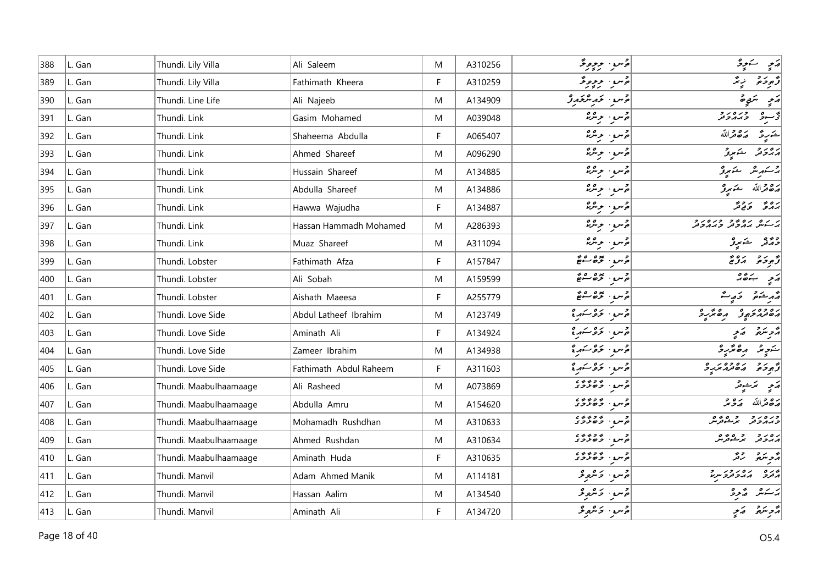| 388 | L. Gan | Thundi. Lily Villa     | Ali Saleem             | M         | A310256 | ە ئىبىيە بىر بىر بىرگە<br>مەسىر                                                                                                                                                                                                  | سەمەيە<br>$rac{2}{\sqrt{2}}$              |
|-----|--------|------------------------|------------------------|-----------|---------|----------------------------------------------------------------------------------------------------------------------------------------------------------------------------------------------------------------------------------|-------------------------------------------|
| 389 | L. Gan | Thundi. Lily Villa     | Fathimath Kheera       | F         | A310259 | پېښو ، موجود ته                                                                                                                                                                                                                  | و<br>ترجو حرم                             |
| 390 | L. Gan | Thundi. Line Life      | Ali Najeeb             | M         | A134909 | ة بين <i>خديد محمد و</i>                                                                                                                                                                                                         | ړ په سر <sub>کنې</sub> ه                  |
| 391 | L. Gan | Thundi. Link           | Gasim Mohamed          | M         | A039048 | پرسو <sub>: مو</sub> یرہ<br>                                                                                                                                                                                                     | و ر ه ر و<br>تر پروتر<br>وي سور<br>ر      |
| 392 | L. Gan | Thundi. Link           | Shaheema Abdulla       | F         | A065407 | رسمي مريقة                                                                                                                                                                                                                       | المشررة<br>ەھىراللە                       |
| 393 | L. Gan | Thundi. Link           | Ahmed Shareef          | M         | A096290 | فؤسو وبثره                                                                                                                                                                                                                       | پرورو شکرو                                |
| 394 | L. Gan | Thundi. Link           | Hussain Shareef        | M         | A134885 | قوسور مريقه                                                                                                                                                                                                                      | برسكهر شكيرو                              |
| 395 | L. Gan | Thundi. Link           | Abdulla Shareef        | M         | A134886 | ا چ <sub>سمه م</sub> وشره<br>ا                                                                                                                                                                                                   | رەت <sub>ىر</sub> للە خ <i>ەمبىر</i>      |
| 396 | L. Gan | Thundi. Link           | Hawwa Wajudha          | F         | A134887 | رحمان ويقريم                                                                                                                                                                                                                     | ره د د و په                               |
| 397 | L. Gan | Thundi. Link           | Hassan Hammadh Mohamed | M         | A286393 | رسموسو مرتكز                                                                                                                                                                                                                     | ر کره ده ده دره در <del>د</del>           |
| 398 | L. Gan | Thundi. Link           | Muaz Shareef           | M         | A311094 | رحمان مرتقبة                                                                                                                                                                                                                     | وە ئۇ سىمبىر                              |
| 399 | L. Gan | Thundi. Lobster        | Fathimath Afza         | F         | A157847 | $rac{1}{2}$                                                                                                                                                                                                                      | توجدة روء                                 |
| 400 | L. Gan | Thundi. Lobster        | Ali Sobah              | M         | A159599 | ج <sub>اسع :</sub> محرّة مصرّة                                                                                                                                                                                                   | $rac{1}{200}$                             |
| 401 | L. Gan | Thundi. Lobster        | Aishath Maeesa         | F         | A255779 | مسموسي مصريح<br>  موسموسي مصريح                                                                                                                                                                                                  | وكرشكم وكالمحم                            |
| 402 | L. Gan | Thundi. Love Side      | Abdul Latheef Ibrahim  | M         | A123749 | وسع متحرق مسكور و                                                                                                                                                                                                                | גם כסגם בי הסתניק                         |
| 403 | L. Gan | Thundi. Love Side      | Aminath Ali            | F         | A134924 | جسع محركة مسكورة                                                                                                                                                                                                                 | أأترسم أأأتمني                            |
| 404 | L. Gan | Thundi. Love Side      | Zameer Ibrahim         | M         | A134938 | ج <sub>اسع :</sub> نحره شهر هم                                                                                                                                                                                                   |                                           |
| 405 | L. Gan | Thundi. Love Side      | Fathimath Abdul Raheem | F         | A311603 | ج <sub>و</sub> سو، ئۇھ سى <i>نى</i> دە                                                                                                                                                                                           | ره وه در و<br>ا تو پر تر د                |
| 406 | L. Gan | Thundi. Maabulhaamaage | Ali Rasheed            | M         | A073869 | ا دسور موده در در کار در کار در کار در کار در کار در کار در کار در کار در کار در کار در کار در کار در کار در ک<br>افزار در کار در کار کار کار در کار در کار در کار در کار در کار در کار در کار در کار در کار در کار در کار در کا | أوكمني المخرجون                           |
| 407 | L. Gan | Thundi. Maabulhaamaage | Abdulla Amru           | M         | A154620 | اد<br>  موسو به دولوی                                                                                                                                                                                                            | مَصْعَرالله مَرْحَمَّد                    |
| 408 | L. Gan | Thundi. Maabulhaamaage | Mohamadh Rushdhan      | ${\sf M}$ | A310633 |                                                                                                                                                                                                                                  | وره رو وه ده.<br><i>و پروونو پر</i> شوترس |
| 409 | L. Gan | Thundi. Maabulhaamaage | Ahmed Rushdan          | M         | A310634 | پېښې د څونو دي.<br>  پېښې د څونو دي.                                                                                                                                                                                             | ره رو وه ده.<br>پرېرونر برېشوترس          |
| 410 | L. Gan | Thundi. Maabulhaamaage | Aminath Huda           | F         | A310635 | <br>  په سو گه محمد څخه د                                                                                                                                                                                                        | أأروبتهم رقد                              |
| 411 | L. Gan | Thundi. Manvil         | Adam Ahmed Manik       | ${\sf M}$ | A114181 |                                                                                                                                                                                                                                  | وره ده دور در<br>مدرد مدونروس             |
| 412 | L. Gan | Thundi. Manvil         | Hassan Aalim           | M         | A134540 | جمسع سنحتفرغر                                                                                                                                                                                                                    | يركسكر المرود                             |
| 413 | L. Gan | Thundi. Manvil         | Aminath Ali            | F         | A134720 | مسمع الحسموقى                                                                                                                                                                                                                    | أزوينهم أرمح                              |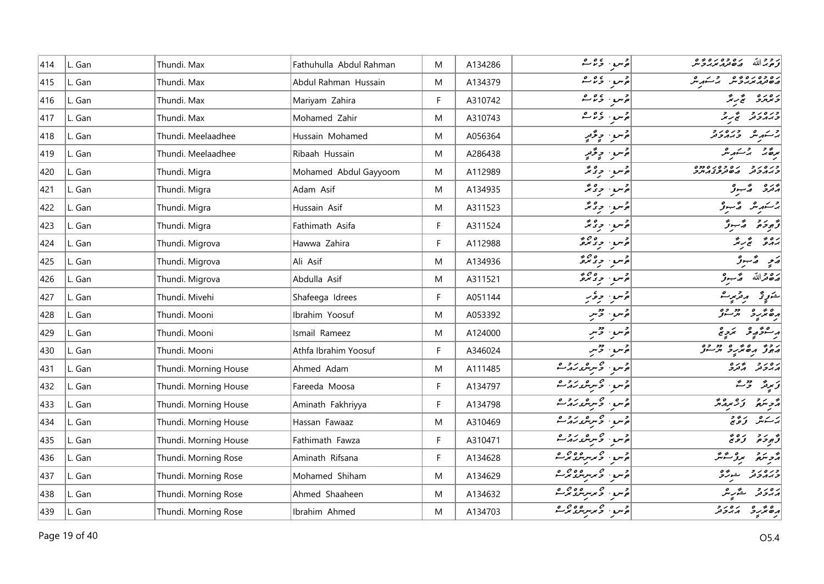| 414 | L. Gan | Thundi. Max           | Fathuhulla Abdul Rahman | M         | A134286 | په سوي ص                                                                                                                                                                                                                         | ر ٥ ۶ ٥ ٥ ٥ ٥ ٠<br>پر ه تو پر بحر بر څ<br>ترحر شرالله     |
|-----|--------|-----------------------|-------------------------|-----------|---------|----------------------------------------------------------------------------------------------------------------------------------------------------------------------------------------------------------------------------------|-----------------------------------------------------------|
| 415 | L. Gan | Thundi. Max           | Abdul Rahman Hussain    | M         | A134379 | ئۇسو، خەم شە                                                                                                                                                                                                                     | رەدەرەپەر برىكىر                                          |
| 416 | L. Gan | Thundi. Max           | Mariyam Zahira          | F         | A310742 | محسوم وه <mark>ع</mark>                                                                                                                                                                                                          | و ده ده و مخر مگر                                         |
| 417 | L. Gan | Thundi. Max           | Mohamed Zahir           | M         | A310743 | جوسع محرم عرف                                                                                                                                                                                                                    | وره دو و د                                                |
| 418 | L. Gan | Thundi. Meelaadhee    | Hussain Mohamed         | M         | A056364 | مهر، ويؤديه                                                                                                                                                                                                                      | ج کے مرکز حرم دور                                         |
| 419 | L. Gan | Thundi. Meelaadhee    | Ribaah Hussain          | M         | A286438 | ۾ <sub>سرو</sub> . <sub>حي</sub> وَ <sub>سي</sub>                                                                                                                                                                                | برەج بر شهر س                                             |
| 420 | L. Gan | Thundi. Migra         | Mohamed Abdul Gayyoom   | M         | A112989 | و سو ا دره پر                                                                                                                                                                                                                    | כנסני נסיכמים בכם<br><i>כג</i> ונכי ומסיני <i>ב ב</i> ונכ |
| 421 | L. Gan | Thundi. Migra         | Adam Asif               | ${\sf M}$ | A134935 | و سو به دره<br>موسو به در                                                                                                                                                                                                        | و دره و چې په و                                           |
| 422 | L. Gan | Thundi. Migra         | Hussain Asif            | ${\sf M}$ | A311523 | همسور حرمة                                                                                                                                                                                                                       | برسكر مر مركب وكل                                         |
| 423 | L. Gan | Thundi. Migra         | Fathimath Asifa         | F         | A311524 | پرسو په <i>د</i> وند                                                                                                                                                                                                             | ۇ بوزى<br>ر گر -- رگر                                     |
| 424 | L. Gan | Thundi. Migrova       | Hawwa Zahira            | F         | A112988 | میں دیکھ<br>  میں دیکھ                                                                                                                                                                                                           | برە ئەستىر بىر                                            |
| 425 | L. Gan | Thundi. Migrova       | Ali Asif                | M         | A134936 | می سوء الله عرضه<br>  می سوء الله عرضه                                                                                                                                                                                           | أەسم و المسبوقر                                           |
| 426 | L. Gan | Thundi. Migrova       | Abdulla Asif            | M         | A311521 | اړس د ورځمه                                                                                                                                                                                                                      | مَەھقراللە مەجو                                           |
| 427 | L. Gan | Thundi. Mivehi        | Shafeega Idrees         | F         | A051144 | په سو موغه په                                                                                                                                                                                                                    | شورٍ قدم مرتزمور هو                                       |
| 428 | L. Gan | Thundi. Mooni         | Ibrahim Yoosuf          | M         | A053392 | ۾ سوي <sup>5</sup> شر                                                                                                                                                                                                            | دەنزىرە دورە                                              |
| 429 | L. Gan | Thundi. Mooni         | Ismail Rameez           | ${\sf M}$ | A124000 | پر سو مستقبله<br>  پر سو مستقبل                                                                                                                                                                                                  | وستوصفه يزدنج                                             |
| 430 | L. Gan | Thundi. Mooni         | Athfa Ibrahim Yoosuf    | F         | A346024 | پر سو سنتخ سر                                                                                                                                                                                                                    | ן כל הסתקב ת-כם                                           |
| 431 | L. Gan | Thundi. Morning House | Ahmed Adam              | M         | A111485 | جسو · ئۇسىدىدىكى                                                                                                                                                                                                                 | ره رح ده<br>پرېدن پرتر                                    |
| 432 | L. Gan | Thundi. Morning House | Fareeda Moosa           | F         | A134797 | ۇس <sub>ىر</sub> . گېرى <i>گەن</i> گە                                                                                                                                                                                            | زىرىد 3-                                                  |
| 433 | L. Gan | Thundi. Morning House | Aminath Fakhriyya       | F         | A134798 | ج <sub>ە</sub> سو. ك <sup>ى</sup> رىكرىدىك                                                                                                                                                                                       | تر ژ بر در ژ<br>أرمز سرة                                  |
| 434 | L. Gan | Thundi. Morning House | Hassan Fawaaz           | ${\sf M}$ | A310469 | ۇس <sub>ىر: ك</sub> ېرىئ <sub>ىدىك</sub> رم                                                                                                                                                                                      | برسەش ئەھىم                                               |
| 435 | L. Gan | Thundi. Morning House | Fathimath Fawza         | F         | A310471 | ەسمىي ئۇس <sub>لى</sub> رىدىكەت                                                                                                                                                                                                  | وٌجِ حَرَمٌ وَ وَ حَ                                      |
| 436 | L. Gan | Thundi. Morning Rose  | Aminath Rifsana         | F         | A134628 | جسور كو <i>مرس مركز مرك</i>                                                                                                                                                                                                      | ۇ ئەسكە ئىسرى ئىسىگە                                      |
| 437 | L. Gan | Thundi. Morning Rose  | Mohamed Shiham          | ${\sf M}$ | A134629 | ئ <sub>ەسمى</sub> كەرسىر شىمىت كەت                                                                                                                                                                                               | ورەر د شەرە                                               |
| 438 | L. Gan | Thundi. Morning Rose  | Ahmed Shaaheen          | M         | A134632 | جسور ك <i>امرسر مركز كرك</i>                                                                                                                                                                                                     | پره د د مشمر شر                                           |
| 439 | L. Gan | Thundi. Morning Rose  | Ibrahim Ahmed           | ${\sf M}$ | A134703 | جسد و مستعدد علم المستعدد المستعدد المستعدد المستعدد المستعدد المستعدد المستعدد المستعدد المستعدد<br>  المستعدد المستعدد المستعدد المستعدد المستعدد المستعدد المستعدد المستعدد المستعدد المستعدد المستعدد المستعدد<br>  المستعدد | ת ביציב המכת                                              |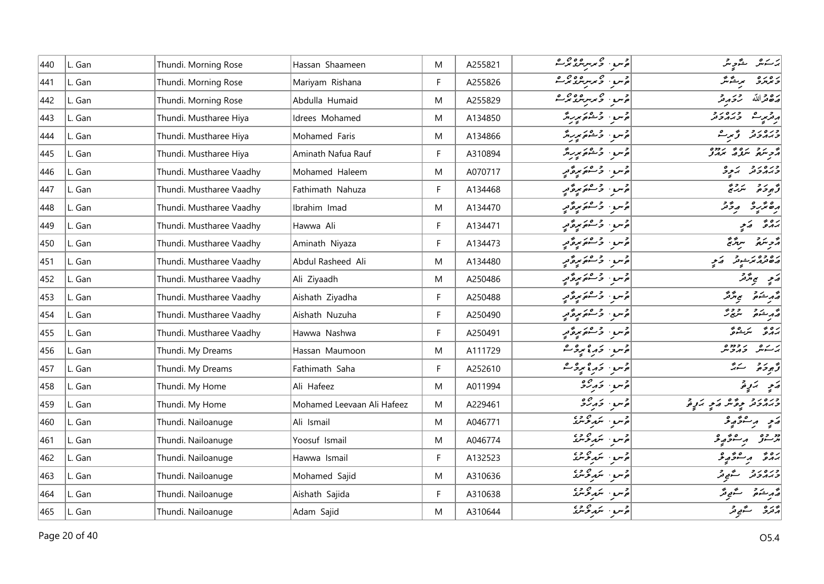| 440 | L. Gan | Thundi. Morning Rose     | Hassan Shaameen            | M  | A255821 | قرسو · كو مرسر مروم مرك                                                   | يركبش المقربار                                                                                                                                                                                                                  |
|-----|--------|--------------------------|----------------------------|----|---------|---------------------------------------------------------------------------|---------------------------------------------------------------------------------------------------------------------------------------------------------------------------------------------------------------------------------|
| 441 | L. Gan | Thundi. Morning Rose     | Mariyam Rishana            | F. | A255826 | قرس كو مرس مركز مركبة                                                     | رەرە برىشىر                                                                                                                                                                                                                     |
| 442 | L. Gan | Thundi. Morning Rose     | Abdulla Humaid             | M  | A255829 | جسوم كو مرسر مرور مرك                                                     | حەم بىر<br>مە <del>كە</del> بەر<br>برە تراللە                                                                                                                                                                                   |
| 443 | L. Gan | Thundi. Mustharee Hiya   | Idrees Mohamed             | M  | A134850 | ج <sub>ا</sub> سو : تر ش <sub>ا</sub> عر سر پر<br>  جو سو : تر شاعر تر پر | ەر قرىر مە                                                                                                                                                                                                                      |
| 444 | L. Gan | Thundi. Mustharee Hiya   | Mohamed Faris              | M  | A134866 | ج <sub>ەسمۇ</sub> ، ج <sup>ەھ</sup> ەتمەر ب <sup>ە</sup> ر                | ورەرو ۋىرگ                                                                                                                                                                                                                      |
| 445 | L. Gan | Thundi. Mustharee Hiya   | Aminath Nafua Rauf         | F  | A310894 | ەسو ئەھەمرىد                                                              | ה<br>הכיתם יינג' יהונ                                                                                                                                                                                                           |
| 446 | L. Gan | Thundi. Mustharee Vaadhy | Mohamed Haleem             | M  | A070717 | ج <sub>ەسمە س</sub> ەھ ئەھ بىرە تىر                                       | ورەر دېرو                                                                                                                                                                                                                       |
| 447 | L. Gan | Thundi. Mustharee Vaadhy | Fathimath Nahuza           | F  | A134468 | <br>  ئۇسو، بالاستىم بىرەگەر                                              | توجدة المرداني                                                                                                                                                                                                                  |
| 448 | L. Gan | Thundi. Mustharee Vaadhy | Ibrahim Imad               | M  | A134470 | د سو موسى پرځ مړ                                                          | رە ئۆر ئەر ئە                                                                                                                                                                                                                   |
| 449 | L. Gan | Thundi. Mustharee Vaadhy | Hawwa Ali                  | F  | A134471 | ق <sub>ە</sub> سرى- ئ <sup>ې</sup> ش <i>ەھ بېرە</i> ڭ بېر                 | پروڅ اړمو                                                                                                                                                                                                                       |
| 450 | L. Gan | Thundi. Mustharee Vaadhy | Aminath Niyaza             | F  | A134473 | <br>  موسو · بالمستفوير محمد علم                                          | הכתב תחי                                                                                                                                                                                                                        |
| 451 | L. Gan | Thundi. Mustharee Vaadhy | Abdul Rasheed Ali          | M  | A134480 | <i>قىس</i> و · باقى <i>قىر قى</i> رىدىنى بىر                              | גם כם גבוב הב                                                                                                                                                                                                                   |
| 452 | L. Gan | Thundi. Mustharee Vaadhy | Ali Ziyaadh                | M  | A250486 | <sub>م</sub> سع کو مست <i>م بره</i> مر                                    | أوسم يتوقد                                                                                                                                                                                                                      |
| 453 | L. Gan | Thundi. Mustharee Vaadhy | Aishath Ziyadha            | F  | A250488 | <i>وسع - ج<sup>و</sup>سوءَ برو</i> گور                                    | د<br>مگر شکو سم گرفگر                                                                                                                                                                                                           |
| 454 | L. Gan | Thundi. Mustharee Vaadhy | Aishath Nuzuha             | F  | A250490 | ە ئىرىس ئىقسى ئىس ئىرى <i>مى</i> ئىر                                      | و در دره در در در در در کار کرد کرد کرد که بر کرد کرد که در کار کرد که در کار کرد که با کرد که در کار کرد که ا<br>مرکز که کار کرد که در کار کرد کرد کرد کرد کرد کرد کرد که برای کرد که بر کرد که کرد که کرد که برای کرد کرد کرد |
| 455 | L. Gan | Thundi. Mustharee Vaadhy | Hawwa Nashwa               | F. | A250491 | په سو سره سره سره سر                                                      | برە ئەسكىشى ئە                                                                                                                                                                                                                  |
| 456 | L. Gan | Thundi. My Dreams        | Hassan Maumoon             | M  | A111729 | <sub>قو</sub> سو بە ئەرەبىر ئە                                            | برَسەپىر<br>ىر د دە ھ                                                                                                                                                                                                           |
| 457 | L. Gan | Thundi. My Dreams        | Fathimath Saha             | F. | A252610 | م سو به دره برد .<br>م                                                    | وٌ و دو سُنگ                                                                                                                                                                                                                    |
| 458 | L. Gan | Thundi. My Home          | Ali Hafeez                 | M  | A011994 | په سوي <sub>ند</sub> ځور شو                                               | ړکو پر کړې                                                                                                                                                                                                                      |
| 459 | L. Gan | Thundi. My Home          | Mohamed Leevaan Ali Hafeez | M  | A229461 | په سويې ځه پر صحي                                                         | ورەرو پەر كەپ رۇپ                                                                                                                                                                                                               |
| 460 | L. Gan | Thundi. Nailoanuge       | Ali Ismail                 | M  | A046771 | ج <sub>ا</sub> سو · سَمبر محسند                                           | أرزم برسود ويحر                                                                                                                                                                                                                 |
| 461 | L. Gan | Thundi. Nailoanuge       | Yoosuf Ismail              | M  | A046774 | ەسمىي شەھ بىرى<br>م                                                       | در ده په ده و                                                                                                                                                                                                                   |
| 462 | L. Gan | Thundi. Nailoanuge       | Hawwa Ismail               | F  | A132523 | ەسمىي سىرىمىتىگە                                                          | بروء برسوء و                                                                                                                                                                                                                    |
| 463 | L. Gan | Thundi. Nailoanuge       | Mohamed Sajid              | M  | A310636 | په سويې سرمرح وي                                                          | ورەرو گەي تر                                                                                                                                                                                                                    |
| 464 | L. Gan | Thundi. Nailoanuge       | Aishath Sajida             | F. | A310638 | ج <sub>وسع:</sub> سَمَ <i>دِ ج</i> سمَّد                                  | وكرم شكرته                                                                                                                                                                                                                      |
| 465 | L. Gan | Thundi. Nailoanuge       | Adam Sajid                 | M  | A310644 | مسموسية مستمر عبد المسموسية<br> -                                         | ر ده در در در در در استفراند به در استفراند به در استفراند برای در استفرانستاند بر استفرانستاند برای کار در اس<br>در استفرانستان                                                                                                |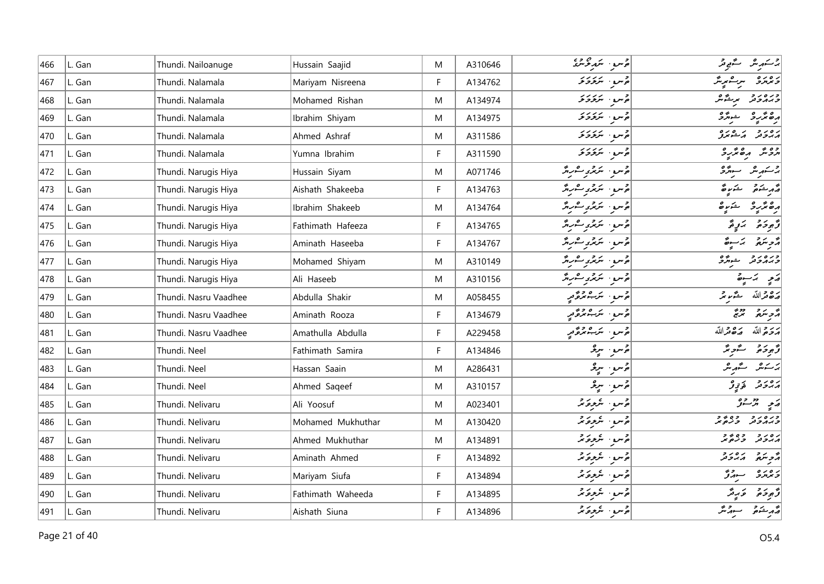| 466 | L. Gan | Thundi. Nailoanuge    | Hussain Saajid    | M  | A310646 | ۇسىي سەھ شرى                                    | چرىسىمبە ھەم يەتقى                                         |
|-----|--------|-----------------------|-------------------|----|---------|-------------------------------------------------|------------------------------------------------------------|
| 467 | L. Gan | Thundi. Nalamala      | Mariyam Nisreena  | F. | A134762 | ۇسىي ئىرىخۇ                                     | ر ه ر ه                                                    |
| 468 | L. Gan | Thundi. Nalamala      | Mohamed Rishan    | M  | A134974 | ۇس ئىزۇدۇ                                       | و ر ه ر د<br>تر پر ژ تر<br>ىرىشەشر                         |
| 469 | L. Gan | Thundi. Nalamala      | Ibrahim Shiyam    | M  | A134975 | ئەسىر سىزىخە                                    | ە ھەترىرى<br>رەھىرىرى<br>شودگر ژ                           |
| 470 | L. Gan | Thundi. Nalamala      | Ahmed Ashraf      | M  | A311586 | ئەسىر بىر ئەزىر                                 | رەرو كەشەرە                                                |
| 471 | L. Gan | Thundi. Nalamala      | Yumna Ibrahim     | F  | A311590 | ئەسىب ئىرى ئەكتە                                | תכית תסיתיב                                                |
| 472 | L. Gan | Thundi. Narugis Hiya  | Hussain Siyam     | M  | A071746 | ج <sub>و</sub> سو به سرچر <sub>ی</sub> کردید    |                                                            |
| 473 | L. Gan | Thundi. Narugis Hiya  | Aishath Shakeeba  | F  | A134763 | ە ئىبرو · ئىزىر ئىرىدۇ.<br>مۇسرو · ئىزىر ئىبرىر | و د سنده شورهٔ<br>در سنده                                  |
| 474 | L. Gan | Thundi. Narugis Hiya  | Ibrahim Shakeeb   | M  | A134764 | قوسعة التكريمور مشريرةً                         | رەنزىر خىرە                                                |
| 475 | L. Gan | Thundi. Narugis Hiya  | Fathimath Hafeeza | F  | A134765 | ق <sub>ە</sub> سو، ئىر <i>ىزى سارەڭ</i>         | توجوخوا الترامج                                            |
| 476 | L. Gan | Thundi. Narugis Hiya  | Aminath Haseeba   | F. | A134767 | <br>  پوسو · سربری سور پر                       | ړې تر پر په په                                             |
| 477 | L. Gan | Thundi. Narugis Hiya  | Mohamed Shiyam    | M  | A310149 | قوسو به سر پر محمد مرکز میکرد<br> -             | ور ہ ر د<br>تر پر پر پر شوا <i>ئر تر</i>                   |
| 478 | L. Gan | Thundi. Narugis Hiya  | Ali Haseeb        | M  | A310156 | ق <sub>ە</sub> سمىز، ئىزىر ئىرىدۇر              | ړې پر سره                                                  |
| 479 | L. Gan | Thundi. Nasru Vaadhee | Abdulla Shakir    | M  | A058455 | ج <sub>ەمىع</sub> سىر يىرى قوي <sub>ر</sub>     | رەقمەللە ھەمبە                                             |
| 480 | L. Gan | Thundi. Nasru Vaadhee | Aminath Rooza     | F  | A134679 | ە ئىرىسى ئىسىسىدى ئىر                           |                                                            |
| 481 | L. Gan | Thundi. Nasru Vaadhee | Amathulla Abdulla | F  | A229458 | جسد سر سر مرتدر در                              | ەھىراللە<br>برترة الله                                     |
| 482 | L. Gan | Thundi. Neel          | Fathimath Samira  | F  | A134846 | قرسو بيرچر                                      | أقهوخهم الشعريم                                            |
| 483 | L. Gan | Thundi. Neel          | Hassan Saain      | M  | A286431 | په سوير سرچه                                    | ىرىكى سەربىر                                               |
| 484 | L. Gan | Thundi. Neel          | Ahmed Saqeef      | M  | A310157 | ۇس <sub>ىر</sub> . س <sub>ى</sub> رگە           | ره در در در در در باره کنده کند.<br>در امریکای کنده کارونو |
| 485 | L. Gan | Thundi. Nelivaru      | Ali Yoosuf        | M  | A023401 | پرسو <sub>: م</sub> تربر ترک                    | أەيم مرحبي                                                 |
| 486 | L. Gan | Thundi. Nelivaru      | Mohamed Mukhuthar | M  | A130420 | پەس <sub>ىر:</sub> مە <sub>رى</sub> رى ئە       | 2202 22022<br>22020 2302                                   |
| 487 | L. Gan | Thundi. Nelivaru      | Ahmed Mukhuthar   | M  | A134891 | ئ <sub>ەسمى</sub> شرىرى ئە                      | גם גב בסמב<br>הגבע בליתיו                                  |
| 488 | L. Gan | Thundi. Nelivaru      | Aminath Ahmed     | F  | A134892 | پھرس موسیقی کر<br>  پھرس                        | أأروسكم أراد وراد                                          |
| 489 | L. Gan | Thundi. Nelivaru      | Mariyam Siufa     | F  | A134894 | ئەسىر، ئىگرىرىگە                                | ر ہ ر ہ<br><del>ر</del> بربر ژ<br>سىدۇ                     |
| 490 | L. Gan | Thundi. Nelivaru      | Fathimath Waheeda | F. | A134895 | پرسو <sub>: م</sub> تر <i>وؤنڈ</i>              | وٌجوحَہُ وَرِمَّہُ                                         |
| 491 | L. Gan | Thundi. Nelivaru      | Aishath Siuna     | F  | A134896 | په سوءِ مگر <i>وند</i>                          | أقرم شؤو سوقر تنز                                          |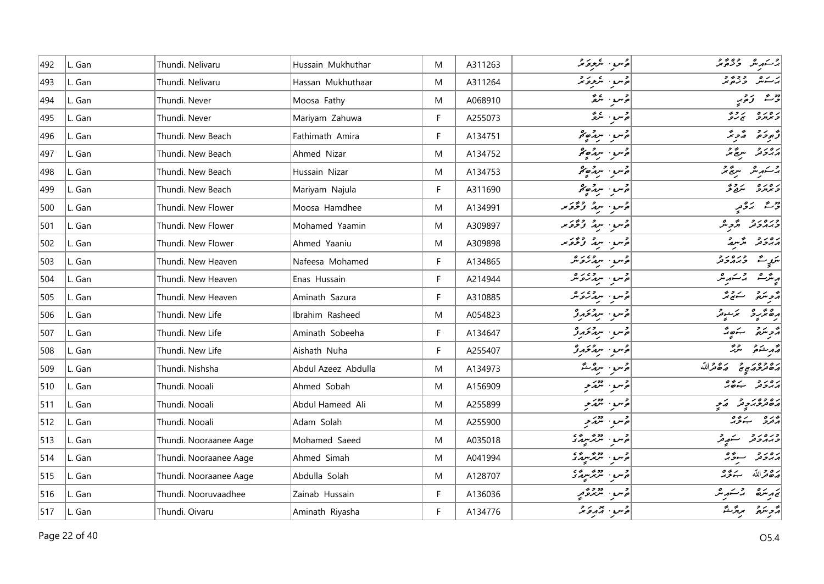| 492 | L. Gan | Thundi. Nelivaru       | Hussain Mukhuthar   | M           | A311263 | مۇسىر بىر ئىرىدىگە                                                                                    | ج سەر سىر جەم جاي                                 |
|-----|--------|------------------------|---------------------|-------------|---------|-------------------------------------------------------------------------------------------------------|---------------------------------------------------|
| 493 | L. Gan | Thundi. Nelivaru       | Hassan Mukhuthaar   | M           | A311264 | ئەسىر، ئىگرىرىگە                                                                                      | برساند ودوو                                       |
| 494 | L. Gan | Thundi. Never          | Moosa Fathy         | M           | A068910 | جسع عق                                                                                                | ارد مع تورد به<br>الراحي توري                     |
| 495 | L. Gan | Thundi. Never          | Mariyam Zahuwa      | F.          | A255073 | محسور عمدًا                                                                                           | נים נים ניביל<br>בי <i>ניתים</i> י <u>מ</u> נים   |
| 496 | L. Gan | Thundi. New Beach      | Fathimath Amira     | F           | A134751 | $\begin{vmatrix} 2 & 2 & 4 \\ 6 & 4 & 1 \end{vmatrix}$                                                | ژودو ژوپژ                                         |
| 497 | L. Gan | Thundi. New Beach      | Ahmed Nizar         | M           | A134752 | $\begin{bmatrix} \mathcal{S}_{\varphi} & \mathcal{S}_{\varphi} & \mathcal{S}_{\varphi} \end{bmatrix}$ | גפנג תוציב                                        |
| 498 | L. Gan | Thundi. New Beach      | Hussain Nizar       | M           | A134753 | جس سرچينې                                                                                             | يز سنهر شريح بر                                   |
| 499 | L. Gan | Thundi. New Beach      | Mariyam Najula      | F           | A311690 |                                                                                                       | رەرە روپ <sub>ى</sub>                             |
| 500 | L. Gan | Thundi. New Flower     | Moosa Hamdhee       | M           | A134991 | ج <sub>ا</sub> سو سرچ و څوکه پر                                                                       | أرحث بروبر                                        |
| 501 | L. Gan | Thundi. New Flower     | Mohamed Yaamin      | M           | A309897 | ئوسويا سرقم قرقر تحديد                                                                                | ورەرو ئورش                                        |
| 502 | L. Gan | Thundi. New Flower     | Ahmed Yaaniu        | M           | A309898 | اقم سوء سرقم ترتور<br>المسمود سرقم ترتوري                                                             | גם ג' הציינה                                      |
| 503 | L. Gan | Thundi. New Heaven     | Nafeesa Mohamed     | $\mathsf F$ | A134865 | ئۇس <sub>ىغ</sub> . س <sub>ى</sub> رتمەتكەنگە                                                         | يترو عدد حدد حدد حدد                              |
| 504 | L. Gan | Thundi. New Heaven     | Enas Hussain        | F.          | A214944 | ج <sub>ا</sub> سو سرچر <sub>ى مى</sub>                                                                | پەنگەشقا ئەستىرىش                                 |
| 505 | L. Gan | Thundi. New Heaven     | Aminath Sazura      | $\mathsf F$ | A310885 | ج <sub>ە</sub> سمى سرچرىمىگە                                                                          | ۇ يەتتى ئىستى                                     |
| 506 | L. Gan | Thundi. New Life       | Ibrahim Rasheed     | M           | A054823 | ۇسى <sub>ز سى</sub> رتم <i>ۇرۇ</i>                                                                    | رەنگەر ئەسىر<br>مەمگەر ئەسىر                      |
| 507 | L. Gan | Thundi. New Life       | Aminath Sobeeha     | F           | A134647 | جسع سيرجمر                                                                                            | $\frac{2}{7}$                                     |
| 508 | L. Gan | Thundi. New Life       | Aishath Nuha        | F           | A255407 | ج <sub>ى</sub> سو سىر ئىمرۇ                                                                           | وكرمائيهم المركز                                  |
| 509 | L. Gan | Thundi. Nishsha        | Abdul Azeez Abdulla | M           | A134973 | قرسع · سرمر شَدَّ                                                                                     | ره وه در بر در در الله                            |
| 510 | L. Gan | Thundi. Nooali         | Ahmed Sobah         | M           | A156909 | پڻسويہ متعدّمو                                                                                        | ره رو به ده و                                     |
| 511 | L. Gan | Thundi. Nooali         | Abdul Hameed Ali    | M           | A255899 | پر سو به مرد مرد                                                                                      | גם כסגבית הב                                      |
| 512 | L. Gan | Thundi. Nooali         | Adam Solah          | M           | A255900 | اء سور متمدّمه<br>است مسلم                                                                            | پوره سن <i>وره</i><br>مر <i>تو</i> ر سنو <i>ر</i> |
| 513 | L. Gan | Thundi. Nooraanee Aage | Mohamed Saeed       | M           | A035018 | ە سومىسى ئىش <i>رىدى</i>                                                                              | ورەرو سەر                                         |
| 514 | L. Gan | Thundi. Nooraanee Aage | Ahmed Simah         | M           | A041994 | ئوسو بەتقە ئىرىدى                                                                                     | رەر دەر                                           |
| 515 | L. Gan | Thundi. Nooraanee Aage | Abdulla Solah       | M           | A128707 | ئ <sub>ە</sub> سمى سرچرىسىدى                                                                          | رَصْقَرَاللّهُ جَوَّجْرَ                          |
| 516 | L. Gan | Thundi. Nooruvaadhee   | Zainab Hussain      | F           | A136036 | ج <sub>ەسمە</sub> ، مەجرىمەر                                                                          | ىم يىق بۇ سەر بىر                                 |
| 517 | L. Gan | Thundi. Oivaru         | Aminath Riyasha     | F           | A134776 | په سويه محمد عرو                                                                                      | أزويتم برازعة                                     |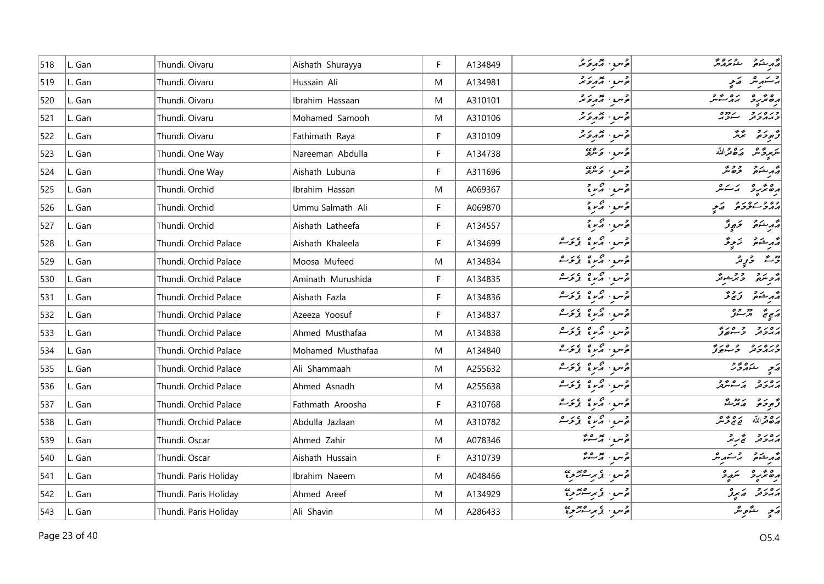| 518 | L. Gan | Thundi. Oivaru        | Aishath Shurayya  | F  | A134849 | پېښو به مرغبه<br>  پېښو به مرغبه         |                                                                                                                                                                                                                                 |
|-----|--------|-----------------------|-------------------|----|---------|------------------------------------------|---------------------------------------------------------------------------------------------------------------------------------------------------------------------------------------------------------------------------------|
| 519 | L. Gan | Thundi. Oivaru        | Hussain Ali       | M  | A134981 | په سويه مهم <i>مرک</i>                   | يز ستهر شه الأستر الم                                                                                                                                                                                                           |
| 520 | L. Gan | Thundi. Oivaru        | Ibrahim Hassaan   | M  | A310101 | جسع ميمرځمه                              | رە ئرىر ئىمى ئىر                                                                                                                                                                                                                |
| 521 | L. Gan | Thundi. Oivaru        | Mohamed Samooh    | M  | A310106 | ج <sub>و</sub> سو به وجمهور جم           | و ره ر و<br><i>د بر</i> گرفر<br>سەددە                                                                                                                                                                                           |
| 522 | L. Gan | Thundi. Oivaru        | Fathimath Raya    | F  | A310109 | ج <sub>و</sub> سو به وجمهور جم           | أزهوخاه المحامر                                                                                                                                                                                                                 |
| 523 | L. Gan | Thundi. One Way       | Nareeman Abdulla  | F  | A134738 | ج <sub>و</sub> سع مستقرر<br>  جوسع مستقر | <i>سَرْمِرِدُّ مَّنْ مَدَّدُودُ</i> اللَّه                                                                                                                                                                                      |
| 524 | L. Gan | Thundi. One Way       | Aishath Lubuna    | F  | A311696 | ج <sub>و</sub> سع مستقرر<br>             | ړُ د ده شو                                                                                                                                                                                                                      |
| 525 | L. Gan | Thundi. Orchid        | Ibrahim Hassan    | M  | A069367 | ه موسو . هم د                            | رەتزېرو برىكىر                                                                                                                                                                                                                  |
| 526 | L. Gan | Thundi. Orchid        | Ummu Salmath Ali  | F  | A069870 | په سوير مړينې<br>  په سوير مړينې         |                                                                                                                                                                                                                                 |
| 527 | L. Gan | Thundi. Orchid        | Aishath Latheefa  | F  | A134557 | په سويه مړيو و                           | أأرشكم تحوقي                                                                                                                                                                                                                    |
| 528 | L. Gan | Thundi. Orchid Palace | Aishath Khaleela  | F. | A134699 | ه مسور مربوع بولوگ                       | و المراد المعروفي المركز و المركز به المركز المركز و المركز المركز و المركز المركز و المركز المركز و المركز ال<br>مركز المركز المركز المركز المركز و المركز المركز و المركز المركز و المركز و المركز و المركز و المركز و المركز |
| 529 | L. Gan | Thundi. Orchid Palace | Moosa Mufeed      | M  | A134834 | <mark>ۇسوپە مۇي</mark> بۇ ئەس            | ژے تی تر                                                                                                                                                                                                                        |
| 530 | L. Gan | Thundi. Orchid Palace | Aminath Murushida | F  | A134835 | <mark>ۇسو، مۇمۇ بۇغ</mark> ش             | הכתב בתיית                                                                                                                                                                                                                      |
| 531 | L. Gan | Thundi. Orchid Palace | Aishath Fazla     | F  | A134836 | مۇسو <sub>: م</sub> ۇرو بۇ ئەسى          | وكرمشكا وتاريخ                                                                                                                                                                                                                  |
| 532 | L. Gan | Thundi. Orchid Palace | Azeeza Yoosuf     | F  | A134837 | ەسىي مىڭ بېرە                            | ە ئىم ئەھمىسىز ئە                                                                                                                                                                                                               |
| 533 | L. Gan | Thundi. Orchid Palace | Ahmed Musthafaa   | M  | A134838 | چ <sub>سم :</sub> مهره بوځ <sup>م</sup>  | ره رو و ه ره<br>مرکونس و سوچونې                                                                                                                                                                                                 |
| 534 | L. Gan | Thundi. Orchid Palace | Mohamed Musthafaa | M  | A134840 | جوسوم مركز و بالا تركز ك                 | وره د و ه رو<br>وردوس و ب                                                                                                                                                                                                       |
| 535 | L. Gan | Thundi. Orchid Palace | Ali Shammaah      | M  | A255632 | قوسع · مرتبع ، بوخ <sup>م</sup>          | أەير شەرەپر                                                                                                                                                                                                                     |
| 536 | L. Gan | Thundi. Orchid Palace | Ahmed Asnadh      | M  | A255638 | ه معن مربع بو ده.                        | رەرد رەپر                                                                                                                                                                                                                       |
| 537 | L. Gan | Thundi. Orchid Palace | Fathmath Aroosha  | F  | A310768 | ا د سو . دره و د د ه<br>اوسو . درو بوخ   | أزَّوِدَةَ الْأَنْزَلْتُ                                                                                                                                                                                                        |
| 538 | L. Gan | Thundi. Orchid Palace | Abdulla Jazlaan   | M  | A310782 | م سومبر مربع بو <del>کو</del> شه         | رە قراللە يىم ئۇنىر                                                                                                                                                                                                             |
| 539 | L. Gan | Thundi. Oscar         | Ahmed Zahir       | M  | A078346 | محسن میں میں<br>  محسن میں میں           | د ۱۵ د ح مح مر حر                                                                                                                                                                                                               |
| 540 | L. Gan | Thundi. Oscar         | Aishath Hussain   | F  | A310739 | محسن میں میں<br>  محسن میں میں           | ە ئەيسىنى ئەسىئەر بىر                                                                                                                                                                                                           |
| 541 | L. Gan | Thundi. Paris Holiday | Ibrahim Naeem     | M  | A048466 | قرسو · بۇ ئېرىق <i>مې</i> رىيە           | رە ئرىر ئىمرو                                                                                                                                                                                                                   |
| 542 | L. Gan | Thundi. Paris Holiday | Ahmed Areef       | M  | A134929 | اقرسو · بۇ برگەنزو؟<br>م                 | رورد<br>مدونر مسرو                                                                                                                                                                                                              |
| 543 | L. Gan | Thundi. Paris Holiday | Ali Shavin        | M  | A286433 | اقرسو · بۇ برگەنزو؟<br>م                 | أوسمج المشموش                                                                                                                                                                                                                   |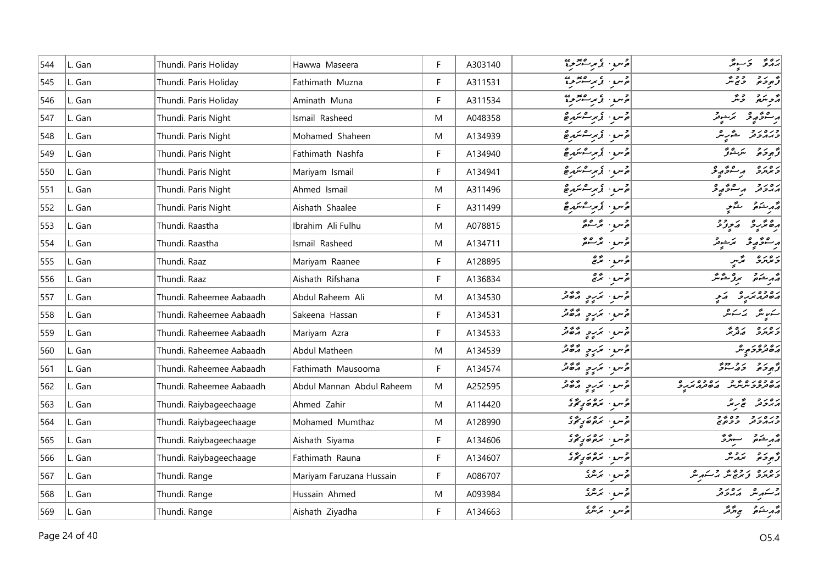| 544 | L. Gan | Thundi. Paris Holiday    | Hawwa Maseera             | F  | A303140 | قرسو · بۇ ئېرىق <i>مې</i> رىيە                 | پروژ د کردگر                                                       |
|-----|--------|--------------------------|---------------------------|----|---------|------------------------------------------------|--------------------------------------------------------------------|
| 545 | L. Gan | Thundi. Paris Holiday    | Fathimath Muzna           | F. | A311531 | ج <sub>و</sub> سع <sub>*</sub> بۇ بىر يەمىز يە | أوالمحتجم والمحامير                                                |
| 546 | L. Gan | Thundi. Paris Holiday    | Aminath Muna              | F. | A311534 | ج <sub>امعو</sub> و برے شعر پر                 | ړٌ پر په د شر                                                      |
| 547 | L. Gan | Thundi. Paris Night      | Ismail Rasheed            | M  | A048358 | قوسو · قرمر مشتركة ع                           | ر جۇرپۇ - ئەجەم                                                    |
| 548 | L. Gan | Thundi. Paris Night      | Mohamed Shaheen           | M  | A134939 | ج <sub>ەسمى</sub> ك <sub>ى</sub> ر مەسىر ھ     | ورەرو ئەرش                                                         |
| 549 | L. Gan | Thundi. Paris Night      | Fathimath Nashfa          | F  | A134940 | ج <sub>ا</sub> سو · بۇ برىش <i>تىد غ</i>       | أَوْجِعَ حَمْدٍ مِنْ مِنْ وَمَحْرٍ                                 |
| 550 | L. Gan | Thundi. Paris Night      | Mariyam Ismail            | F  | A134941 | ج <sub>ەسمى</sub> ك <sub>ىر</sub> مەسىر ھ      | دوره برے څرو                                                       |
| 551 | L. Gan | Thundi. Paris Night      | Ahmed Ismail              | M  | A311496 | قوسو بأوسر محسكر هي                            | رەرو رەۋر                                                          |
| 552 | L. Gan | Thundi. Paris Night      | Aishath Shaalee           | F. | A311499 | قوسو · قرىر شىئىر <u>ھ</u>                     | أقهر شكوم الشكوم                                                   |
| 553 | L. Gan | Thundi. Raastha          | Ibrahim Ali Fulhu         | M  | A078815 | ج <sub>ى</sub> سمى ئىر مۇسىمۇ                  | رەپرىر مەردى                                                       |
| 554 | L. Gan | Thundi. Raastha          | Ismail Rasheed            | M  | A134711 | مۇسى <sub>ز</sub> ، ئ <sup>ۇڭ مۇ</sup>         | رەشۇر ئىر                                                          |
| 555 | L. Gan | Thundi. Raaz             | Mariyam Raanee            | F  | A128895 | ج <sub>و</sub> سو به مرجع                      | دەرە ئرس                                                           |
| 556 | L. Gan | Thundi. Raaz             | Aishath Rifshana          | F  | A136834 | جسع محمج                                       | ۇرىشى برۇشۇش                                                       |
| 557 | L. Gan | Thundi. Raheemee Aabaadh | Abdul Raheem Ali          | M  | A134530 | وسومبر مرسوم المقعر                            | קסכס הבי הב                                                        |
| 558 | L. Gan | Thundi. Raheemee Aabaadh | Sakeena Hassan            | F  | A134531 | جسع بحرير بحققه                                | سَمَاشِ بَرَسَمْش                                                  |
| 559 | L. Gan | Thundi. Raheemee Aabaadh | Mariyam Azra              | F. | A134533 | وسع تمریح وگھنر                                | ره ره ده و.<br>د بربرو گرفتر                                       |
| 560 | L. Gan | Thundi. Raheemee Aabaadh | Abdul Matheen             | M  | A134539 | وسعى تمرسو أرمض                                | رە دور م <sub>و</sub> مى                                           |
| 561 | L. Gan | Thundi. Raheemee Aabaadh | Fathimath Mausooma        | F. | A134574 | وسع نمر برج المقد                              | و ده ده پدو                                                        |
| 562 | L. Gan | Thundi. Raheemee Aabaadh | Abdul Mannan Abdul Raheem | M  | A252595 | وسع سيرج وتقدم                                 | ג ס כ ס ג ס ג פ ב ג ס כ ס ג ס<br>ג ש تر تر כ سر سر سر "ג מ ה ב ג ב |
| 563 | L. Gan | Thundi. Raiybageechaage  | Ahmed Zahir               | M  | A114420 | <br>  موسو سمره موضح کوي                       | رەرو ئېرىز                                                         |
| 564 | L. Gan | Thundi. Raiybageechaage  | Mohamed Mumthaz           | M  | A128990 | <br>  پوسو سمرہ ص <sub>و</sub> ی پہ            | כנסג כסבב<br>כגובת ככתב                                            |
| 565 | L. Gan | Thundi. Raiybageechaage  | Aishath Siyama            | F  | A134606 | <br>  پوسو سره پوځونه                          | أقرم شوقه المسترقر                                                 |
| 566 | L. Gan | Thundi. Raiybageechaage  | Fathimath Rauna           | F  | A134607 | <br>  پېښو سرچ په نومۍ                         | و دو دور                                                           |
| 567 | L. Gan | Thundi. Range            | Mariyam Faruzana Hussain  | F  | A086707 | قوسوم تمريره                                   | وبراره ودوير وسكرير                                                |
| 568 | L. Gan | Thundi. Range            | Hussain Ahmed             | M  | A093984 | قوسع بحبتكم                                    | ج سکه شهر از کار در د                                              |
| 569 | L. Gan | Thundi. Range            | Aishath Ziyadha           | F  | A134663 | قوسع سمكرهم                                    | أقرم شكوته المح وترفكر                                             |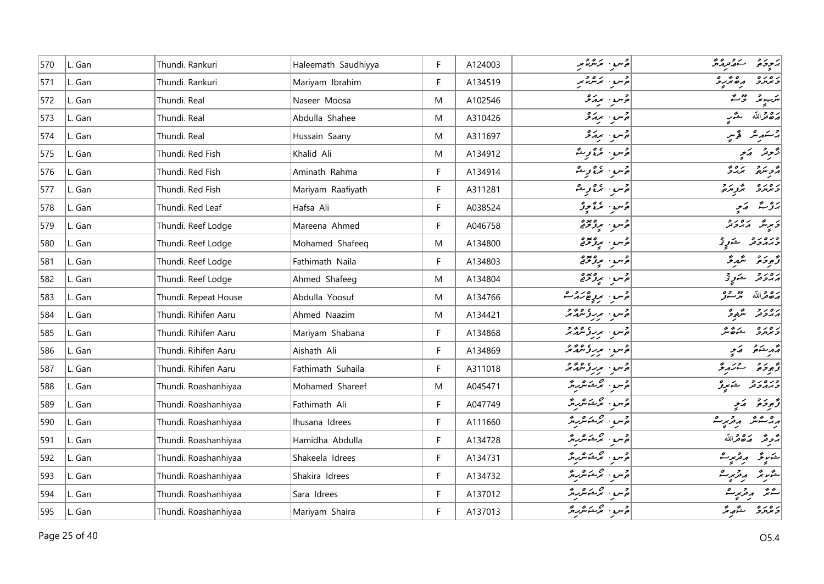| 570 | L. Gan | Thundi. Rankuri      | Haleemath Saudhiyya | F  | A124003 | مۇسى <sub>ر:</sub> ئەنگەتلىر                             | پروژه سکه مره مر                                      |
|-----|--------|----------------------|---------------------|----|---------|----------------------------------------------------------|-------------------------------------------------------|
| 571 | L. Gan | Thundi. Rankuri      | Mariyam Ibrahim     | F. | A134519 | ۇسىي ئىرىكرىتىر                                          | ەھ ئرىر ۋ<br>ر ه ر ه                                  |
| 572 | L. Gan | Thundi. Real         | Naseer Moosa        | M  | A102546 | قوسع سريرو                                               | يرجيه حرائشة                                          |
| 573 | L. Gan | Thundi. Real         | Abdulla Shahee      | M  | A310426 | ج <sub>و</sub> سو به سربر محر                            | بره قرالله څړ <sub>پ</sub>                            |
| 574 | L. Gan | Thundi. Real         | Hussain Saany       | M  | A311697 | جوسع سبر سر محمد                                         | جر ڪمريڪر ڪچي پير                                     |
| 575 | L. Gan | Thundi. Red Fish     | Khalid Ali          | M  | A134912 | قرسد من محمده و <sup>مق</sup>                            | رَّحِيْرُ - مَاحٍ                                     |
| 576 | L. Gan | Thundi. Red Fish     | Aminath Rahma       | F  | A134914 | جسع محمد بمروشه                                          | أأدبتهم بردو                                          |
| 577 | L. Gan | Thundi. Red Fish     | Mariyam Raafiyath   | F  | A311281 | قوسو سمرور مرد<br>  قوسو سمرو مرد                        | و ه ده ده کرده                                        |
| 578 | L. Gan | Thundi. Red Leaf     | Hafsa Ali           | F  | A038524 | ئەسىر بىم ئۇيۇ                                           | پروٹ کے ح                                             |
| 579 | L. Gan | Thundi. Reef Lodge   | Mareena Ahmed       | F. | A046758 | جسع سيوموق                                               | دَ پِیسٌ مَدوند                                       |
| 580 | L. Gan | Thundi. Reef Lodge   | Mohamed Shafeeq     | M  | A134800 | مهر سر مورد معروف<br>  سر مسر مورد معروف                 | ورەر دېم ئور                                          |
| 581 | L. Gan | Thundi. Reef Lodge   | Fathimath Naila     | F  | A134803 | محسن سرونده<br>  محسن سرونده                             | دًّءِ دَءٌ سَمَدٍ دَ                                  |
| 582 | L. Gan | Thundi. Reef Lodge   | Ahmed Shafeeq       | M  | A134804 | مهر سر مورد معروف<br>  مهر مسر مورد معروف                | رەر ئەيدىنى<br>مەردىر ئىق                             |
| 583 | L. Gan | Thundi. Repeat House | Abdulla Yoosuf      | M  | A134766 | ق <sub>ە</sub> سو، س <sub>ۇ</sub> يۇ <i>شەرقى</i>        | رَهْ مَرَاللّهُ مَرْتَّوَ                             |
| 584 | L. Gan | Thundi. Rihifen Aaru | Ahmed Naazim        | M  | A134421 | ق <sub>ە</sub> سمە · بىرىرۇ ئىزم <sup>ە ي</sup> ر        | دەرو شۆر                                              |
| 585 | L. Gan | Thundi. Rihifen Aaru | Mariyam Shabana     | F  | A134868 | ا چې سويس سرو مرد ته ته<br>د سرو سرو مرد ته ته ته        | ر ه ر ه<br><del>ر</del> بربرگر<br>شەھ <sup>ى</sup> تر |
| 586 | L. Gan | Thundi. Rihifen Aaru | Aishath Ali         | F  | A134869 | ج <sub>امعو</sub> ، بربرو عدم بر                         | وكرمشكر وكمح                                          |
| 587 | L. Gan | Thundi. Rihifen Aaru | Fathimath Suhaila   | F. | A311018 | ج <sub>ا</sub> سو سوپرو ش <i>ده ب</i> ر                  | ۇۋە ئەر                                               |
| 588 | L. Gan | Thundi. Roashanhiyaa | Mohamed Shareef     | M  | A045471 | مۇسو، ئىمشۇمىزىدىگر                                      | ورەرو شەرۇ                                            |
| 589 | L. Gan | Thundi. Roashanhiyaa | Fathimath Ali       | F  | A047749 | میں میں میں مقدر ہوئی<br>  موسو میں مشاہد ہوئی           | وٌمودَهُ کَمَنٍ                                       |
| 590 | L. Gan | Thundi. Roashanhiyaa | Ihusana Idrees      | F  | A111660 | ج <sub>ا</sub> سو سر مرکز مرکز مرکز مرکز م               | ورمشش وتربيب                                          |
| 591 | L. Gan | Thundi. Roashanhiyaa | Hamidha Abdulla     | F  | A134728 | ج <sub>ە</sub> سو، ئىرىشەمىرىدىگە                        | تجريحه ص <b>ص</b> حرالله                              |
| 592 | L. Gan | Thundi. Roashanhiyaa | Shakeela Idrees     | F  | A134731 | ا د سو من شو سر د مخلص در محمد<br>المحسوم محمد مشو سر سر | شەرقى پرىژىرگ                                         |
| 593 | L. Gan | Thundi. Roashanhiyaa | Shakira Idrees      | F  | A134732 | قرس ، كرىشەمىر بىر                                       | المُدَّمَّةِ مِنْ مِرْمَدٍ مِنْ                       |
| 594 | L. Gan | Thundi. Roashanhiyaa | Sara Idrees         | F. | A137012 | قرسو ، سم مشور مر                                        | ستمتر پروژمریشہ                                       |
| 595 | L. Gan | Thundi. Roashanhiyaa | Mariyam Shaira      | F  | A137013 | محسن محمد محمد محمد المحمد<br>  محسن محمد محمد محمد محمد | رەرە شەرىر                                            |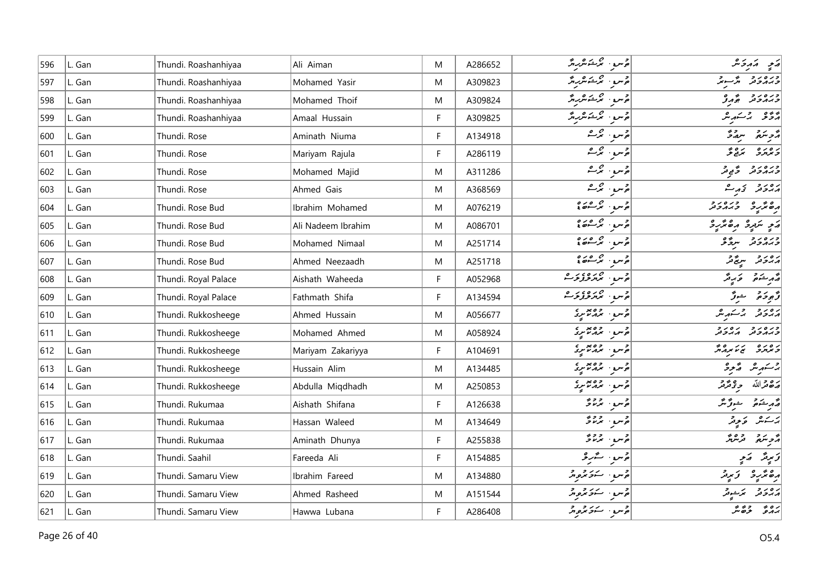|        |                      |                      |             |         |                                        | أوسم أمرد شر                                                                                                                                                                                                                                                                                                                                                                                                                                                                                                                                                                                                                                                                                                                                                                                                                                                   |
|--------|----------------------|----------------------|-------------|---------|----------------------------------------|----------------------------------------------------------------------------------------------------------------------------------------------------------------------------------------------------------------------------------------------------------------------------------------------------------------------------------------------------------------------------------------------------------------------------------------------------------------------------------------------------------------------------------------------------------------------------------------------------------------------------------------------------------------------------------------------------------------------------------------------------------------------------------------------------------------------------------------------------------------|
| L. Gan | Thundi. Roashanhiyaa | Mohamed Yasir        | M           | A309823 | قرسو ، محر شوسر برگر                   | כממכיב וקצייניק                                                                                                                                                                                                                                                                                                                                                                                                                                                                                                                                                                                                                                                                                                                                                                                                                                                |
| L. Gan | Thundi. Roashanhiyaa | Mohamed Thoif        | M           | A309824 |                                        | وره دو وه و                                                                                                                                                                                                                                                                                                                                                                                                                                                                                                                                                                                                                                                                                                                                                                                                                                                    |
| L. Gan | Thundi. Roashanhiyaa | Amaal Hussain        | F           | A309825 |                                        | ەم قارىم يە ئەرب                                                                                                                                                                                                                                                                                                                                                                                                                                                                                                                                                                                                                                                                                                                                                                                                                                               |
| L. Gan | Thundi. Rose         | Aminath Niuma        | $\mathsf F$ | A134918 |                                        | הכיתה יינה                                                                                                                                                                                                                                                                                                                                                                                                                                                                                                                                                                                                                                                                                                                                                                                                                                                     |
| L. Gan | Thundi. Rose         | Mariyam Rajula       | $\mathsf F$ | A286119 |                                        | رەرە بەھ ئە                                                                                                                                                                                                                                                                                                                                                                                                                                                                                                                                                                                                                                                                                                                                                                                                                                                    |
| L. Gan | Thundi. Rose         | Mohamed Majid        | M           | A311286 |                                        | ورەرو گەيى                                                                                                                                                                                                                                                                                                                                                                                                                                                                                                                                                                                                                                                                                                                                                                                                                                                     |
| L. Gan | Thundi. Rose         | Ahmed Gais           | M           | A368569 | ۾ <sub>سو</sub> . برُبُ                | رەر تەر ش                                                                                                                                                                                                                                                                                                                                                                                                                                                                                                                                                                                                                                                                                                                                                                                                                                                      |
| L. Gan | Thundi. Rose Bud     | Ibrahim Mohamed      | M           | A076219 |                                        | ړە ئرېرو درەرد                                                                                                                                                                                                                                                                                                                                                                                                                                                                                                                                                                                                                                                                                                                                                                                                                                                 |
| L. Gan | Thundi. Rose Bud     | Ali Nadeem Ibrahim   | M           | A086701 |                                        | أړَم پر ټرو ره ټرر د                                                                                                                                                                                                                                                                                                                                                                                                                                                                                                                                                                                                                                                                                                                                                                                                                                           |
| L. Gan | Thundi. Rose Bud     | Mohamed Nimaal       | M           | A251714 |                                        | כנסנכ תשם                                                                                                                                                                                                                                                                                                                                                                                                                                                                                                                                                                                                                                                                                                                                                                                                                                                      |
| L. Gan | Thundi. Rose Bud     | Ahmed Neezaadh       | M           | A251718 |                                        | أرود و سرچ تر                                                                                                                                                                                                                                                                                                                                                                                                                                                                                                                                                                                                                                                                                                                                                                                                                                                  |
| L. Gan | Thundi. Royal Palace | Aishath Waheeda      | F           | A052968 |                                        | وكرمشكم وكرفر                                                                                                                                                                                                                                                                                                                                                                                                                                                                                                                                                                                                                                                                                                                                                                                                                                                  |
| L. Gan | Thundi. Royal Palace | Fathmath Shifa       | F           | A134594 | په سو مسروه بر ه <del>ې</del>          | وَجوحَة شووَّ                                                                                                                                                                                                                                                                                                                                                                                                                                                                                                                                                                                                                                                                                                                                                                                                                                                  |
| L. Gan | Thundi. Rukkosheege  | Ahmed Hussain        | M           | A056677 | ه سو به ده بر<br>موسو به برد بر        | رەرد پر شهر ش                                                                                                                                                                                                                                                                                                                                                                                                                                                                                                                                                                                                                                                                                                                                                                                                                                                  |
| L. Gan | Thundi. Rukkosheege  | Mohamed Ahmed        | M           | A058924 |                                        | وره رو ده رو<br><mark>وبرم</mark> ونر مبرونر                                                                                                                                                                                                                                                                                                                                                                                                                                                                                                                                                                                                                                                                                                                                                                                                                   |
| L. Gan | Thundi. Rukkosheege  | Mariyam Zakariyya    | F           | A104691 | چې سو ۱۶۵۶ وي.<br>  جو سو ۱۶۸۰ کې      | במתכ ז'ותחת                                                                                                                                                                                                                                                                                                                                                                                                                                                                                                                                                                                                                                                                                                                                                                                                                                                    |
| L. Gan | Thundi. Rukkosheege  | Hussain Alim         | M           | A134485 | چې سو مسر دی.<br>  جو سو مسر سر سر دی. | يز سەر شەھ ئەرۋ                                                                                                                                                                                                                                                                                                                                                                                                                                                                                                                                                                                                                                                                                                                                                                                                                                                |
| L. Gan | Thundi. Rukkosheege  | Abdulla Miqdhadh     | M           | A250853 |                                        | رەۋاللە دۆمزىر                                                                                                                                                                                                                                                                                                                                                                                                                                                                                                                                                                                                                                                                                                                                                                                                                                                 |
| L. Gan | Thundi. Rukumaa      | Aishath Shifana      | F.          | A126638 |                                        | ۇرمۇق سۆزىگە                                                                                                                                                                                                                                                                                                                                                                                                                                                                                                                                                                                                                                                                                                                                                                                                                                                   |
| L. Gan | Thundi. Rukumaa      | Hassan Waleed        | M           | A134649 |                                        | يزكتان الأموقر                                                                                                                                                                                                                                                                                                                                                                                                                                                                                                                                                                                                                                                                                                                                                                                                                                                 |
| L. Gan | Thundi. Rukumaa      | Aminath Dhunya       | F           | A255838 |                                        | أأترجم وتحمير                                                                                                                                                                                                                                                                                                                                                                                                                                                                                                                                                                                                                                                                                                                                                                                                                                                  |
| L. Gan | Thundi. Saahil       | Fareeda Ali          | F           | A154885 | ئ <sub>ەسىم:</sub> سە <sub>س</sub> ۇ   | ترىرىتر كەم                                                                                                                                                                                                                                                                                                                                                                                                                                                                                                                                                                                                                                                                                                                                                                                                                                                    |
| L. Gan | Thundi. Samaru View  | Ibrahim Fareed       | M           | A134880 |                                        | مەھەر ئەر ئەيدىر                                                                                                                                                                                                                                                                                                                                                                                                                                                                                                                                                                                                                                                                                                                                                                                                                                               |
| L. Gan | Thundi. Samaru View  | Ahmed Rasheed        | M           | A151544 | قوسد به سکو <i>ترو پر</i>              | رەرد كەشى <i>د</i><br>مەركى كەشى <i>د</i>                                                                                                                                                                                                                                                                                                                                                                                                                                                                                                                                                                                                                                                                                                                                                                                                                      |
| L. Gan | Thundi. Samaru View  | Hawwa Lubana         | F           | A286408 |                                        | رەپ دەپر                                                                                                                                                                                                                                                                                                                                                                                                                                                                                                                                                                                                                                                                                                                                                                                                                                                       |
|        | L. Gan               | Thundi. Roashanhiyaa | Ali Aiman   | M       | A286652                                | قرسو ، محر شوسر برگر<br>  ج <sub>ا</sub> سو · گرېشو سربر تر<br>  محسوم محمد محسوبة المحمد<br>  محسوم محمد محمد محمد محمد<br>اقرسع می شده.<br>اقرام می<br> رسمبر مرمثة<br>  ج <sub>وسعة</sub> محر <u>م</u><br>$\begin{bmatrix} 0 & 0 & 0 & 0 & 0 \\ 0 & 0 & 0 & 0 & 0 \\ 0 & 0 & 0 & 0 & 0 \end{bmatrix}$<br>  ج <sub>و</sub> سو مستر جو جو ج<br>ا د سو مي ده ده و<br>اقرسو به م <u>رضوم</u> و<br>  وسع مسره وروح به<br>ام من معرض المحمد المحمد المحمد المحمد المحمد المحمد المحمد المحمد المحمد المحمد المحمد المحمد المحمد المحمد ا<br>المحمد المحمد المحمد المحمد المحمد المحمد المحمد المحمد المحمد المحمد المحمد المحمد المحمد المحمد المحمد المحم<br>  چې سو ۱۶۵۶ وي.<br>  جو سو ۱۶۸۰ وي.<br>  مۇسىر بىر مەرمۇ<br>  مۇسىر بىر مەرك<br>  په سويه مرحوفه<br>  پوسويه مرحوفه<br>  ج <sub>ا</sub> سو · سکو <i>ن</i> گر <sub>و</sub> ر<br>  ئوسدى سكرى ترە قر |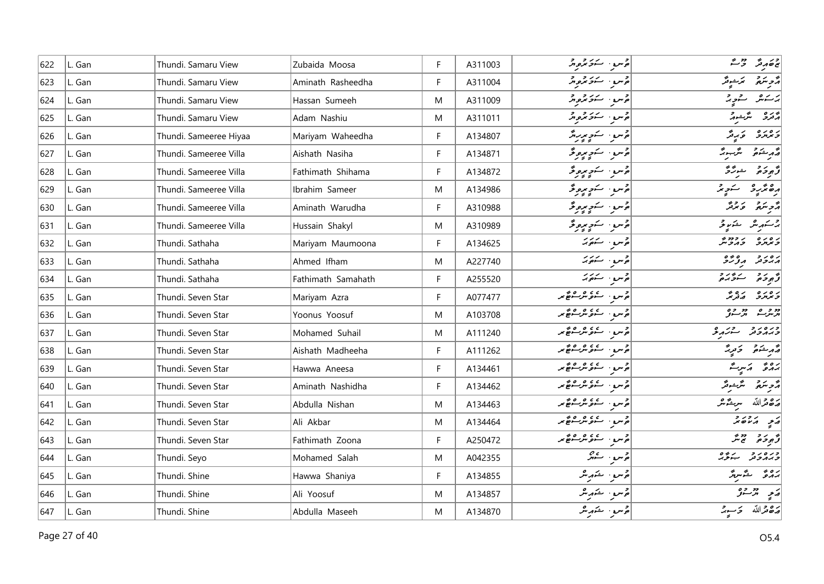| 622 | L. Gan | Thundi. Samaru View    | Zubaida Moosa      | F           | A311003 | ق <sub>ەسمە</sub> سەئەتمرە قر                                                  | 272000                                     |
|-----|--------|------------------------|--------------------|-------------|---------|--------------------------------------------------------------------------------|--------------------------------------------|
| 623 | L. Gan | Thundi. Samaru View    | Aminath Rasheedha  | F.          | A311004 | ج <sub>ا</sub> سو سے پر م <sub>ح</sub> رم                                      | أأدوسكم أتخرج المركب                       |
| 624 | L. Gan | Thundi. Samaru View    | Hassan Sumeeh      | M           | A311009 | ئۇسى <sub>ز:</sub> سە <i>خەتمو</i> ر                                           | يركبش القرير                               |
| 625 | L. Gan | Thundi. Samaru View    | Adam Nashiu        | M           | A311011 | ق <sub>ەسمۇ</sub> ، سە <i>خ تى<sub>رە ق</sub></i>                              | سرٌرشور ً<br>پژ <sub>مر</sub> ه<br>درگر    |
| 626 | L. Gan | Thundi. Sameeree Hiyaa | Mariyam Waheedha   | F           | A134807 | ج <sub>و</sub> سو سنگھ پر سرچم                                                 | رەرە كەيتر                                 |
| 627 | L. Gan | Thundi. Sameeree Villa | Aishath Nasiha     | F           | A134871 | ج <sub>ە</sub> سىر · سەھ بىرە ئ <sup>ى</sup>                                   | لأرشكم الترجيز                             |
| 628 | L. Gan | Thundi. Sameeree Villa | Fathimath Shihama  | $\mathsf F$ | A134872 | ئۇسىز، سەھ بىرە ئ <sup>ى</sup> ر                                               | وتجوحكم المستركمة                          |
| 629 | L. Gan | Thundi. Sameeree Villa | Ibrahim Sameer     | M           | A134986 | ۇسى <sub>ن</sub> سە <sub>چ</sub> ىرە ئ <sup>ۇ</sup>                            | رەنزىر ئىچ                                 |
| 630 | L. Gan | Thundi. Sameeree Villa | Aminath Warudha    | F           | A310988 | ج <sub>ە</sub> سىز، سەھ بىرە ئ <sup>ۇ</sup>                                    | أثرم تتمتح ومرفر                           |
| 631 | L. Gan | Thundi. Sameeree Villa | Hussain Shakyl     | M           | A310989 | ئ <sub>ەسمى</sub> سە <sub>ج</sub> بىرە ئ <sup>ى</sup>                          | چە سەر سىر ھەمبەتى                         |
| 632 | L. Gan | Thundi. Sathaha        | Mariyam Maumoona   | F.          | A134625 | جرسور سکھ پر                                                                   | ر ه ر ه<br><del>ر</del> بربرگ<br>ىر د دەپر |
| 633 | L. Gan | Thundi. Sathaha        | Ahmed Ifham        | M           | A227740 | قوسعة سكوكه                                                                    | המכנק תפישכ                                |
| 634 | L. Gan | Thundi. Sathaha        | Fathimath Samahath | F.          | A255520 | قرسد سنفوته                                                                    | أو دو سندرو                                |
| 635 | L. Gan | Thundi. Seven Star     | Mariyam Azra       | $\mathsf F$ | A077477 | ئ <sub>ۇسو</sub> ، سورىسىزىسى ئىر                                              | ره ره پره پر                               |
| 636 | L. Gan | Thundi. Seven Star     | Yoonus Yoosuf      | M           | A103708 | ئ <sub>ۇسو</sub> ، سورىسىزىسى ئىر                                              | در در در ده ور                             |
| 637 | L. Gan | Thundi. Seven Star     | Mohamed Suhail     | M           | A111240 |                                                                                | ورەرو دېرو                                 |
| 638 | L. Gan | Thundi. Seven Star     | Aishath Madheeha   | F           | A111262 |                                                                                | أأرمض وتميد                                |
| 639 | L. Gan | Thundi. Seven Star     | Hawwa Aneesa       | F           | A134461 | ق <sub>ە</sub> س . سۇ ئەرسىۋىمە                                                | رەپ كەرگ                                   |
| 640 | L. Gan | Thundi. Seven Star     | Aminath Nashidha   | F           | A134462 | قرس د عروف موسوع مر                                                            | وحريتكم الترشوقر                           |
| 641 | L. Gan | Thundi. Seven Star     | Abdulla Nishan     | M           | A134463 | ج <sub>ى</sub> س ، سىم قىر سىم قىمىر<br>  جى <sup>س م</sup> ەس سىم قىر سىم قىر | <b>20% مرالله سرشگ</b> مر                  |
| 642 | L. Gan | Thundi. Seven Star     | Ali Akbar          | M           | A134464 | ە ئىس ئىس ئىرىسى ئىس<br>مەسىر                                                  |                                            |
| 643 | L. Gan | Thundi. Seven Star     | Fathimath Zoona    | F.          | A250472 | <sub>قر</sub> س ، سور شریع میں<br>  موسو ، سور شریع میں                        | ۇي <sub>م</sub> وخۇ ئۆتكە                  |
| 644 | L. Gan | Thundi. Seyo           | Mohamed Salah      | M           | A042355 | قوسع مستقر                                                                     | ورەر دىرە                                  |
| 645 | L. Gan | Thundi. Shine          | Hawwa Shaniya      | F           | A134855 | جيسو· ڪهريشر                                                                   | برە ئۇستر                                  |
| 646 | L. Gan | Thundi. Shine          | Ali Yoosuf         | M           | A134857 | ج <sub>ىسمى</sub> شەربىر                                                       | أەير مەسىر                                 |
| 647 | L. Gan | Thundi. Shine          | Abdulla Maseeh     | M           | A134870 | ج <sub>و</sub> سع مستمرینگر                                                    | رة قرالله <sub>ح</sub> ب                   |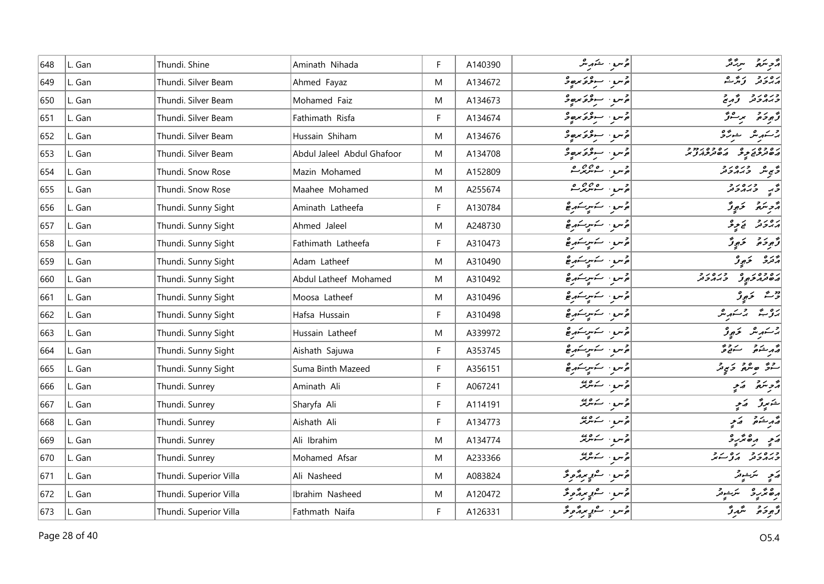| 648 | L. Gan | Thundi. Shine          | Aminath Nihada             | F           | A140390 | قرسع مستمريشر                                          | ومحر سورشقر                                                                                                       |
|-----|--------|------------------------|----------------------------|-------------|---------|--------------------------------------------------------|-------------------------------------------------------------------------------------------------------------------|
| 649 | L. Gan | Thundi. Silver Beam    | Ahmed Fayaz                | M           | A134672 | وسع سوء <i>مرہ</i> و                                   | رەرد زېژے                                                                                                         |
| 650 | L. Gan | Thundi. Silver Beam    | Mohamed Faiz               | M           | A134673 | م سوم سر <i>وه بره</i> د                               | ورەرو ۋېرى                                                                                                        |
| 651 | L. Gan | Thundi. Silver Beam    | Fathimath Risfa            | E           | A134674 | ج <sub>ا</sub> سو سو <i>فرو مرہ</i> د                  | ژوده برخرژ                                                                                                        |
| 652 | L. Gan | Thundi. Silver Beam    | Hussain Shiham             | M           | A134676 | وسوما سوفرو <i>مرہ</i> و                               | چرىسىم ھەرمىي                                                                                                     |
| 653 | L. Gan | Thundi. Silver Beam    | Abdul Jaleel Abdul Ghafoor | M           | A134708 | ج <sub>اسع:</sub> سو <i>دة بره</i> د                   |                                                                                                                   |
| 654 | L. Gan | Thundi. Snow Rose      | Mazin Mohamed              | M           | A152809 | و مرو . مشر مرضا الم                                   | انح می شود در در در در در در این در این در این در این در این دارد.<br>منابع در این در در در در در در در در این در |
| 655 | L. Gan | Thundi. Snow Rose      | Maahee Mohamed             | M           | A255674 | و سو، ڪش <sub>م</sub> رے                               | انځين وره د و<br>انځين وبرونور                                                                                    |
| 656 | L. Gan | Thundi. Sunny Sight    | Aminath Latheefa           | F           | A130784 | ق <sub>ە</sub> سمىز، سەسىسە مەھ                        | أأدبتكم فكوثر                                                                                                     |
| 657 | L. Gan | Thundi. Sunny Sight    | Ahmed Jaleel               | M           | A248730 | ج <sub>ە</sub> سمى سەسىسە بەھ                          | پروژو کے یوگی                                                                                                     |
| 658 | L. Gan | Thundi. Sunny Sight    | Fathimath Latheefa         | F           | A310473 | ق <sub>ە</sub> سو، سەسەسەھ                             | توجو ځانو<br>ځ چو تر                                                                                              |
| 659 | L. Gan | Thundi. Sunny Sight    | Adam Latheef               | M           | A310490 | ق <sub>ە</sub> سمە سەسىسە ئەرق <mark>ە</mark>          | أرترو كروو                                                                                                        |
| 660 | L. Gan | Thundi. Sunny Sight    | Abdul Latheef Mohamed      | M           | A310492 | ق <sub>ە</sub> سو، سەس <sub>ى</sub> سەر ق <sub>ە</sub> | و ره ر و<br><i>د بر</i> د تر<br>ן פיפיק פי<br>גם נקח בקי                                                          |
| 661 | L. Gan | Thundi. Sunny Sight    | Moosa Latheef              | M           | A310496 | ە ئىسىم سىسىسىدىقى<br>مەسىم                            | ژئے نوپوژ                                                                                                         |
| 662 | L. Gan | Thundi. Sunny Sight    | Hafsa Hussain              | F           | A310498 | ە ئىس سەسىيە ئىس قىر                                   | بروية برستهده                                                                                                     |
| 663 | L. Gan | Thundi. Sunny Sight    | Hussain Latheef            | M           | A339972 | ق <sub>ە</sub> سو، سەسەسەھ                             | جەسىر سىز ئىمبۇ                                                                                                   |
| 664 | L. Gan | Thundi. Sunny Sight    | Aishath Sajuwa             | F.          | A353745 | ق <sub>ە</sub> سو، سەسەسەھ                             | و د شکوه سنده و د                                                                                                 |
| 665 | L. Gan | Thundi. Sunny Sight    | Suma Binth Mazeed          | $\mathsf F$ | A356151 | ق <sub>ە</sub> سمىز، سەسىسە مەھ                        | روو ھىر ئاھ دى                                                                                                    |
| 666 | L. Gan | Thundi. Sunrey         | Aminath Ali                | E           | A067241 | موسوعة السياسية<br>  موسوعة السياسية                   | ړې شرح په کړې                                                                                                     |
| 667 | L. Gan | Thundi. Sunrey         | Sharyfa Ali                | F           | A114191 | جسع سكر عدمة                                           | لمشهورٌ الأمج                                                                                                     |
| 668 | L. Gan | Thundi. Sunrey         | Aishath Ali                | F           | A134773 | ق <sub>ەسمە</sub> ، سەھەبىر                            | وكرمشتمو الكمح                                                                                                    |
| 669 | L. Gan | Thundi. Sunrey         | Ali Ibrahim                | M           | A134774 | ج <sub>ى</sub> س <sub>ە</sub> ، سەھەبىر                | ړنو ره ټرېږ                                                                                                       |
| 670 | L. Gan | Thundi. Sunrey         | Mohamed Afsar              | M           | A233366 | چ <sub>ىرى</sub> ، سەھەبر                              | ورەرو رەت                                                                                                         |
| 671 | L. Gan | Thundi. Superior Villa | Ali Nasheed                | M           | A083824 | ج <sub>ا</sub> سو سنگو برگرمرمگر<br>                   | كالمح الكريشوقر                                                                                                   |
| 672 | L. Gan | Thundi. Superior Villa | Ibrahim Nasheed            | M           | A120472 | په سوين سفوپر مرکز مورځه                               | دەنزېرد                                                                                                           |
| 673 | L. Gan | Thundi. Superior Villa | Fathmath Naifa             | F           | A126331 | جسع سنقبو ببروتموتر                                    | وَجودة شهروٌ                                                                                                      |
|     |        |                        |                            |             |         |                                                        |                                                                                                                   |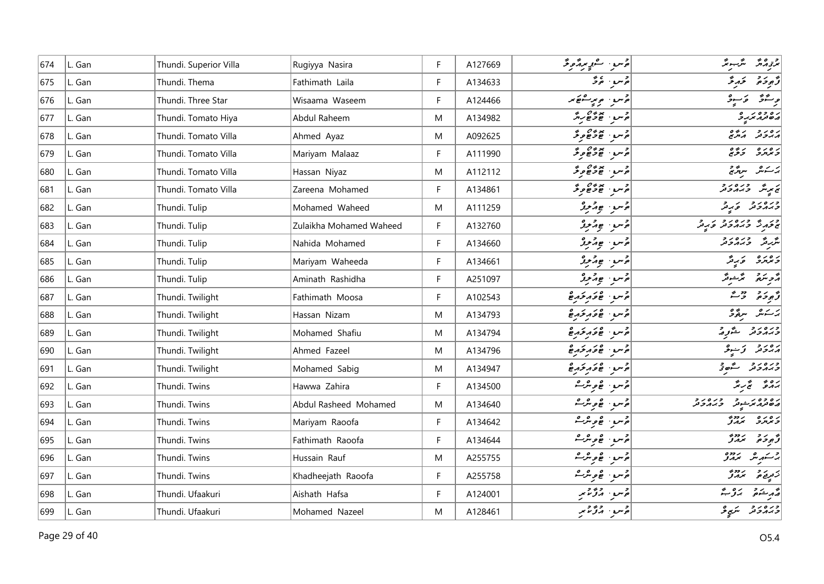| 674 | L. Gan | Thundi. Superior Villa | Rugiyya Nasira          | F           | A127669 | ا چ <sub>س</sub> ر و مشتر میدان میکنید.<br>مستقر                                                                                                                                                                                                                                                                                                                                             | ترتوره مره مترسوسر                            |
|-----|--------|------------------------|-------------------------|-------------|---------|----------------------------------------------------------------------------------------------------------------------------------------------------------------------------------------------------------------------------------------------------------------------------------------------------------------------------------------------------------------------------------------------|-----------------------------------------------|
|     |        |                        |                         |             |         |                                                                                                                                                                                                                                                                                                                                                                                              |                                               |
| 675 | L. Gan | Thundi. Thema          | Fathimath Laila         | F           | A134633 | جوسو په عومځ                                                                                                                                                                                                                                                                                                                                                                                 | وَّجِودَةً وَرِدَّ                            |
| 676 | L. Gan | Thundi. Three Star     | Wisaama Waseem          | $\mathsf F$ | A124466 | <br>  مۇس سىم مېرىشى تىر<br> -                                                                                                                                                                                                                                                                                                                                                               | وستهوش                                        |
| 677 | L. Gan | Thundi. Tomato Hiya    | Abdul Raheem            | M           | A134982 | $\left  \begin{array}{cc} \frac{1}{2} & \frac{1}{2} & \frac{1}{2} & \frac{1}{2} \\ \frac{1}{2} & \frac{1}{2} & \frac{1}{2} & \frac{1}{2} & \frac{1}{2} \\ \frac{1}{2} & \frac{1}{2} & \frac{1}{2} & \frac{1}{2} & \frac{1}{2} \end{array} \right $                                                                                                                                           | ره وه ر<br>مه هم مربر د                       |
| 678 | L. Gan | Thundi. Tomato Villa   | Ahmed Ayaz              | M           | A092625 | ا موسو العداد و محمد المعني بالمعني بالمعني الموسيقى الموسيقى المن                                                                                                                                                                                                                                                                                                                           | גם גם הים                                     |
| 679 | L. Gan | Thundi. Tomato Villa   | Mariyam Malaaz          | $\mathsf F$ | A111990 | ا په موسیق کېږي.<br>موسو غځو غورځ                                                                                                                                                                                                                                                                                                                                                            | נים נים ניים<br>כי <i>נית כיכ</i> ה           |
| 680 | L. Gan | Thundi. Tomato Villa   | Hassan Niyaz            | M           | A112112 | وسع معروض محر                                                                                                                                                                                                                                                                                                                                                                                | ىر كەش سورىج                                  |
| 681 | L. Gan | Thundi. Tomato Villa   | Zareena Mohamed         | $\mathsf F$ | A134861 | ە سومبى 199 <sub>9</sub> كۈ                                                                                                                                                                                                                                                                                                                                                                  | پر پر در در د                                 |
| 682 | L. Gan | Thundi. Tulip          | Mohamed Waheed          | M           | A111259 | ج <sub>و</sub> سو <sub>*</sub> جوړمو پر                                                                                                                                                                                                                                                                                                                                                      | ورەرو كەر                                     |
| 683 | L. Gan | Thundi. Tulip          | Zulaikha Mohamed Waheed | F.          | A132760 | ج <sub>و</sub> سو <sub>*</sub> جوړمو پر                                                                                                                                                                                                                                                                                                                                                      | لتحكم بمحركة والمحارقة                        |
| 684 | L. Gan | Thundi. Tulip          | Nahida Mohamed          | F           | A134660 | ج <sub>و</sub> سو <sub>*</sub> عور مورد                                                                                                                                                                                                                                                                                                                                                      | بتريتر وره رو                                 |
| 685 | L. Gan | Thundi. Tulip          | Mariyam Waheeda         | F           | A134661 | ۾ سو ۽ مر <i>و</i> ر                                                                                                                                                                                                                                                                                                                                                                         | أوجهرو وبالمحمد وتر                           |
| 686 | L. Gan | Thundi. Tulip          | Aminath Rashidha        | F           | A251097 | ۾ سو ۽ مر <i>و</i> ر                                                                                                                                                                                                                                                                                                                                                                         | أزويتهم الترشوش                               |
| 687 | L. Gan | Thundi. Twilight       | Fathimath Moosa         | $\mathsf F$ | A102543 | $\frac{1}{2} \frac{1}{2} \frac{1}{2} \frac{1}{2} \frac{1}{2} \frac{1}{2} \frac{1}{2} \frac{1}{2} \frac{1}{2} \frac{1}{2} \frac{1}{2} \frac{1}{2} \frac{1}{2} \frac{1}{2} \frac{1}{2} \frac{1}{2} \frac{1}{2} \frac{1}{2} \frac{1}{2} \frac{1}{2} \frac{1}{2} \frac{1}{2} \frac{1}{2} \frac{1}{2} \frac{1}{2} \frac{1}{2} \frac{1}{2} \frac{1}{2} \frac{1}{2} \frac{1}{2} \frac{1}{2} \frac{$ | وٌ پر دو در مع                                |
| 688 | L. Gan | Thundi. Twilight       | Hassan Nizam            | M           | A134793 | محسوم ومحدوم                                                                                                                                                                                                                                                                                                                                                                                 | برسەشر سېۋۇ                                   |
| 689 | L. Gan | Thundi. Twilight       | Mohamed Shafiu          | M           | A134794 | وحسوا وعكر محرم                                                                                                                                                                                                                                                                                                                                                                              | ورەرو شور                                     |
| 690 | L. Gan | Thundi. Twilight       | Ahmed Fazeel            | M           | A134796 | <br>  مسموسعة المحكمة محمد مع                                                                                                                                                                                                                                                                                                                                                                | برەر بى ئەيدى                                 |
| 691 | L. Gan | Thundi. Twilight       | Mohamed Sabig           | M           | A134947 | جسع عور محدود                                                                                                                                                                                                                                                                                                                                                                                | وره دو گور                                    |
| 692 | L. Gan | Thundi. Twins          | Hawwa Zahira            | F           | A134500 | ا <sub>قم</sub> سو <sub>م</sub> قویر م                                                                                                                                                                                                                                                                                                                                                       | برەۋ ئې پر                                    |
| 693 | L. Gan | Thundi. Twins          | Abdul Rasheed Mohamed   | M           | A134640 | ج <sub>وسعي</sub> ۾ <sub>حو</sub> شرت                                                                                                                                                                                                                                                                                                                                                        | ر 2000 - 2000 - 2000<br>גישנג גיבינג - 2000 ע |
| 694 | L. Gan | Thundi. Twins          | Mariyam Raoofa          | F           | A134642 | اق <sub>م</sub> سو <sub>م</sub> قویثر                                                                                                                                                                                                                                                                                                                                                        | גם גם גדודי<br><i>האחר</i> המצ                |
| 695 | L. Gan | Thundi. Twins          | Fathimath Raoofa        | F           | A134644 | اق <sub>م</sub> سو <sub>م</sub> قویثر                                                                                                                                                                                                                                                                                                                                                        | و دو دود                                      |
| 696 | L. Gan | Thundi. Twins          | Hussain Rauf            | M           | A255755 | ا <sub>قم</sub> سو <sub>م</sub> قویر م                                                                                                                                                                                                                                                                                                                                                       | جر شهر شهر بردوه<br>بر شهر شهر بر             |
| 697 | L. Gan | Thundi. Twins          | Khadheejath Raoofa      | F.          | A255758 | ج <sub>وسع ال</sub> قح عرضه علم                                                                                                                                                                                                                                                                                                                                                              | زىرە بەدە                                     |
| 698 | L. Gan | Thundi. Ufaakuri       | Aishath Hafsa           | F           | A124001 | ئۇسىغ سىر قىرى <i>مى</i> ر                                                                                                                                                                                                                                                                                                                                                                   | ۇرىشكى ئەۋىبە                                 |
| 699 | L. Gan | Thundi. Ufaakuri       | Mohamed Nazeel          | M           | A128461 | په سومي دولومبر<br>  په سومي مرکز سوم                                                                                                                                                                                                                                                                                                                                                        | ورەر ئىرىگى                                   |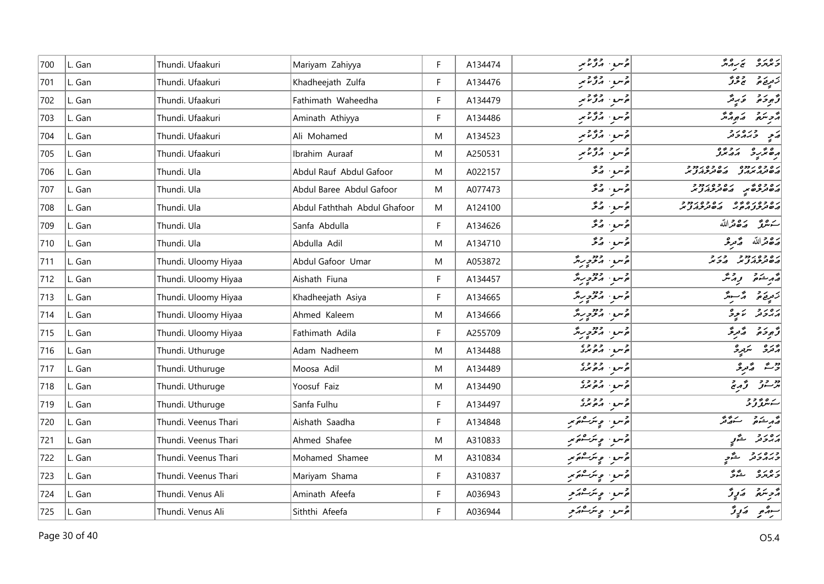| 700 | L. Gan | Thundi. Ufaakuri     | Mariyam Zahiyya              | F.          | A134474 | ۇسىن مۇشقىر                                              | ىئە سەر بىر<br>ويوبره                                                           |
|-----|--------|----------------------|------------------------------|-------------|---------|----------------------------------------------------------|---------------------------------------------------------------------------------|
| 701 | L. Gan | Thundi. Ufaakuri     | Khadheejath Zulfa            | F           | A134476 | ئۇسىز بەر ئەقرىمىيە<br>                                  | زَمِرِيَمْ * مَحْرٌ                                                             |
| 702 | L. Gan | Thundi. Ufaakuri     | Fathimath Waheedha           | F           | A134479 | ئۇسىز بەر <i>ۇ ئاي</i> ر                                 | قەدىقى قايدىگە                                                                  |
| 703 | L. Gan | Thundi. Ufaakuri     | Aminath Athiyya              | F           | A134486 | ە ئەسىس قۇرىيىتىسى بىر                                   | أزوسكم أأجراء                                                                   |
| 704 | L. Gan | Thundi. Ufaakuri     | Ali Mohamed                  | M           | A134523 | ق <sub>ەسمۇ</sub> برۇغ ئىر                               | أمرم وره رد                                                                     |
| 705 | L. Gan | Thundi. Ufaakuri     | Ibrahim Auraaf               | M           | A250531 | ە ئىبرىن مۇرىيىتى<br>مۇسىي مۇرىيىتى                      | دەنزىر ئەيرو                                                                    |
| 706 | L. Gan | Thundi. Ula          | Abdul Rauf Abdul Gafoor      | M           | A022157 | همسوم مقتر                                               | ر 0 כ 0 יככם מים כ 0 יככם.<br>גם تر ג <i>מג ד</i> ל מים تر <del>ت</del> ر ד' די |
| 707 | L. Gan | Thundi. Ula          | Abdul Baree Abdul Gafoor     | M           | A077473 | ئۇسىز، ئەقر                                              | ر ۵ ۶ ۵ ۶ مردد و<br>ג جنر و جهاز می می می در در د                               |
| 708 | L. Gan | Thundi. Ula          | Abdul Faththah Abdul Ghafoor | M           | A124100 | ئۇسىز، ئەقر                                              | ر 0 כ 0 ג 0 ב 0 ג 0 ג כ כ 2<br>ג ס تر تر تر 3 ג ס تر تر آر بر                   |
| 709 | L. Gan | Thundi. Ula          | Sanfa Abdulla                | F.          | A134626 | ئۇسىز، ئەقر                                              | سەمق ئەھىراللە                                                                  |
| 710 | L. Gan | Thundi. Ula          | Abdulla Adil                 | M           | A134710 | ئۇسىز بۇقر                                               | مَەھْتَرَاللَّهُ مَّەتْر                                                        |
| 711 | L. Gan | Thundi. Uloomy Hiyaa | Abdul Gafoor Umar            | M           | A053872 | ئۇسىغ سىر قرىر بىر<br>                                   | נ ס כ ס ג כב י כ ג כ<br>גם ב ב ב ב ב ב ב ב                                      |
| 712 | L. Gan | Thundi. Uloomy Hiyaa | Aishath Fiuna                | $\mathsf F$ | A134457 | ە ئەسىس مۇجىرە<br>مۇسىس مۇجىر                            | مەر ئىكتى بور ئىگە                                                              |
| 713 | L. Gan | Thundi. Uloomy Hiyaa | Khadheejath Asiya            | F.          | A134665 | ە<br>مۇسىق مۇجەر بىر                                     | تَامِرِيَنَ هُمْ قَاسِيرٌ                                                       |
| 714 | L. Gan | Thundi. Uloomy Hiyaa | Ahmed Kaleem                 | M           | A134666 | ە ئىسمى مۇھمىيەتىگە<br>مەسمىي مەسىر                      | دروی الابود                                                                     |
| 715 | L. Gan | Thundi. Uloomy Hiyaa | Fathimath Adila              | F           | A255709 | ە ئەسىي مۇقىي سەرتىگە<br>مەسىي مۇقىي س                   | توجوحتم المتوقر                                                                 |
| 716 | L. Gan | Thundi. Uthuruge     | Adam Nadheem                 | M           | A134488 | مهر در دره<br>  مهر در مهرد                              | وره سرمره<br>م <sup>و</sup> مرد سرمره                                           |
| 717 | L. Gan | Thundi. Uthuruge     | Moosa Adil                   | M           | A134489 | ه سو . دوره<br>مسو . مهمه                                | لريم پروگر                                                                      |
| 718 | L. Gan | Thundi. Uthuruge     | Yoosuf Faiz                  | M           | A134490 | <br>  می سر په اور ورو وري                               | در در در در د                                                                   |
| 719 | L. Gan | Thundi. Uthuruge     | Sanfa Fulhu                  | F           | A134497 | میں مقدم دیا<br>  میں مقدم محمدی                         | يە مەمۇرى                                                                       |
| 720 | L. Gan | Thundi. Veenus Thari | Aishath Saadha               | F           | A134848 | ە ئىسمى <sub>ئې</sub> سكىرىكتونجىيە                      | أقرم يستوفر المستوقر                                                            |
| 721 | L. Gan | Thundi. Veenus Thari | Ahmed Shafee                 | M           | A310833 | ە ئىبرو بە يە ئەسىر<br>مەسىر بە يە ئەسىر                 | رەر ئەي                                                                         |
| 722 | L. Gan | Thundi. Veenus Thari | Mohamed Shamee               | M           | A310834 | ە ئەسىم <sub>س</sub> ە ھەسىر ھەر ئىس                     | ورەرو ئەر                                                                       |
| 723 | L. Gan | Thundi. Veenus Thari | Mariyam Shama                | F.          | A310837 | م <sup>و</sup> سو <sub>په مو</sub> سر شو <sub>م</sub> بر | ترەرە شەم                                                                       |
| 724 | L. Gan | Thundi. Venus Ali    | Aminath Afeefa               | F.          | A036943 | فمجسو ويتر شهرمو                                         | أأزجر الأوقر                                                                    |
| 725 | L. Gan | Thundi. Venus Ali    | Siththi Afeefa               | F           | A036944 | مسموس مستزر من مركز<br>  موسوس موسكة مسر                 | سوړمو اړوپو                                                                     |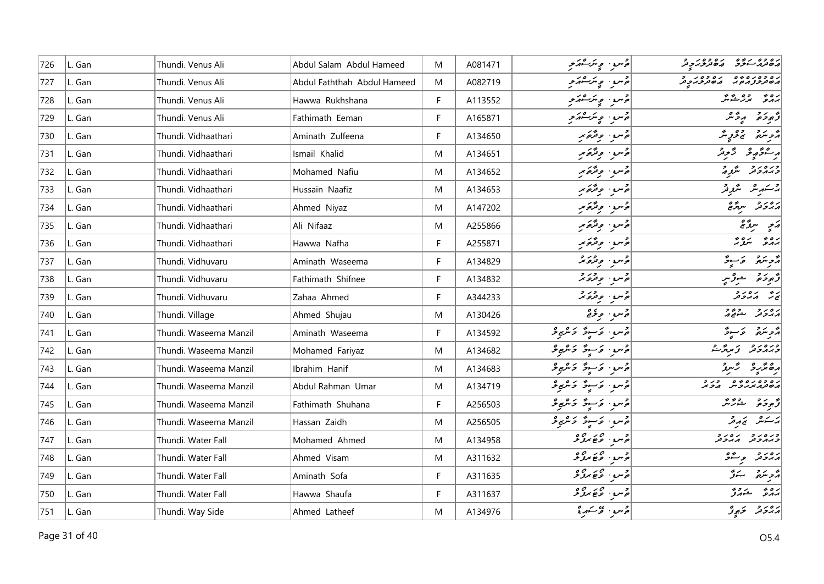| 726 | L. Gan | Thundi. Venus Ali      | Abdul Salam Abdul Hameed    | M  | A081471 | مُسْوِر مِيرَ فَهُرَمْهِ                                        | נס כם נגם מס כם מדיק.<br>גם נקו <i>ג – יכ</i> ל הס נק <i>יב ה</i> כ |
|-----|--------|------------------------|-----------------------------|----|---------|-----------------------------------------------------------------|---------------------------------------------------------------------|
| 727 | L. Gan | Thundi. Venus Ali      | Abdul Faththah Abdul Hameed | M  | A082719 | قرسع ويتر شريح وسر                                              |                                                                     |
| 728 | L. Gan | Thundi. Venus Ali      | Hawwa Rukhshana             | F  | A113552 | فحسوا ويتر شهجر                                                 | رەپ پرزىشەر                                                         |
| 729 | L. Gan | Thundi. Venus Ali      | Fathimath Eeman             | F  | A165871 | ه مس پر مرد در د                                                | ژوځو پرځمر                                                          |
| 730 | L. Gan | Thundi. Vidhaathari    | Aminath Zulfeena            | F  | A134650 | ەسىن مەمگە بىر                                                  | ۇ ئىر ئىم ئور ئىگە                                                  |
| 731 | L. Gan | Thundi. Vidhaathari    | Ismail Khalid               | M  | A134651 | ەمىيە <sub>مو</sub> رتمىيە                                      | برڪوڻيءُ رٿويڙ                                                      |
| 732 | L. Gan | Thundi. Vidhaathari    | Mohamed Nafiu               | M  | A134652 | ەمىيە <sub>مو</sub> رتمىيە                                      | - دره در در پنج د                                                   |
| 733 | L. Gan | Thundi. Vidhaathari    | Hussain Naafiz              | M  | A134653 | همسن وقرح بر                                                    | ى <sup>ر</sup> ىسىر شىر ئىرىد                                       |
| 734 | L. Gan | Thundi. Vidhaathari    | Ahmed Niyaz                 | M  | A147202 | ج <sub>و</sub> سو <sub>پ</sub> روتر <i>مز</i><br>  جوسو پروترمز | أورود سروم                                                          |
| 735 | L. Gan | Thundi. Vidhaathari    | Ali Nifaaz                  | M  | A255866 | مۇسىق ھەتگە ئىر<br>  ھەسىس مەتگە ئىر                            | ر سرگرم<br>موسیقی                                                   |
| 736 | L. Gan | Thundi. Vidhaathari    | Hawwa Nafha                 | F  | A255871 | ەمبىر ب <i>و</i> رتۇبر                                          | رە ئەرەپ                                                            |
| 737 | L. Gan | Thundi. Vidhuvaru      | Aminath Waseema             | F. | A134829 | و سو <sub>په و</sub> رو د                                       | أأدبتكم وكسبو                                                       |
| 738 | L. Gan | Thundi. Vidhuvaru      | Fathimath Shifnee           | F. | A134832 | ە ئىبرىس <i>بوقرى تى</i>                                        | تزجوخا مصوفاته                                                      |
| 739 | L. Gan | Thundi. Vidhuvaru      | Zahaa Ahmed                 | F  | A344233 | ە ئىسىس <i>موقدە ئى</i> ر                                       | ى ئەرەر د                                                           |
| 740 | L. Gan | Thundi. Village        | Ahmed Shujau                | M  | A130426 | ا په سو موځو هم                                                 | ره ر د در د<br>پربر تر شوقے پر                                      |
| 741 | L. Gan | Thundi. Waseema Manzil | Aminath Waseema             | F  | A134592 | ج <sub>ى</sub> سى ئەسىر ئەش <sub>كى</sub> ئ                     | أأترجع أتراءد                                                       |
| 742 | L. Gan | Thundi. Waseema Manzil | Mohamed Fariyaz             | M  | A134682 | ئ <sub>ەسمى</sub> كەسپۇ كەشھۇ                                   | ورەرو كېرېژن                                                        |
| 743 | L. Gan | Thundi. Waseema Manzil | Ibrahim Hanif               | M  | A134683 | ەۋسىن ئۈسەۋ كەشرەق                                              | رەترىر ئىبر                                                         |
| 744 | L. Gan | Thundi. Waseema Manzil | Abdul Rahman Umar           | M  | A134719 | ەسىر ئەسپۇ ئەشرى                                                | נסכסנסכים כנכ<br>גם <i>נגיב</i> ית גבינ                             |
| 745 | L. Gan | Thundi. Waseema Manzil | Fathimath Shuhana           | F  | A256503 | ج <sub>ە</sub> سىس ئۈسە <i>مەڭ ئەنتىبى</i> بۇ                   | ژ <sub>بوخ</sub> و خ <sup>و</sup> ر ش                               |
| 746 | L. Gan | Thundi. Waseema Manzil | Hassan Zaidh                | M  | A256505 | ەسى <sub>ر:</sub> ئۈس <sub>ى</sub> ۋ ئ <sup>و</sup> شرى         | پرستمبر ہج پر قر                                                    |
| 747 | L. Gan | Thundi. Water Fall     | Mohamed Ahmed               | M  | A134958 | ە<br>مەسىي ھۇمرىر م                                             | כנסנכ נסנכ<br>כגמכת הגכת                                            |
| 748 | L. Gan | Thundi. Water Fall     | Ahmed Visam                 | M  | A311632 | ج <sub>ا</sub> سو به <sub>2</sub> 0 مرکز می                     | ړه رو په عر                                                         |
| 749 | L. Gan | Thundi. Water Fall     | Aminath Sofa                | F. | A311635 | ە بىر بەر مەرەر بولۇغر                                          | أأرجو سأقرأ                                                         |
| 750 | L. Gan | Thundi. Water Fall     | Hawwa Shaufa                | F  | A311637 | ە ئىسمىز ئۇغ ئىرگە ئى                                           | رەپە ئەدەپ                                                          |
| 751 | L. Gan | Thundi. Way Side       | Ahmed Latheef               | M  | A134976 | ە بىر بىر بەر<br>مۇسىر قۇسىردە                                  | برەر تزېرو                                                          |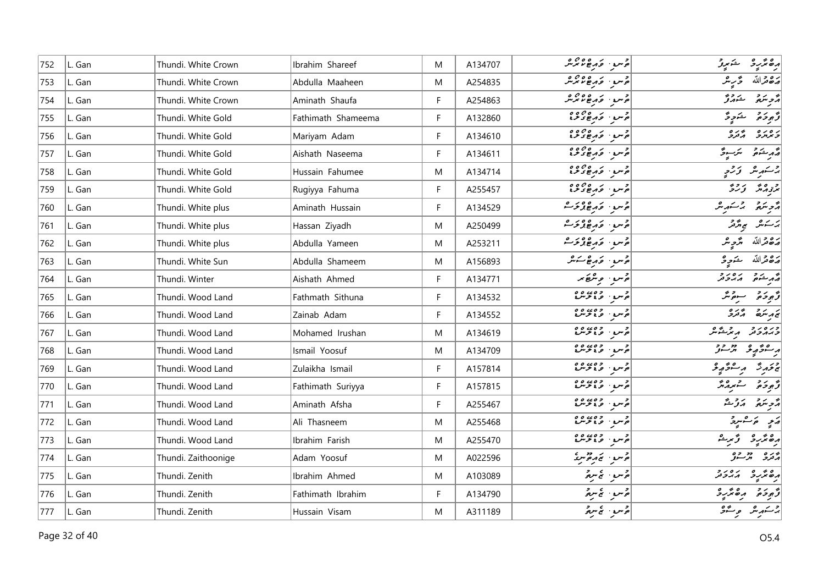| 752 | L. Gan | Thundi. White Crown | Ibrahim Shareef    | M           | A134707 | 200000                                | ەرھەتمەر 2<br>ر<br>ے موثر                       |
|-----|--------|---------------------|--------------------|-------------|---------|---------------------------------------|-------------------------------------------------|
| 753 | L. Gan | Thundi. White Crown | Abdulla Maaheen    | M           | A254835 |                                       | <mark>بر25</mark> مرالله<br>ۇ پەنگە             |
| 754 | L. Gan | Thundi. White Crown | Aminath Shaufa     | $\mathsf F$ | A254863 | ا په سو <i>په وه و</i> چونکر          | أرمز تمر<br>شەرقەتى                             |
| 755 | L. Gan | Thundi. White Gold  | Fathimath Shameema | F.          | A132860 | وسع من عدد ۱۳۵۵<br>موسع من عدد ۱۳۶۴   | وٌجوحهُ<br>شَوَرِ رَّ                           |
| 756 | L. Gan | Thundi. White Gold  | Mariyam Adam       | $\mathsf F$ | A134610 | ه مسمود خرم ۱۳۵۵<br>مسمود خرم ۱۳۶۵ ک  | ر ه ر ه<br><del>و</del> بربرو<br>پور ہ<br>مرکزو |
| 757 | L. Gan | Thundi. White Gold  | Aishath Naseema    | F           | A134611 |                                       | ۇرىشۇ سىر                                       |
| 758 | L. Gan | Thundi. White Gold  | Hussain Fahumee    | M           | A134714 | ام سو وره وه وه<br>موسو وره د د د     | يزحكم تورمي                                     |
| 759 | L. Gan | Thundi. White Gold  | Rugiyya Fahuma     | F           | A255457 | ه مرد و وه وه<br>موسو و مربع د حرو    | بروه وروء                                       |
| 760 | L. Gan | Thundi. White plus  | Aminath Hussain    | F           | A134529 | توسع أعراء ويحت                       | ۇچرىئى ئەسكىرىگ                                 |
| 761 | L. Gan | Thundi. White plus  | Hassan Ziyadh      | M           | A250499 | ە ئىب ئەرەبۇ ئەس                      | پرسەنئە ئىس ئېرىتىر                             |
| 762 | L. Gan | Thundi. White plus  | Abdulla Yameen     | M           | A253211 | ە ئىب ئەرەبۇ ئەت<br>م                 | ەھىراللە                                        |
| 763 | L. Gan | Thundi. White Sun   | Abdulla Shameem    | M           | A156893 | ە ئىسو، ئۇر <sub>ە</sub> ھ سەمىر      | برە قراللە<br>ستكور                             |
| 764 | L. Gan | Thundi. Winter      | Aishath Ahmed      | F           | A134771 | مۇسىر موش <sub>ى</sub> قىمە           | ړه شوه پره د د                                  |
| 765 | L. Gan | Thundi. Wood Land   | Fathmath Sithuna   | $\mathsf F$ | A134532 | مسموس وه عده وه<br>  موسوس و و و عربو | ۇ بوخ <sub>ى</sub><br>سىۋىتر<br>-               |
| 766 | L. Gan | Thundi. Wood Land   | Zainab Adam        | F           | A134552 | ه موسو .<br>موسو . او د موسو          | تم مرشقه<br>ە ئەترو                             |
| 767 | L. Gan | Thundi. Wood Land   | Mohamed Irushan    | M           | A134619 | چسع معصوم وه<br>  جسع مع              | ورەرو مەرشەر                                    |
| 768 | L. Gan | Thundi. Wood Land   | Ismail Yoosuf      | M           | A134709 | ا د سو ۱۵۵۰ وه<br>اموسو او د موسو     | ەر ھەجەر ھەم دەر دەر<br>م                       |
| 769 | L. Gan | Thundi. Wood Land   | Zulaikha Ismail    | F           | A157814 | وسع · وەيرەە                          | ىر سەئۇر بو<br>چ ئۇ م <sup>ەش</sup> ر           |
| 770 | L. Gan | Thundi. Wood Land   | Fathimath Suriyya  | F           | A157815 | وسع وه ده وه<br>ام سع و دعو سع        | شمېرو تر<br>وٌمورَمٌ                            |
| 771 | L. Gan | Thundi. Wood Land   | Aminath Afsha      | F           | A255467 | <br> مۇسىس ھەممىر                     | أروبترة<br>ىرترشە                               |
| 772 | L. Gan | Thundi. Wood Land   | Ali Thasneem       | M           | A255468 | اء<br>ام سوس وه د د سه                | أرمو أوكسرو                                     |
| 773 | L. Gan | Thundi. Wood Land   | Ibrahim Farish     | M           | A255470 | -<br> -<br> موسوع و و عرضوه           | ە ھەترىر <sup>ە</sup>                           |
| 774 | L. Gan | Thundi. Zaithoonige | Adam Yoosuf        | M           | A022596 | ه سومبر موسر<br>موسومبر               | ء ر ہ<br>دکترو<br>دد حرو                        |
| 775 | L. Gan | Thundi. Zenith      | Ibrahim Ahmed      | M           | A103089 | ق <sub>م</sub> سو بچ سرچ              | ېر ھې تر په د<br>برور و                         |
| 776 | L. Gan | Thundi. Zenith      | Fathimath Ibrahim  | F           | A134790 | ۾ سو <sub>ي</sub> ئ <sub>م</sub> سر   | وٌموِ رَمْ<br>ەرھەترىر <sup>ى</sup>             |
| 777 | L. Gan | Thundi. Zenith      | Hussain Visam      | M           | A311189 | اقرسو بم يرچ<br> -<br> -              | برستهرش وستوفر                                  |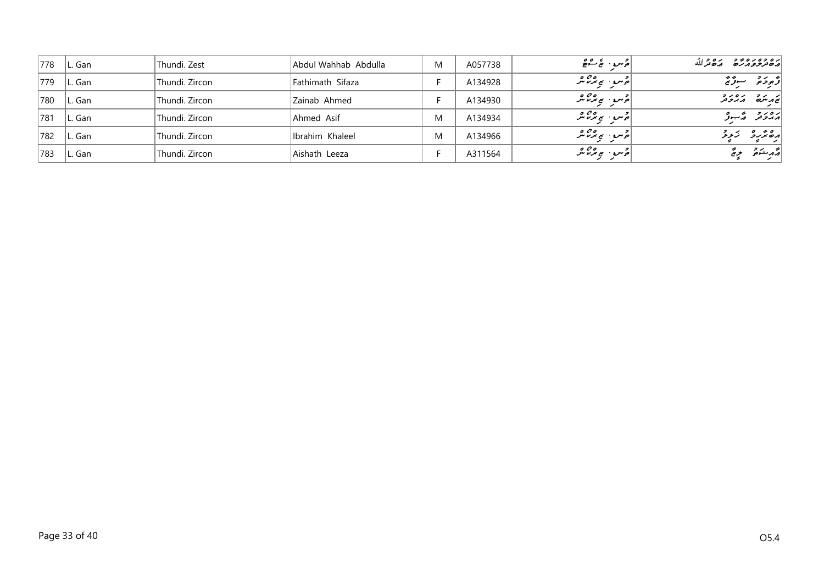| 1778 | ، L. Gan            | Thundi. Zest   | Abdul Wahhab Abdulla | M | A057738 | $\begin{vmatrix} 2 & 2 & 3 & 2 & 6 \ 2 & 3 & 3 & 3 & 6 \end{vmatrix}$ | مة ووروئية من مرات       |
|------|---------------------|----------------|----------------------|---|---------|-----------------------------------------------------------------------|--------------------------|
| 1779 | L. Gan              | Thundi. Zircon | Fathimath Sifaza     |   | A134928 | ج <sub>و</sub> سو ، سمج مرکز میں                                      | سىز ئىچ<br>ا تۇ بو ئەم   |
| 780  | ⊥. Gan              | Thundi. Zircon | Zainab Ahmed         |   | A134930 | ج <sub>و</sub> سو ، سمج تر مگر<br>  جو سو ، سمج تر مگر                | كەرىكى مەرجى             |
| 781  | . ∟. Gan            | Thundi. Zircon | Ahmed Asif           | M | A134934 | جوسع سي مرحم مگر                                                      | دەرد شەر                 |
| 782  | ⊥. Gan              | Thundi. Zircon | Ilbrahim Khaleel     | M | A134966 | ج <sub>و</sub> سو ، سمج مرکز مگر                                      | ارەتۇر ئىرقى             |
| 783  | <sub>⊩</sub> L. Gan | Thundi. Zircon | lAishath Leeza       |   | A311564 | ج <sub>و</sub> سو ، سمبر عرض میں                                      | ا پر مرکز شور می<br>حريج |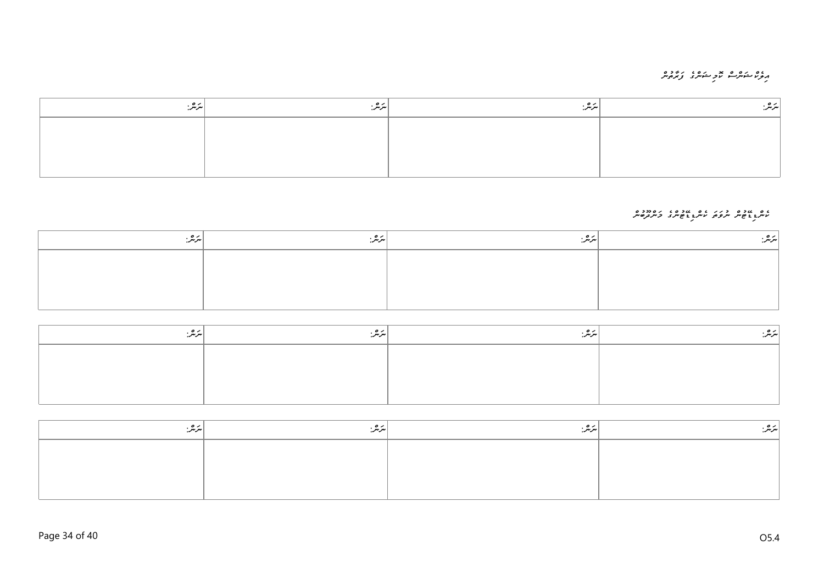## *w7qAn8m? sCw7mRo>u; wEw7mRw;sBo<*

| ' مرمر | 'يئرىثر: |
|--------|----------|
|        |          |
|        |          |
|        |          |

## *w7q9r@w7m> sCw7qHtFoFw7s; mAm=q7 w7qHtFoFw7s;*

| ىر تە | $\mathcal{O} \times$<br>$\sim$ | $\sim$<br>. . | لترنثر |
|-------|--------------------------------|---------------|--------|
|       |                                |               |        |
|       |                                |               |        |
|       |                                |               |        |

| $\frac{2}{n}$ | $^{\circ}$ | $\frac{2}{n}$ | $^{\circ}$<br>سرسر. |
|---------------|------------|---------------|---------------------|
|               |            |               |                     |
|               |            |               |                     |
|               |            |               |                     |

| ىرتىر: | 。<br>سر سر | .,<br>مرسر |
|--------|------------|------------|
|        |            |            |
|        |            |            |
|        |            |            |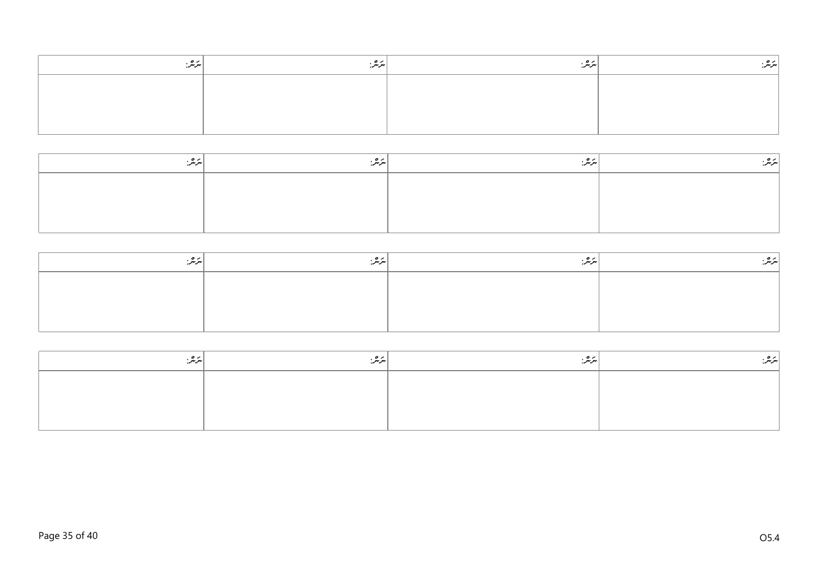| ىزىتر: | $\cdot$ | ىئرىتر: |  |
|--------|---------|---------|--|
|        |         |         |  |
|        |         |         |  |
|        |         |         |  |

| <sup>.</sup> سرسر. |  |
|--------------------|--|
|                    |  |
|                    |  |
|                    |  |

| ىئرىتر. | $\sim$ | ا بر هه. | لىرىش |
|---------|--------|----------|-------|
|         |        |          |       |
|         |        |          |       |
|         |        |          |       |

| 。<br>مرس. | $\overline{\phantom{a}}$<br>مر سر | يتريثر |
|-----------|-----------------------------------|--------|
|           |                                   |        |
|           |                                   |        |
|           |                                   |        |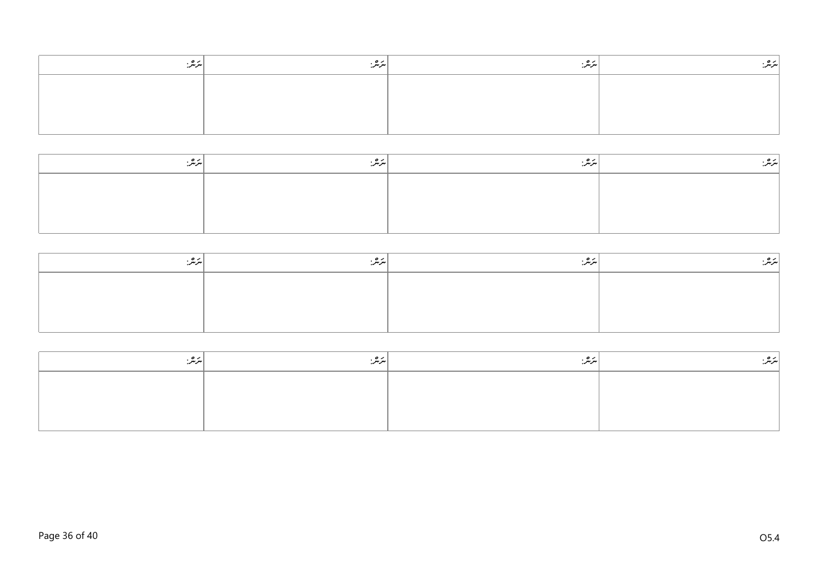| ير هو . | $\overline{\phantom{a}}$ | يرمر | اير هنه. |
|---------|--------------------------|------|----------|
|         |                          |      |          |
|         |                          |      |          |
|         |                          |      |          |

| ىر تىر: | $\circ$ $\sim$<br>" سرسر . | يبرحه | o . |
|---------|----------------------------|-------|-----|
|         |                            |       |     |
|         |                            |       |     |
|         |                            |       |     |

| 'تترنثر: | 。<br>,,,, |  |
|----------|-----------|--|
|          |           |  |
|          |           |  |
|          |           |  |

|  | . ه |
|--|-----|
|  |     |
|  |     |
|  |     |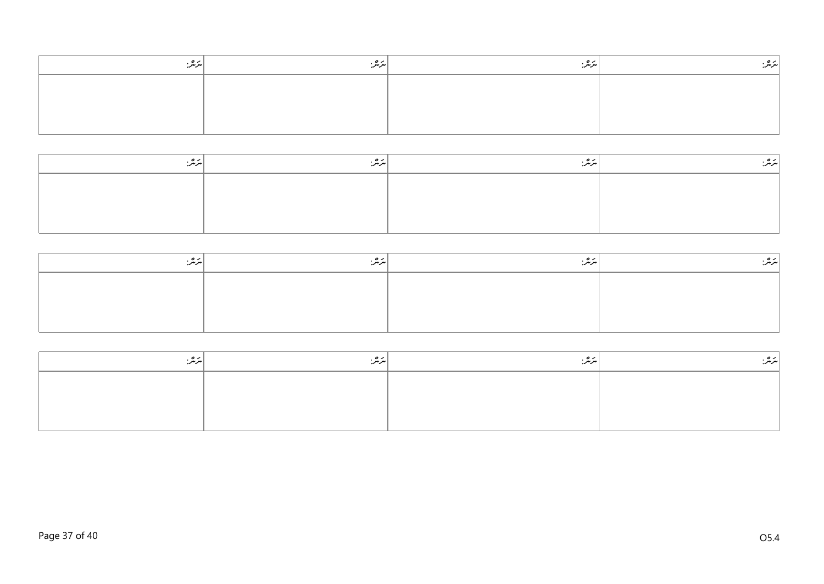| ير هو . | $\overline{\phantom{a}}$ | يرمر | اير هنه. |
|---------|--------------------------|------|----------|
|         |                          |      |          |
|         |                          |      |          |
|         |                          |      |          |

| ىر تىر: | $\circ$ $\sim$<br>" سرسر . | يبرحه | o . |
|---------|----------------------------|-------|-----|
|         |                            |       |     |
|         |                            |       |     |
|         |                            |       |     |

| 'تترنثر: | 。<br>,,,, |  |
|----------|-----------|--|
|          |           |  |
|          |           |  |
|          |           |  |

|  | . ه |
|--|-----|
|  |     |
|  |     |
|  |     |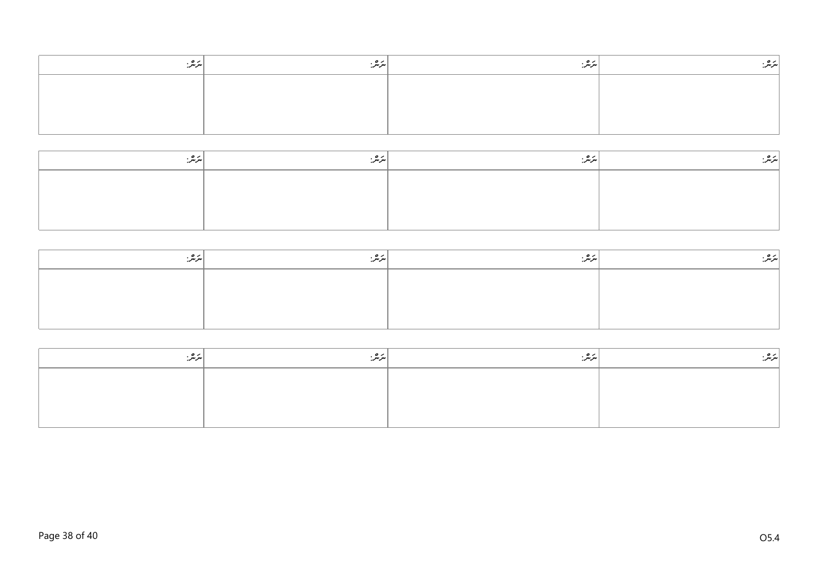| $\cdot$ | ο. | $\frac{\circ}{\cdot}$ | $\sim$<br>سرسر |
|---------|----|-----------------------|----------------|
|         |    |                       |                |
|         |    |                       |                |
|         |    |                       |                |

| ايرعر: | ر ه<br>. . |  |
|--------|------------|--|
|        |            |  |
|        |            |  |
|        |            |  |

| بر ه | 。 | $\sim$<br>َ سومس |  |
|------|---|------------------|--|
|      |   |                  |  |
|      |   |                  |  |
|      |   |                  |  |

| 。<br>. س | ىرىىر |  |
|----------|-------|--|
|          |       |  |
|          |       |  |
|          |       |  |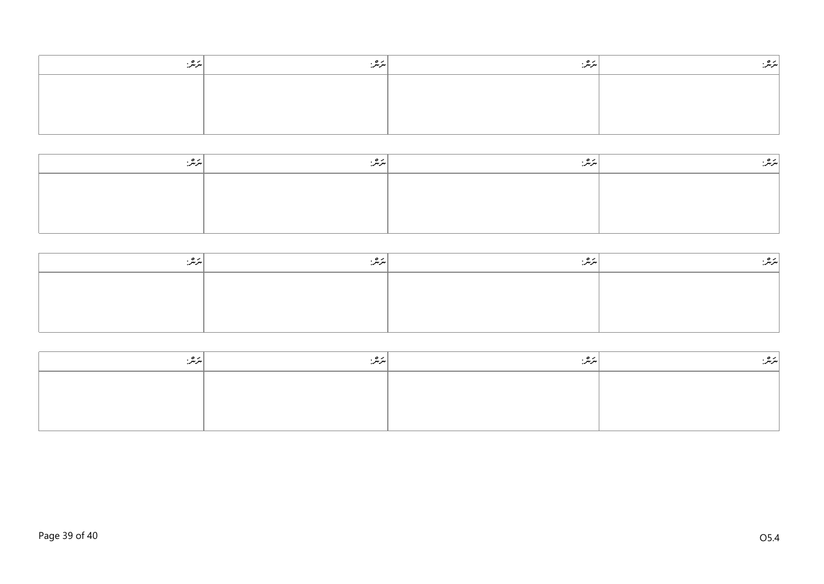| ير هو . | $\overline{\phantom{a}}$ | يرمر | لتزمثن |
|---------|--------------------------|------|--------|
|         |                          |      |        |
|         |                          |      |        |
|         |                          |      |        |

| ئىرتىر: | $\sim$<br>ا سرسر . | يئرمثر | o . |
|---------|--------------------|--------|-----|
|         |                    |        |     |
|         |                    |        |     |
|         |                    |        |     |

| انترنثر: | ر ه |  |
|----------|-----|--|
|          |     |  |
|          |     |  |
|          |     |  |

|  | . ه |
|--|-----|
|  |     |
|  |     |
|  |     |